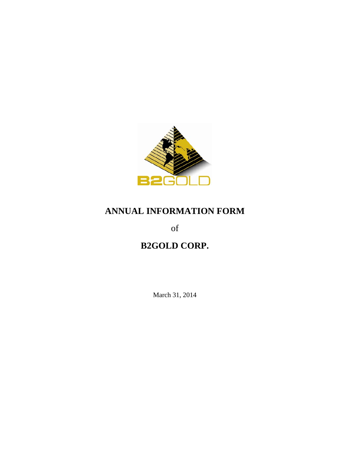

# **ANNUAL INFORMATION FORM**

of

# **B2GOLD CORP.**

March 31, 2014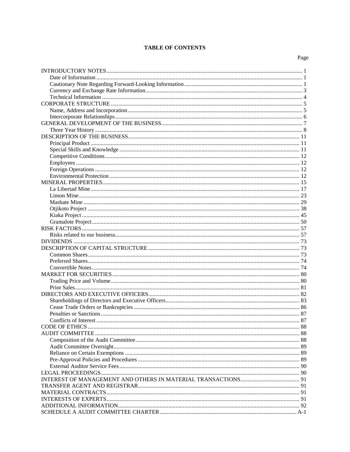# **TABLE OF CONTENTS**

# Page

| Conflicts of Interest | 87 |
|-----------------------|----|
|                       |    |
|                       |    |
|                       |    |
|                       |    |
|                       |    |
|                       |    |
|                       |    |
|                       |    |
|                       |    |
|                       |    |
|                       |    |
|                       |    |
|                       |    |
|                       |    |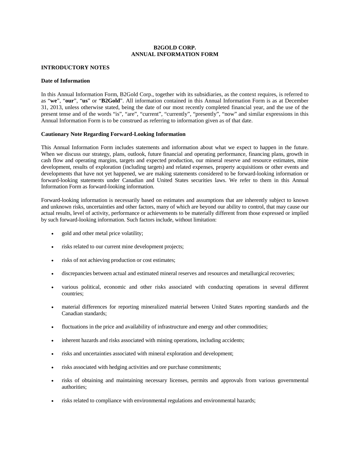# **B2GOLD CORP. ANNUAL INFORMATION FORM**

# <span id="page-2-0"></span>**INTRODUCTORY NOTES**

## <span id="page-2-1"></span>**Date of Information**

In this Annual Information Form, B2Gold Corp., together with its subsidiaries, as the context requires, is referred to as "**we**", "**our**", "**us**" or "**B2Gold**". All information contained in this Annual Information Form is as at December 31, 2013, unless otherwise stated, being the date of our most recently completed financial year, and the use of the present tense and of the words "is", "are", "current", "currently", "presently", "now" and similar expressions in this Annual Information Form is to be construed as referring to information given as of that date.

# <span id="page-2-2"></span>**Cautionary Note Regarding Forward-Looking Information**

This Annual Information Form includes statements and information about what we expect to happen in the future. When we discuss our strategy, plans, outlook, future financial and operating performance, financing plans, growth in cash flow and operating margins, targets and expected production, our mineral reserve and resource estimates, mine development, results of exploration (including targets) and related expenses, property acquisitions or other events and developments that have not yet happened, we are making statements considered to be forward-looking information or forward-looking statements under Canadian and United States securities laws. We refer to them in this Annual Information Form as forward-looking information.

Forward-looking information is necessarily based on estimates and assumptions that are inherently subject to known and unknown risks, uncertainties and other factors, many of which are beyond our ability to control, that may cause our actual results, level of activity, performance or achievements to be materially different from those expressed or implied by such forward-looking information. Such factors include, without limitation:

- gold and other metal price volatility;
- risks related to our current mine development projects;
- risks of not achieving production or cost estimates;
- discrepancies between actual and estimated mineral reserves and resources and metallurgical recoveries;
- various political, economic and other risks associated with conducting operations in several different countries;
- material differences for reporting mineralized material between United States reporting standards and the Canadian standards;
- fluctuations in the price and availability of infrastructure and energy and other commodities;
- inherent hazards and risks associated with mining operations, including accidents;
- risks and uncertainties associated with mineral exploration and development;
- risks associated with hedging activities and ore purchase commitments;
- risks of obtaining and maintaining necessary licenses, permits and approvals from various governmental authorities;
- risks related to compliance with environmental regulations and environmental hazards;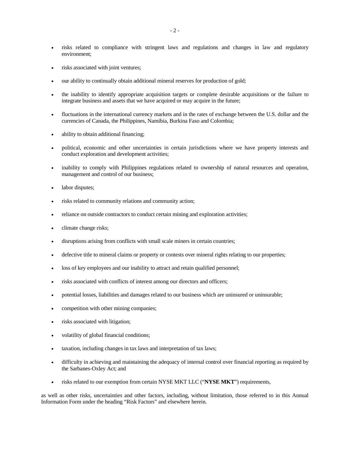- risks related to compliance with stringent laws and regulations and changes in law and regulatory environment;
- risks associated with joint ventures;
- our ability to continually obtain additional mineral reserves for production of gold;
- the inability to identify appropriate acquisition targets or complete desirable acquisitions or the failure to integrate business and assets that we have acquired or may acquire in the future;
- fluctuations in the international currency markets and in the rates of exchange between the U.S. dollar and the currencies of Canada, the Philippines, Namibia, Burkina Faso and Colombia;
- ability to obtain additional financing;
- political, economic and other uncertainties in certain jurisdictions where we have property interests and conduct exploration and development activities;
- inability to comply with Philippines regulations related to ownership of natural resources and operation, management and control of our business;
- labor disputes;
- risks related to community relations and community action;
- reliance on outside contractors to conduct certain mining and exploration activities;
- climate change risks;
- disruptions arising from conflicts with small scale miners in certain countries;
- defective title to mineral claims or property or contests over mineral rights relating to our properties;
- loss of key employees and our inability to attract and retain qualified personnel;
- risks associated with conflicts of interest among our directors and officers;
- potential losses, liabilities and damages related to our business which are uninsured or uninsurable;
- competition with other mining companies;
- risks associated with litigation;
- volatility of global financial conditions;
- taxation, including changes in tax laws and interpretation of tax laws;
- difficulty in achieving and maintaining the adequacy of internal control over financial reporting as required by the Sarbanes-Oxley Act; and
- risks related to our exemption from certain NYSE MKT LLC ("**NYSE MKT**") requirements,

as well as other risks, uncertainties and other factors, including, without limitation, those referred to in this Annual Information Form under the heading "Risk Factors" and elsewhere herein.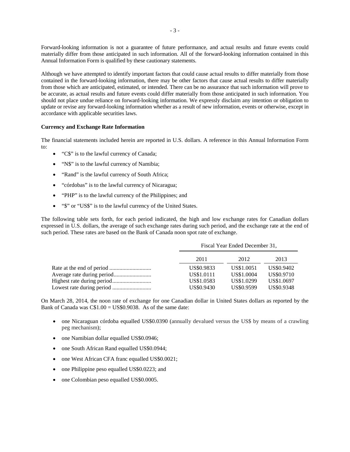Forward-looking information is not a guarantee of future performance, and actual results and future events could materially differ from those anticipated in such information. All of the forward-looking information contained in this Annual Information Form is qualified by these cautionary statements.

Although we have attempted to identify important factors that could cause actual results to differ materially from those contained in the forward-looking information, there may be other factors that cause actual results to differ materially from those which are anticipated, estimated, or intended. There can be no assurance that such information will prove to be accurate, as actual results and future events could differ materially from those anticipated in such information. You should not place undue reliance on forward-looking information. We expressly disclaim any intention or obligation to update or revise any forward-looking information whether as a result of new information, events or otherwise, except in accordance with applicable securities laws.

# <span id="page-4-0"></span>**Currency and Exchange Rate Information**

The financial statements included herein are reported in U.S. dollars. A reference in this Annual Information Form  $t \circ t$ 

- "C\$" is to the lawful currency of Canada;
- "N\$" is to the lawful currency of Namibia;
- "Rand" is the lawful currency of South Africa;
- "córdobas" is to the lawful currency of Nicaragua;
- "PHP" is to the lawful currency of the Philippines; and
- "\$" or "US\$" is to the lawful currency of the United States.

The following table sets forth, for each period indicated, the high and low exchange rates for Canadian dollars expressed in U.S. dollars, the average of such exchange rates during such period, and the exchange rate at the end of such period. These rates are based on the Bank of Canada noon spot rate of exchange.

|            | Fiscal Year Ended December 31, |            |  |  |
|------------|--------------------------------|------------|--|--|
| 2011       | 2012                           | 2013       |  |  |
| US\$0.9833 | US\$1,0051                     | US\$0.9402 |  |  |
| US\$1.0111 | US\$1.0004                     | US\$0.9710 |  |  |
| US\$1.0583 | US\$1.0299                     | US\$1.0697 |  |  |
| US\$0.9430 | US\$0.9599                     | US\$0.9348 |  |  |

On March 28, 2014, the noon rate of exchange for one Canadian dollar in United States dollars as reported by the Bank of Canada was  $C$1.00 = US$0.9038$ . As of the same date:

- one Nicaraguan córdoba equalled US\$0.0390 (annually devalued versus the US\$ by means of a crawling peg mechanism);
- one Namibian dollar equalled US\$0.0946;
- one South African Rand equalled US\$0.0944;
- one West African CFA franc equalled US\$0.0021;
- one Philippine peso equalled US\$0.0223; and
- one Colombian peso equalled US\$0.0005.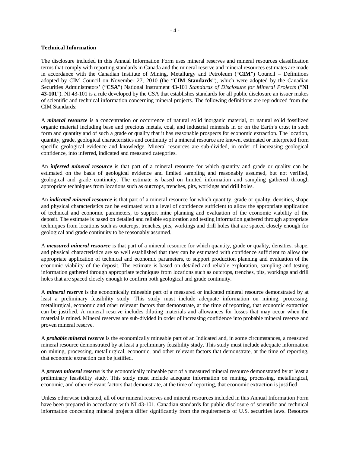## <span id="page-5-0"></span>**Technical Information**

The disclosure included in this Annual Information Form uses mineral reserves and mineral resources classification terms that comply with reporting standards in Canada and the mineral reserve and mineral resources estimates are made in accordance with the Canadian Institute of Mining, Metallurgy and Petroleum ("**CIM**") Council – Definitions adopted by CIM Council on November 27, 2010 (the "**CIM Standards**"), which were adopted by the Canadian Securities Administrators' ("**CSA**") National Instrument 43-101 *Standards of Disclosure for Mineral Projects* ("**NI 43-101**"). NI 43-101 is a rule developed by the CSA that establishes standards for all public disclosure an issuer makes of scientific and technical information concerning mineral projects. The following definitions are reproduced from the CIM Standards:

A *mineral resource* is a concentration or occurrence of natural solid inorganic material, or natural solid fossilized organic material including base and precious metals, coal, and industrial minerals in or on the Earth's crust in such form and quantity and of such a grade or quality that it has reasonable prospects for economic extraction. The location, quantity, grade, geological characteristics and continuity of a mineral resource are known, estimated or interpreted from specific geological evidence and knowledge. Mineral resources are sub-divided, in order of increasing geological confidence, into inferred, indicated and measured categories.

An *inferred mineral resource* is that part of a mineral resource for which quantity and grade or quality can be estimated on the basis of geological evidence and limited sampling and reasonably assumed, but not verified, geological and grade continuity. The estimate is based on limited information and sampling gathered through appropriate techniques from locations such as outcrops, trenches, pits, workings and drill holes.

An *indicated mineral resource* is that part of a mineral resource for which quantity, grade or quality, densities, shape and physical characteristics can be estimated with a level of confidence sufficient to allow the appropriate application of technical and economic parameters, to support mine planning and evaluation of the economic viability of the deposit. The estimate is based on detailed and reliable exploration and testing information gathered through appropriate techniques from locations such as outcrops, trenches, pits, workings and drill holes that are spaced closely enough for geological and grade continuity to be reasonably assumed.

A *measured mineral resource* is that part of a mineral resource for which quantity, grade or quality, densities, shape, and physical characteristics are so well established that they can be estimated with confidence sufficient to allow the appropriate application of technical and economic parameters, to support production planning and evaluation of the economic viability of the deposit. The estimate is based on detailed and reliable exploration, sampling and testing information gathered through appropriate techniques from locations such as outcrops, trenches, pits, workings and drill holes that are spaced closely enough to confirm both geological and grade continuity.

A *mineral reserve* is the economically mineable part of a measured or indicated mineral resource demonstrated by at least a preliminary feasibility study. This study must include adequate information on mining, processing, metallurgical, economic and other relevant factors that demonstrate, at the time of reporting, that economic extraction can be justified. A mineral reserve includes diluting materials and allowances for losses that may occur when the material is mined. Mineral reserves are sub-divided in order of increasing confidence into probable mineral reserve and proven mineral reserve.

A *probable mineral reserve* is the economically mineable part of an Indicated and, in some circumstances, a measured mineral resource demonstrated by at least a preliminary feasibility study. This study must include adequate information on mining, processing, metallurgical, economic, and other relevant factors that demonstrate, at the time of reporting, that economic extraction can be justified.

A *proven mineral reserve* is the economically mineable part of a measured mineral resource demonstrated by at least a preliminary feasibility study. This study must include adequate information on mining, processing, metallurgical, economic, and other relevant factors that demonstrate, at the time of reporting, that economic extraction is justified.

Unless otherwise indicated, all of our mineral reserves and mineral resources included in this Annual Information Form have been prepared in accordance with NI 43-101. Canadian standards for public disclosure of scientific and technical information concerning mineral projects differ significantly from the requirements of U.S. securities laws. Resource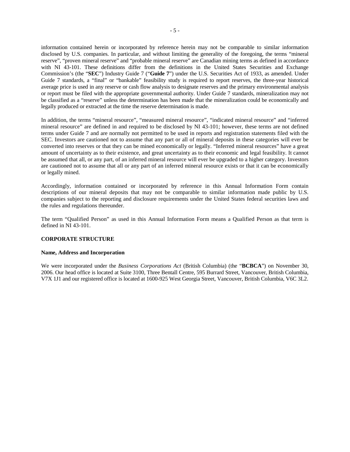information contained herein or incorporated by reference herein may not be comparable to similar information disclosed by U.S. companies. In particular, and without limiting the generality of the foregoing, the terms "mineral reserve", "proven mineral reserve" and "probable mineral reserve" are Canadian mining terms as defined in accordance with NI 43-101. These definitions differ from the definitions in the United States Securities and Exchange Commission's (the "**SEC**") Industry Guide 7 ("**Guide 7**") under the U.S. Securities Act of 1933, as amended. Under Guide 7 standards, a "final" or "bankable" feasibility study is required to report reserves, the three-year historical average price is used in any reserve or cash flow analysis to designate reserves and the primary environmental analysis or report must be filed with the appropriate governmental authority. Under Guide 7 standards, mineralization may not be classified as a "reserve" unless the determination has been made that the mineralization could be economically and legally produced or extracted at the time the reserve determination is made.

In addition, the terms "mineral resource", "measured mineral resource", "indicated mineral resource" and "inferred mineral resource" are defined in and required to be disclosed by NI 43-101; however, these terms are not defined terms under Guide 7 and are normally not permitted to be used in reports and registration statements filed with the SEC. Investors are cautioned not to assume that any part or all of mineral deposits in these categories will ever be converted into reserves or that they can be mined economically or legally. "Inferred mineral resources" have a great amount of uncertainty as to their existence, and great uncertainty as to their economic and legal feasibility. It cannot be assumed that all, or any part, of an inferred mineral resource will ever be upgraded to a higher category. Investors are cautioned not to assume that all or any part of an inferred mineral resource exists or that it can be economically or legally mined.

Accordingly, information contained or incorporated by reference in this Annual Information Form contain descriptions of our mineral deposits that may not be comparable to similar information made public by U.S. companies subject to the reporting and disclosure requirements under the United States federal securities laws and the rules and regulations thereunder.

The term "Qualified Person" as used in this Annual Information Form means a Qualified Person as that term is defined in NI 43-101.

# <span id="page-6-0"></span>**CORPORATE STRUCTURE**

#### <span id="page-6-1"></span>**Name, Address and Incorporation**

We were incorporated under the *Business Corporations Act* (British Columbia) (the "**BCBCA**") on November 30, 2006. Our head office is located at Suite 3100, Three Bentall Centre, 595 Burrard Street, Vancouver, British Columbia, V7X 1J1 and our registered office is located at 1600-925 West Georgia Street, Vancouver, British Columbia, V6C 3L2.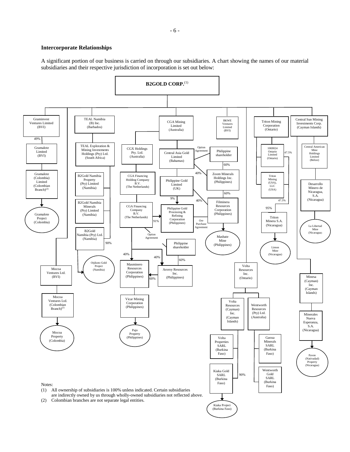#### <span id="page-7-0"></span>**Intercorporate Relationships**

A significant portion of our business is carried on through our subsidiaries. A chart showing the names of our material subsidiaries and their respective jurisdiction of incorporation is set out below:

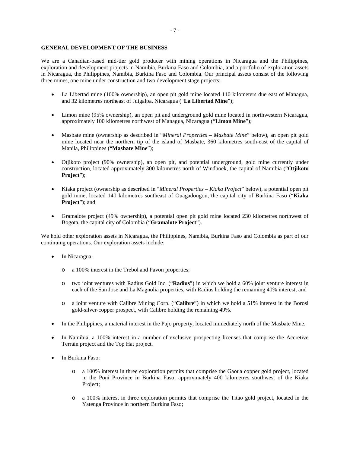# <span id="page-8-0"></span>**GENERAL DEVELOPMENT OF THE BUSINESS**

We are a Canadian-based mid-tier gold producer with mining operations in Nicaragua and the Philippines, exploration and development projects in Namibia, Burkina Faso and Colombia, and a portfolio of exploration assets in Nicaragua, the Philippines, Namibia, Burkina Faso and Colombia. Our principal assets consist of the following three mines, one mine under construction and two development stage projects:

- La Libertad mine (100% ownership), an open pit gold mine located 110 kilometers due east of Managua, and 32 kilometres northeast of Juigalpa, Nicaragua ("**La Libertad Mine**");
- Limon mine (95% ownership), an open pit and underground gold mine located in northwestern Nicaragua, approximately 100 kilometres northwest of Managua, Nicaragua ("**Limon Mine**");
- Masbate mine (ownership as described in "*Mineral Properties – Masbate Mine*" below), an open pit gold mine located near the northern tip of the island of Masbate, 360 kilometres south-east of the capital of Manila, Philippines ("**Masbate Mine**");
- Otjikoto project (90% ownership), an open pit, and potential underground, gold mine currently under construction, located approximately 300 kilometres north of Windhoek, the capital of Namibia ("**Otjikoto Project**");
- Kiaka project (ownership as described in "*Mineral Properties – Kiaka Project*" below), a potential open pit gold mine, located 140 kilometres southeast of Ouagadougou, the capital city of Burkina Faso ("**Kiaka Project**"); and
- Gramalote project (49% ownership), a potential open pit gold mine located 230 kilometres northwest of Bogota, the capital city of Colombia ("**Gramalote Project**").

We hold other exploration assets in Nicaragua, the Philippines, Namibia, Burkina Faso and Colombia as part of our continuing operations. Our exploration assets include:

- In Nicaragua:
	- o a 100% interest in the Trebol and Pavon properties;
	- o two joint ventures with Radius Gold Inc. ("**Radius**") in which we hold a 60% joint venture interest in each of the San Jose and La Magnolia properties, with Radius holding the remaining 40% interest; and
	- o a joint venture with Calibre Mining Corp. ("**Calibre**") in which we hold a 51% interest in the Borosi gold-silver-copper prospect, with Calibre holding the remaining 49%.
- In the Philippines, a material interest in the Pajo property, located immediately north of the Masbate Mine.
- In Namibia, a 100% interest in a number of exclusive prospecting licenses that comprise the Accretive Terrain project and the Top Hat project.
- In Burkina Faso:
	- o a 100% interest in three exploration permits that comprise the Gaoua copper gold project, located in the Poni Province in Burkina Faso, approximately 400 kilometres southwest of the Kiaka Project;
	- o a 100% interest in three exploration permits that comprise the Titao gold project, located in the Yatenga Province in northern Burkina Faso;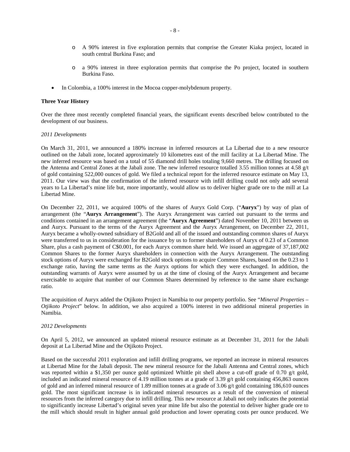- o A 90% interest in five exploration permits that comprise the Greater Kiaka project, located in south central Burkina Faso; and
- o a 90% interest in three exploration permits that comprise the Po project, located in southern Burkina Faso.
- In Colombia, a 100% interest in the Mocoa copper-molybdenum property.

## <span id="page-9-0"></span>**Three Year History**

Over the three most recently completed financial years, the significant events described below contributed to the development of our business.

## *2011 Developments*

On March 31, 2011, we announced a 180% increase in inferred resources at La Libertad due to a new resource outlined on the Jabali zone, located approximately 10 kilometres east of the mill facility at La Libertad Mine. The new inferred resource was based on a total of 55 diamond drill holes totaling 9,660 metres. The drilling focused on the Antenna and Central Zones at the Jabali zone. The new inferred resource totalled 3.55 million tonnes at 4.58 g/t of gold containing 522,000 ounces of gold. We filed a technical report for the inferred resource estimate on May 13, 2011. Our view was that the confirmation of the inferred resource with infill drilling could not only add several years to La Libertad's mine life but, more importantly, would allow us to deliver higher grade ore to the mill at La Libertad Mine.

On December 22, 2011, we acquired 100% of the shares of Auryx Gold Corp. ("**Auryx**") by way of plan of arrangement (the "**Auryx Arrangement**"). The Auryx Arrangement was carried out pursuant to the terms and conditions contained in an arrangement agreement (the "**Auryx Agreement**") dated November 10, 2011 between us and Auryx. Pursuant to the terms of the Auryx Agreement and the Auryx Arrangement, on December 22, 2011, Auryx became a wholly-owned subsidiary of B2Gold and all of the issued and outstanding common shares of Auryx were transferred to us in consideration for the issuance by us to former shareholders of Auryx of 0.23 of a Common Share, plus a cash payment of C\$0.001, for each Auryx common share held. We issued an aggregate of 37,187,002 Common Shares to the former Auryx shareholders in connection with the Auryx Arrangement. The outstanding stock options of Auryx were exchanged for B2Gold stock options to acquire Common Shares, based on the 0.23 to 1 exchange ratio, having the same terms as the Auryx options for which they were exchanged. In addition, the outstanding warrants of Auryx were assumed by us at the time of closing of the Auryx Arrangement and became exercisable to acquire that number of our Common Shares determined by reference to the same share exchange ratio.

The acquisition of Auryx added the Otjikoto Project in Namibia to our property portfolio. See "*Mineral Properties – Otjikoto Project*" below. In addition, we also acquired a 100% interest in two additional mineral properties in Namibia.

## *2012 Developments*

On April 5, 2012, we announced an updated mineral resource estimate as at December 31, 2011 for the Jabali deposit at La Libertad Mine and the Otjikoto Project.

Based on the successful 2011 exploration and infill drilling programs, we reported an increase in mineral resources at Libertad Mine for the Jabali deposit. The new mineral resource for the Jabali Antenna and Central zones, which was reported within a \$1,350 per ounce gold optimized Whittle pit shell above a cut-off grade of 0.70 g/t gold, included an indicated mineral resource of 4.19 million tonnes at a grade of 3.39 g/t gold containing 456,863 ounces of gold and an inferred mineral resource of 1.89 million tonnes at a grade of 3.06 g/t gold containing 186,610 ounces gold. The most significant increase is in indicated mineral resources as a result of the conversion of mineral resources from the inferred category due to infill drilling. This new resource at Jabali not only indicates the potential to significantly increase Libertad's original seven year mine life but also the potential to deliver higher grade ore to the mill which should result in higher annual gold production and lower operating costs per ounce produced. We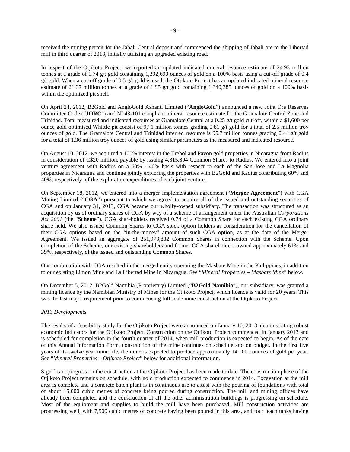received the mining permit for the Jabali Central deposit and commenced the shipping of Jabali ore to the Libertad mill in third quarter of 2013, initially utilizing an upgraded existing road.

In respect of the Otjikoto Project, we reported an updated indicated mineral resource estimate of 24.93 million tonnes at a grade of 1.74 g/t gold containing 1,392,690 ounces of gold on a 100% basis using a cut-off grade of 0.4 g/t gold. When a cut-off grade of 0.5 g/t gold is used, the Otjikoto Project has an updated indicated mineral resource estimate of 21.37 million tonnes at a grade of 1.95 g/t gold containing 1,340,385 ounces of gold on a 100% basis within the optimized pit shell.

On April 24, 2012, B2Gold and AngloGold Ashanti Limited ("**AngloGold**") announced a new Joint Ore Reserves Committee Code ("**JORC**") and NI 43-101 compliant mineral resource estimate for the Gramalote Central Zone and Trinidad. Total measured and indicated resources at Gramalote Central at a 0.25 g/t gold cut-off, within a \$1,600 per ounce gold optimised Whittle pit consist of 97.1 million tonnes grading 0.81 g/t gold for a total of 2.5 million troy ounces of gold. The Gramalote Central and Trinidad inferred resource is 95.7 million tonnes grading 0.44 g/t gold for a total of 1.36 million troy ounces of gold using similar parameters as the measured and indicated resource.

On August 10, 2012, we acquired a 100% interest in the Trebol and Pavon gold properties in Nicaragua from Radius in consideration of C\$20 million, payable by issuing 4,815,894 Common Shares to Radius. We entered into a joint venture agreement with Radius on a 60% - 40% basis with respect to each of the San Jose and La Magnolia properties in Nicaragua and continue jointly exploring the properties with B2Gold and Radius contributing 60% and 40%, respectively, of the exploration expenditures of each joint venture.

On September 18, 2012, we entered into a merger implementation agreement ("**Merger Agreement**") with CGA Mining Limited ("**CGA**") pursuant to which we agreed to acquire all of the issued and outstanding securities of CGA and on January 31, 2013, CGA became our wholly-owned subsidiary. The transaction was structured as an acquisition by us of ordinary shares of CGA by way of a scheme of arrangement under the Australian *Corporations Act 2001* (the "**Scheme**"). CGA shareholders received 0.74 of a Common Share for each existing CGA ordinary share held. We also issued Common Shares to CGA stock option holders as consideration for the cancellation of their CGA options based on the "in-the-money" amount of such CGA option, as at the date of the Merger Agreement. We issued an aggregate of 251,973,832 Common Shares in connection with the Scheme. Upon completion of the Scheme, our existing shareholders and former CGA shareholders owned approximately 61% and 39%, respectively, of the issued and outstanding Common Shares.

Our combination with CGA resulted in the merged entity operating the Masbate Mine in the Philippines, in addition to our existing Limon Mine and La Libertad Mine in Nicaragua. See "*Mineral Properties – Masbate Mine*" below.

On December 5, 2012, B2Gold Namibia (Proprietary) Limited ("**B2Gold Namibia**"), our subsidiary, was granted a mining licence by the Namibian Ministry of Mines for the Otjikoto Project, which licence is valid for 20 years. This was the last major requirement prior to commencing full scale mine construction at the Otjikoto Project.

# *2013 Developments*

The results of a feasibility study for the Otjikoto Project were announced on January 10, 2013, demonstrating robust economic indicators for the Otjikoto Project. Construction on the Otjikoto Project commenced in January 2013 and is scheduled for completion in the fourth quarter of 2014, when mill production is expected to begin. As of the date of this Annual Information Form, construction of the mine continues on schedule and on budget. In the first five years of its twelve year mine life, the mine is expected to produce approximately 141,000 ounces of gold per year. See "*Mineral Properties – Otjikoto Project*" below for additional information.

Significant progress on the construction at the Otjikoto Project has been made to date. The construction phase of the Otjikoto Project remains on schedule, with gold production expected to commence in 2014. Excavation at the mill area is complete and a concrete batch plant is in continuous use to assist with the pouring of foundations with total of about 15,000 cubic metres of concrete being poured during construction. The mill and mining offices have already been completed and the construction of all the other administration buildings is progressing on schedule. Most of the equipment and supplies to build the mill have been purchased. Mill construction activities are progressing well, with 7,500 cubic metres of concrete having been poured in this area, and four leach tanks having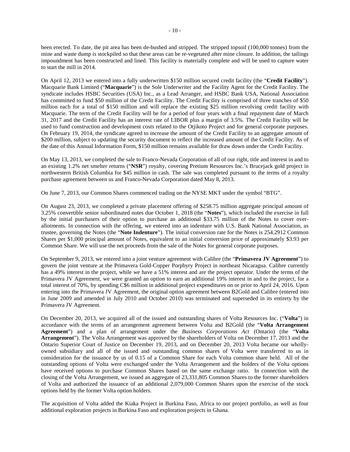been erected. To date, the pit area has been de-bushed and stripped. The stripped topsoil (100,000 tonnes) from the mine and waste dump is stockpiled so that these areas can be re-vegetated after mine closure. In addition, the tailings impoundment has been constructed and lined. This facility is materially complete and will be used to capture water to start the mill in 2014.

On April 12, 2013 we entered into a fully underwritten \$150 million secured credit facility (the "**Credit Facility**"). Macquarie Bank Limited ("**Macquarie**") is the Sole Underwriter and the Facility Agent for the Credit Facility. The syndicate includes HSBC Securities (USA) Inc., as a Lead Arranger, and HSBC Bank USA, National Association has committed to fund \$50 million of the Credit Facility. The Credit Facility is comprised of three tranches of \$50 million each for a total of \$150 million and will replace the existing \$25 million revolving credit facility with Macquarie. The term of the Credit Facility will be for a period of four years with a final repayment date of March 31, 2017 and the Credit Facility has an interest rate of LIBOR plus a margin of 3.5%. The Credit Facility will be used to fund construction and development costs related to the Otjikoto Project and for general corporate purposes. On February 19, 2014, the syndicate agreed to increase the amount of the Credit Facility to an aggregate amount of \$200 million, subject to updating the security document to reflect the increased amount of the Credit Facility. As of the date of this Annual Information Form, \$150 million remains available for draw down under the Credit Facility.

On May 13, 2013, we completed the sale to Franco-Nevada Corporation of all of our right, title and interest in and to an existing 1.2% net smelter returns ("**NSR**") royalty, covering Pretium Resources Inc.'s Brucejack gold project in northwestern British Columbia for \$45 million in cash. The sale was completed pursuant to the terms of a royalty purchase agreement between us and Franco-Nevada Corporation dated May 8, 2013.

On June 7, 2013, our Common Shares commenced trading on the NYSE MKT under the symbol "BTG".

On August 23, 2013, we completed a private placement offering of \$258.75 million aggregate principal amount of 3.25% convertible senior subordinated notes due October 1, 2018 (the "**Notes**"), which included the exercise in full by the initial purchasers of their option to purchase an additional \$33.75 million of the Notes to cover overallotments. In connection with the offering, we entered into an indenture with U.S. Bank National Association, as trustee, governing the Notes (the "**Note Indenture**"). The initial conversion rate for the Notes is 254.2912 Common Shares per \$1,000 principal amount of Notes, equivalent to an initial conversion price of approximately \$3.93 per Common Share. We will use the net proceeds from the sale of the Notes for general corporate purposes.

On September 9, 2013, we entered into a joint venture agreement with Calibre (the "**Primavera JV Agreement**") to govern the joint venture at the Primavera Gold-Copper Porphyry Project in northeast Nicaragua. Calibre currently has a 49% interest in the project, while we have a 51% interest and are the project operator. Under the terms of the Primavera JV Agreement, we were granted an option to earn an additional 19% interest in and to the project, for a total interest of 70%, by spending C\$6 million in additional project expenditures on or prior to April 24, 2016. Upon entering into the Primavera JV Agreement, the original option agreement between B2Gold and Calibre (entered into in June 2009 and amended in July 2010 and October 2010) was terminated and superseded in its entirety by the Primavera JV Agreement.

On December 20, 2013, we acquired all of the issued and outstanding shares of Volta Resources Inc. ("**Volta**") in accordance with the terms of an arrangement agreement between Volta and B2Gold (the "**Volta Arrangement Agreement**") and a plan of arrangement under the *Business Corporations Act* (Ontario) (the "**Volta Arrangement**"). The Volta Arrangement was approved by the shareholders of Volta on December 17, 2013 and the Ontario Superior Court of Justice on December 19, 2013, and on December 20, 2013 Volta became our whollyowned subsidiary and all of the issued and outstanding common shares of Volta were transferred to us in consideration for the issuance by us of 0.15 of a Common Share for each Volta common share held. All of the outstanding options of Volta were exchanged under the Volta Arrangement and the holders of the Volta options have received options to purchase Common Shares based on the same exchange ratio. In connection with the closing of the Volta Arrangement, we issued an aggregate of 23,331,805 Common Shares to the former shareholders of Volta and authorized the issuance of an additional 2,079,000 Common Shares upon the exercise of the stock options held by the former Volta option holders.

The acquisition of Volta added the Kiaka Project in Burkina Faso, Africa to our project portfolio, as well as four additional exploration projects in Burkina Faso and exploration projects in Ghana.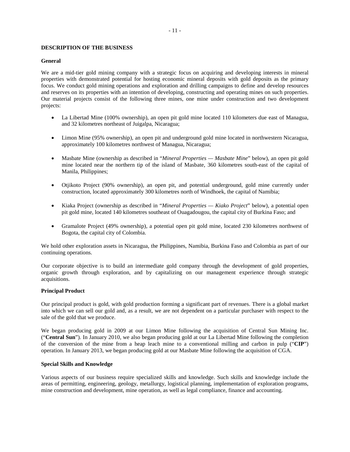# <span id="page-12-0"></span>**DESCRIPTION OF THE BUSINESS**

# **General**

We are a mid-tier gold mining company with a strategic focus on acquiring and developing interests in mineral properties with demonstrated potential for hosting economic mineral deposits with gold deposits as the primary focus. We conduct gold mining operations and exploration and drilling campaigns to define and develop resources and reserves on its properties with an intention of developing, constructing and operating mines on such properties. Our material projects consist of the following three mines, one mine under construction and two development projects:

- La Libertad Mine (100% ownership), an open pit gold mine located 110 kilometers due east of Managua, and 32 kilometres northeast of Juigalpa, Nicaragua;
- Limon Mine (95% ownership), an open pit and underground gold mine located in northwestern Nicaragua, approximately 100 kilometres northwest of Managua, Nicaragua;
- Masbate Mine (ownership as described in "*Mineral Properties — Masbate Mine*" below), an open pit gold mine located near the northern tip of the island of Masbate, 360 kilometres south-east of the capital of Manila, Philippines;
- Otjikoto Project (90% ownership), an open pit, and potential underground, gold mine currently under construction, located approximately 300 kilometres north of Windhoek, the capital of Namibia;
- Kiaka Project (ownership as described in "*Mineral Properties — Kiako Project*" below), a potential open pit gold mine, located 140 kilometres southeast of Ouagadougou, the capital city of Burkina Faso; and
- Gramalote Project (49% ownership), a potential open pit gold mine, located 230 kilometres northwest of Bogota, the capital city of Colombia.

We hold other exploration assets in Nicaragua, the Philippines, Namibia, Burkina Faso and Colombia as part of our continuing operations.

Our corporate objective is to build an intermediate gold company through the development of gold properties, organic growth through exploration, and by capitalizing on our management experience through strategic acquisitions.

# <span id="page-12-1"></span>**Principal Product**

Our principal product is gold, with gold production forming a significant part of revenues. There is a global market into which we can sell our gold and, as a result, we are not dependent on a particular purchaser with respect to the sale of the gold that we produce.

We began producing gold in 2009 at our Limon Mine following the acquisition of Central Sun Mining Inc. ("**Central Sun**"). In January 2010, we also began producing gold at our La Libertad Mine following the completion of the conversion of the mine from a heap leach mine to a conventional milling and carbon in pulp ("**CIP**") operation. In January 2013, we began producing gold at our Masbate Mine following the acquisition of CGA.

# <span id="page-12-2"></span>**Special Skills and Knowledge**

Various aspects of our business require specialized skills and knowledge. Such skills and knowledge include the areas of permitting, engineering, geology, metallurgy, logistical planning, implementation of exploration programs, mine construction and development, mine operation, as well as legal compliance, finance and accounting.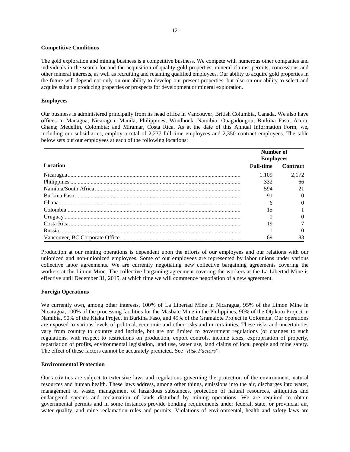## <span id="page-13-0"></span>**Competitive Conditions**

The gold exploration and mining business is a competitive business. We compete with numerous other companies and individuals in the search for and the acquisition of quality gold properties, mineral claims, permits, concessions and other mineral interests, as well as recruiting and retaining qualified employees. Our ability to acquire gold properties in the future will depend not only on our ability to develop our present properties, but also on our ability to select and acquire suitable producing properties or prospects for development or mineral exploration.

# <span id="page-13-1"></span>**Employees**

Our business is administered principally from its head office in Vancouver, British Columbia, Canada. We also have offices in Managua, Nicaragua; Manila, Philippines; Windhoek, Namibia; Ouagadougou, Burkina Faso; Accra, Ghana; Medellin, Colombia; and Miramar, Costa Rica. As at the date of this Annual Information Form, we, including our subsidiaries, employ a total of 2,237 full-time employees and 2,350 contract employees. The table below sets out our employees at each of the following locations:

| <b>Location</b> |       | Number of                    |
|-----------------|-------|------------------------------|
|                 |       | <b>Employees</b><br>Contract |
|                 | 1.109 | 2.172                        |
|                 | 332   | 66                           |
|                 | 594   | 21                           |
|                 | 91    |                              |
|                 | 6     |                              |
|                 | 15    |                              |
|                 |       |                              |
|                 | 19    |                              |
|                 |       |                              |
|                 | 69    | 83                           |

Production at our mining operations is dependent upon the efforts of our employees and our relations with our unionized and non-unionized employees. Some of our employees are represented by labor unions under various collective labor agreements. We are currently negotiating new collective bargaining agreements covering the workers at the Limon Mine. The collective bargaining agreement covering the workers at the La Libertad Mine is effective until December 31, 2015, at which time we will commence negotiation of a new agreement.

# <span id="page-13-2"></span>**Foreign Operations**

We currently own, among other interests, 100% of La Libertad Mine in Nicaragua, 95% of the Limon Mine in Nicaragua, 100% of the processing facilities for the Masbate Mine in the Philippines, 90% of the Otjikoto Project in Namibia, 90% of the Kiaka Project in Burkina Faso, and 49% of the Gramalote Project in Colombia. Our operations are exposed to various levels of political, economic and other risks and uncertainties. These risks and uncertainties vary from country to country and include, but are not limited to government regulations (or changes to such regulations, with respect to restrictions on production, export controls, income taxes, expropriation of property, repatriation of profits, environmental legislation, land use, water use, land claims of local people and mine safety. The effect of these factors cannot be accurately predicted. See "*Risk Factors*".

#### <span id="page-13-3"></span>**Environmental Protection**

Our activities are subject to extensive laws and regulations governing the protection of the environment, natural resources and human health. These laws address, among other things, emissions into the air, discharges into water, management of waste, management of hazardous substances, protection of natural resources, antiquities and endangered species and reclamation of lands disturbed by mining operations. We are required to obtain governmental permits and in some instances provide bonding requirements under federal, state, or provincial air, water quality, and mine reclamation rules and permits. Violations of environmental, health and safety laws are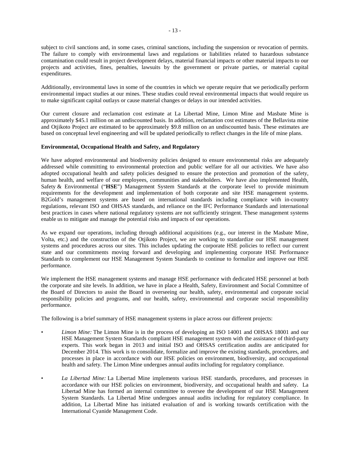subject to civil sanctions and, in some cases, criminal sanctions, including the suspension or revocation of permits. The failure to comply with environmental laws and regulations or liabilities related to hazardous substance contamination could result in project development delays, material financial impacts or other material impacts to our projects and activities, fines, penalties, lawsuits by the government or private parties, or material capital expenditures.

Additionally, environmental laws in some of the countries in which we operate require that we periodically perform environmental impact studies at our mines. These studies could reveal environmental impacts that would require us to make significant capital outlays or cause material changes or delays in our intended activities.

Our current closure and reclamation cost estimate at La Libertad Mine, Limon Mine and Masbate Mine is approximately \$45.1 million on an undiscounted basis. In addition, reclamation cost estimates of the Bellavista mine and Otjikoto Project are estimated to be approximately \$9.8 million on an undiscounted basis. These estimates are based on conceptual level engineering and will be updated periodically to reflect changes in the life of mine plans.

# **Environmental, Occupational Health and Safety, and Regulatory**

We have adopted environmental and biodiversity policies designed to ensure environmental risks are adequately addressed while committing to environmental protection and public welfare for all our activities. We have also adopted occupational health and safety policies designed to ensure the protection and promotion of the safety, human health, and welfare of our employees, communities and stakeholders. We have also implemented Health, Safety & Environmental ("**HSE**") Management System Standards at the corporate level to provide minimum requirements for the development and implementation of both corporate and site HSE management systems. B2Gold's management systems are based on international standards including compliance with in-country regulations, relevant ISO and OHSAS standards, and reliance on the IFC Performance Standards and international best practices in cases where national regulatory systems are not sufficiently stringent. These management systems enable us to mitigate and manage the potential risks and impacts of our operations.

As we expand our operations, including through additional acquisitions (e.g., our interest in the Masbate Mine, Volta, etc.) and the construction of the Otjikoto Project, we are working to standardize our HSE management systems and procedures across our sites. This includes updating the corporate HSE policies to reflect our current state and our commitments moving forward and developing and implementing corporate HSE Performance Standards to complement our HSE Management System Standards to continue to formalize and improve our HSE performance.

We implement the HSE management systems and manage HSE performance with dedicated HSE personnel at both the corporate and site levels. In addition, we have in place a Health, Safety, Environment and Social Committee of the Board of Directors to assist the Board in overseeing our health, safety, environmental and corporate social responsibility policies and programs, and our health, safety, environmental and corporate social responsibility performance.

The following is a brief summary of HSE management systems in place across our different projects:

- *Limon Mine:* The Limon Mine is in the process of developing an ISO 14001 and OHSAS 18001 and our HSE Management System Standards compliant HSE management system with the assistance of third-party experts. This work began in 2013 and initial ISO and OHSAS certification audits are anticipated for December 2014. This work is to consolidate, formalize and improve the existing standards, procedures, and processes in place in accordance with our HSE policies on environment, biodiversity, and occupational health and safety. The Limon Mine undergoes annual audits including for regulatory compliance.
- *La Libertad Mine:* La Libertad Mine implements various HSE standards, procedures, and processes in accordance with our HSE policies on environment, biodiversity, and occupational health and safety. La Libertad Mine has formed an internal committee to oversee the development of our HSE Management System Standards. La Libertad Mine undergoes annual audits including for regulatory compliance. In addition, La Libertad Mine has initiated evaluation of and is working towards certification with the International Cyanide Management Code.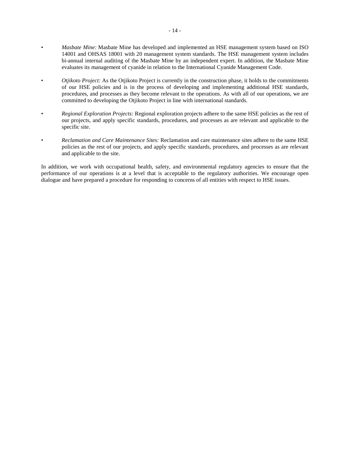- *Masbate Mine:* Masbate Mine has developed and implemented an HSE management system based on ISO 14001 and OHSAS 18001 with 20 management system standards. The HSE management system includes bi-annual internal auditing of the Masbate Mine by an independent expert. In addition, the Masbate Mine evaluates its management of cyanide in relation to the International Cyanide Management Code.
- *Otjikoto Project:* As the Otjikoto Project is currently in the construction phase, it holds to the commitments of our HSE policies and is in the process of developing and implementing additional HSE standards, procedures, and processes as they become relevant to the operations. As with all of our operations, we are committed to developing the Otjikoto Project in line with international standards.
- *Regional Exploration Projects:* Regional exploration projects adhere to the same HSE policies as the rest of our projects, and apply specific standards, procedures, and processes as are relevant and applicable to the specific site.
- *Reclamation and Care Maintenance Sites:* Reclamation and care maintenance sites adhere to the same HSE policies as the rest of our projects, and apply specific standards, procedures, and processes as are relevant and applicable to the site.

In addition, we work with occupational health, safety, and environmental regulatory agencies to ensure that the performance of our operations is at a level that is acceptable to the regulatory authorities. We encourage open dialogue and have prepared a procedure for responding to concerns of all entities with respect to HSE issues.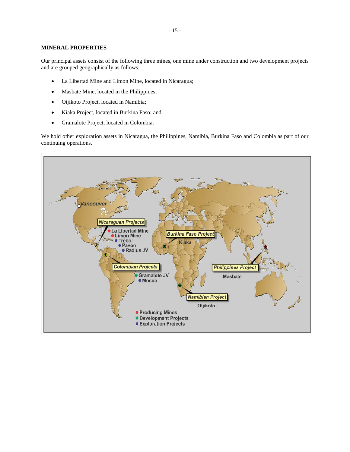# <span id="page-16-0"></span>**MINERAL PROPERTIES**

Our principal assets consist of the following three mines, one mine under construction and two development projects and are grouped geographically as follows:

- La Libertad Mine and Limon Mine, located in Nicaragua;
- Masbate Mine, located in the Philippines;
- Otjikoto Project, located in Namibia;
- Kiaka Project, located in Burkina Faso; and
- Gramalote Project, located in Colombia.

We hold other exploration assets in Nicaragua, the Philippines, Namibia, Burkina Faso and Colombia as part of our continuing operations.

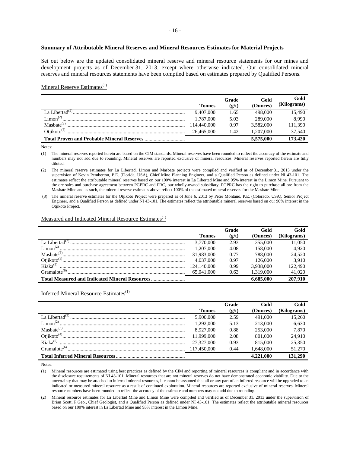#### **Summary of Attributable Mineral Reserves and Mineral Resources Estimates for Material Projects**

Set out below are the updated consolidated mineral reserve and mineral resource statements for our mines and development projects as of December 31, 2013, except where otherwise indicated. Our consolidated mineral reserves and mineral resources statements have been compiled based on estimates prepared by Qualified Persons.

#### Mineral Reserve Estimates $^{(1)}$

|                                   | <b>Tonnes</b> | Grade<br>(g/t) | Gold<br>(Ounces) | Gold<br>(Kilograms) |
|-----------------------------------|---------------|----------------|------------------|---------------------|
| La Libertad <sup>(2)</sup>        | 9,407,000     | 1.65           | 498,000          | 15.490              |
| Limon <sup><math>(2)</math></sup> | 1,787,000     | 5.03           | 289,000          | 8,990               |
| $Mashate^{(2)}$                   | 114.440.000   | 0.97           | 3,582,000        | 111,390             |
| Otiikoto <sup>(3)</sup>           | 26,465,000    | 1.42           | 1.207.000        | 37,540              |
|                                   |               |                | 5,575,000        | 173.420             |

Notes:

(1) The mineral reserves reported herein are based on the CIM standards. Mineral reserves have been rounded to reflect the accuracy of the estimate and numbers may not add due to rounding. Mineral reserves are reported exclusive of mineral resources. Mineral reserves reported herein are fully diluted.

(2) The mineral reserve estimates for La Libertad, Limon and Masbate projects were compiled and verified as of December 31, 2013 under the supervision of Kevin Pemberton, P.E. (Florida, USA), Chief Mine Planning Engineer, and a Qualified Person as defined under NI 43-101. The estimates reflect the attributable mineral reserves based on our 100% interest in La Libertad Mine and 95% interest in the Limon Mine. Pursuant to the ore sales and purchase agreement between PGPRC and FRC, our wholly-owned subsidiary, PGPRC has the right to purchase all ore from the Masbate Mine and as such, the mineral reserve estimates above reflect 100% of the estimated mineral reserves for the Masbate Mine.

(3) The mineral reserve estimates for the Otjikoto Project were prepared as of June 6, 2013 by Peter Montano, P.E. (Colorado, USA), Senior Project Engineer, and a Qualified Person as defined under NI 43-101. The estimates reflect the attributable mineral reserves based on our 90% interest in the Otjikoto Project.

#### Measured and Indicated Mineral Resource Estimates<sup>(1)</sup>

|                                                |             | Grade | Gold      | Gold        |
|------------------------------------------------|-------------|-------|-----------|-------------|
|                                                | Tonnes      | (g/t) | (Ounces)  | (Kilograms) |
| La Libertad <sup>(2)</sup>                     | 3,770,000   | 2.93  | 355,000   | 11.050      |
| Limon <sup>(2)</sup>                           | 1.207.000   | 4.08  | 158,000   | 4.920       |
| $M$ asbate $^{(3)}$                            | 31,983,000  | 0.77  | 788,000   | 24.520      |
| Otjikoto $(4)$ .                               | 4,037,000   | 0.97  | 126,000   | 3.910       |
| Kiaka <sup>(5)</sup>                           | 124,140,000 | 0.99  | 3.938,000 | 122,490     |
| $Gramalote^{(6)}$                              | 65,041,000  | 0.63  | 1.319.000 | 41,020      |
| Total Measured and Indicated Mineral Resources |             |       | 6.685.000 | 207.910     |

Inferred Mineral Resource Estimates<sup>(1)</sup>

|                                    |               | Grade | Gold      | Gold        |
|------------------------------------|---------------|-------|-----------|-------------|
|                                    | <b>Tonnes</b> | (g/t) | (Ounces)  | (Kilograms) |
| La Libertad <sup>(2)</sup>         | 5,900,000     | 2.59  | 491,000   | 15.260      |
| Limon <sup>(2)</sup>               | 1.292.000     | 5.13  | 213,000   | 6.630       |
| $\mathbf{M}$ ashate <sup>(3)</sup> | 8.927.000     | 0.88  | 253,000   | 7,870       |
| Otjikoto $(4)$ .                   | 11.999.000    | 2.08  | 801,000   | 24.910      |
| Kiaka <sup>(5)</sup>               | 27,327,000    | 0.93  | 815.000   | 25.350      |
| $Gramalote^{(6)}$                  | 117,450,000   | 0.44  | 1.648.000 | 51,270      |
|                                    |               |       | 4,221,000 | 131.290     |

Notes:

(1) Mineral resources are estimated using best practices as defined by the CIM and reporting of mineral resources is compliant and in accordance with the disclosure requirements of NI 43-101. Mineral resources that are not mineral reserves do not have demonstrated economic viability. Due to the uncertainty that may be attached to inferred mineral resources, it cannot be assumed that all or any part of an inferred resource will be upgraded to an indicated or measured mineral resource as a result of continued exploration. Mineral resources are reported exclusive of mineral reserves. Mineral resource numbers have been rounded to reflect the accuracy of the estimate and numbers may not add due to rounding.

(2) Mineral resource estimates for La Libertad Mine and Limon Mine were compiled and verified as of December 31, 2013 under the supervision of Brian Scott, P.Geo., Chief Geologist, and a Qualified Person as defined under NI 43-101. The estimates reflect the attributable mineral resources based on our 100% interest in La Libertad Mine and 95% interest in the Limon Mine.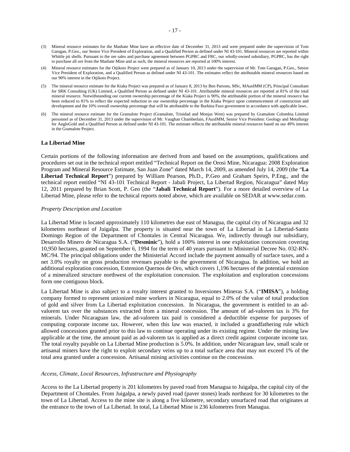- (3) Mineral resource estimates for the Masbate Mine have an effective date of December 31, 2013 and were prepared under the supervision of Tom Garagan, P.Geo., our Senior Vice President of Exploration, and a Qualified Person as defined under NI 43-101. Mineral resources are reported within Whittle pit shells. Pursuant to the ore sales and purchase agreement between PGPRC and FRC, our wholly-owned subsidiary, PGPRC, has the right to purchase all ore from the Masbate Mine and as such, the mineral resources are reported at 100% interest.
- (4) Mineral resource estimates for the Otjikoto Project were prepared as of January 10, 2013 under the supervision of Mr. Tom Garagan, P.Geo., Senior Vice President of Exploration, and a Qualified Person as defined under NI 43-101. The estimates reflect the attributable mineral resources based on our 90% interest in the Otjikoto Project.
- (5) The mineral resource estimate for the Kiaka Project was prepared as of January 8, 2013 by Ben Parsons, MSc, MAusIMM (CP), Principal Consultant for SRK Consulting (UK) Limited, a Qualified Person as defined under NI 43-101. Attributable mineral resources are reported at 81% of the total mineral resource. Notwithstanding our current ownership percentage of the Kiaka Project is 90%, the attributable portion of the mineral resource has been reduced to 81% to reflect the expected reduction in our ownership percentage in the Kiaka Project upon commencement of construction and development and the 10% overall ownership percentage that will be attributable to the Burkina Faso government in accordance with applicable laws..
- (6) The mineral resource estimate for the Gramalote Project (Gramalote, Trinidad and Monjas West) was prepared by Gramalote Colombia Limited personnel as of December 31, 2013 under the supervision of Mr. Vaughan Chamberlain, FAusIMM, Senior Vice President: Geology and Metallurgy for AngloGold and a Qualified Person as defined under NI 43-101. The estimate reflects the attributable mineral resources based on our 49% interest in the Gramalote Project.

#### <span id="page-18-0"></span>**La Libertad Mine**

Certain portions of the following information are derived from and based on the assumptions, qualifications and procedures set out in the technical report entitled "Technical Report on the Orosi Mine, Nicaragua: 2008 Exploration Program and Mineral Resource Estimate, San Juan Zone" dated March 14, 2009, as amended July 14, 2009 (the "**La Libertad Technical Report**") prepared by William Pearson, Ph.D., P.Geo and Graham Speirs, P.Eng., and the technical report entitled "NI 43-101 Technical Report - Jabali Project, La Libertad Region, Nicaragua" dated May 12, 2011 prepared by Brian Scott, P. Geo (the "**Jabali Technical Report**"). For a more detailed overview of La Libertad Mine, please refer to the technical reports noted above, which are available on SEDAR at www.sedar.com.

#### *Property Description and Location*

La Libertad Mine is located approximately 110 kilometres due east of Managua, the capital city of Nicaragua and 32 kilometres northeast of Juigalpa. The property is situated near the town of La Libertad in La Libertad-Santo Domingo Region of the Department of Chontales in Central Nicaragua. We, indirectly through our subsidiary, Desarrollo Minero de Nicaragua S.A. ("**Desminic**"), hold a 100% interest in one exploitation concession covering 10,950 hectares, granted on September 6, 1994 for the term of 40 years pursuant to Ministerial Decree No. 032-RN-MC/94. The principal obligations under the Ministerial Accord include the payment annually of surface taxes, and a net 3.0% royalty on gross production revenues payable to the government of Nicaragua. In addition, we hold an additional exploration concession, Extension Quernos de Oro, which covers 1,196 hectares of the potential extension of a mineralized structure northwest of the exploitation concession. The exploitation and exploration concessions form one contiguous block.

La Libertad Mine is also subject to a royalty interest granted to Inversiones Mineras S.A. ("**IMISA**"), a holding company formed to represent unionized mine workers in Nicaragua, equal to 2.0% of the value of total production of gold and silver from La Libertad exploitation concession. In Nicaragua, the government is entitled to an advalorem tax over the substances extracted from a mineral concession. The amount of ad-valorem tax is 3% for minerals. Under Nicaraguan law, the ad-valorem tax paid is considered a deductible expense for purposes of computing corporate income tax. However, when this law was enacted, it included a grandfathering rule which allowed concessions granted prior to this law to continue operating under its existing regime. Under the mining law applicable at the time, the amount paid as ad-valorem tax is applied as a direct credit against corporate income tax. The total royalty payable on La Libertad Mine production is 5.0%. In addition, under Nicaraguan law, small scale or artisanal miners have the right to exploit secondary veins up to a total surface area that may not exceed 1% of the total area granted under a concession. Artisanal mining activities continue on the concession.

# *Access, Climate, Local Resources, Infrastructure and Physiography*

Access to the La Libertad property is 201 kilometres by paved road from Managua to Juigalpa, the capital city of the Department of Chontales. From Juigalpa, a newly paved road (paver stones) leads northeast for 30 kilometres to the town of La Libertad. Access to the mine site is along a five kilometre, secondary unsurfaced road that originates at the entrance to the town of La Libertad. In total, La Libertad Mine is 236 kilometres from Managua.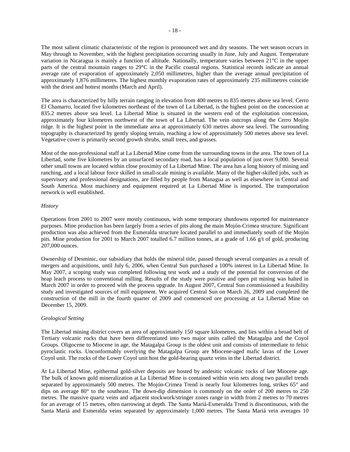The most salient climatic characteristic of the region is pronounced wet and dry seasons. The wet season occurs in May through to November, with the highest precipitation occurring usually in June, July and August. Temperature variation in Nicaragua is mainly a function of altitude. Nationally, temperature varies between 21°C in the upper parts of the central mountain ranges to 29°C in the Pacific coastal regions. Statistical records indicate an annual average rate of evaporation of approximately 2,050 millimetres, higher than the average annual precipitation of approximately 1,876 millimetres. The highest monthly evaporation rates of approximately 235 millimetres coincide with the driest and hottest months (March and April).

The area is characterized by hilly terrain ranging in elevation from 400 metres to 835 metres above sea level. Cerro El Chamarro, located five kilometres northeast of the town of La Libertad, is the highest point on the concession at 835.2 metres above sea level. La Libertad Mine is situated in the western end of the exploitation concession, approximately four kilometres northwest of the town of La Libertad. The vein outcrops along the Cerro Mojón ridge. It is the highest point in the immediate area at approximately 630 metres above sea level. The surrounding topography is characterized by gently sloping terrain, reaching a low of approximately 500 metres above sea level. Vegetative cover is primarily second growth shrubs, small trees, and grasses.

Most of the non-professional staff at La Libertad Mine come from the surrounding towns in the area. The town of La Libertad, some five kilometres by an unsurfaced secondary road, has a local population of just over 9,000. Several other small towns are located within close proximity of La Libertad Mine. The area has a long history of mining and ranching, and a local labour force skilled in small-scale mining is available. Many of the higher-skilled jobs, such as supervisory and professional designations, are filled by people from Managua as well as elsewhere in Central and South America. Most machinery and equipment required at La Libertad Mine is imported. The transportation network is well established.

# *History*

Operations from 2001 to 2007 were mostly continuous, with some temporary shutdowns reported for maintenance purposes. Mine production has been largely from a series of pits along the main Mojón-Crimea structure. Significant production was also achieved from the Esmeralda structure located parallel to and immediately south of the Mojón pits. Mine production for 2001 to March 2007 totalled 6.7 million tonnes, at a grade of 1.66 g/t of gold, producing 207,000 ounces.

Ownership of Desminic, our subsidiary that holds the mineral title, passed through several companies as a result of mergers and acquisitions, until July 6, 2006, when Central Sun purchased a 100% interest in La Libertad Mine. In May 2007, a scoping study was completed following test work and a study of the potential for conversion of the heap leach process to conventional milling. Results of the study were positive and open pit mining was halted in March 2007 in order to proceed with the process upgrade. In August 2007, Central Sun commissioned a feasibility study and investigated sources of mill equipment. We acquired Central Sun on March 26, 2009 and completed the construction of the mill in the fourth quarter of 2009 and commenced ore processing at La Libertad Mine on December 15, 2009.

# *Geological Setting*

The Libertad mining district covers an area of approximately 150 square kilometres, and lies within a broad belt of Tertiary volcanic rocks that have been differentiated into two major units called the Matagalpa and the Coyol Groups. Oligocene to Miocene in age, the Matagalpa Group is the oldest unit and consists of intermediate to felsic pyroclastic rocks. Unconformably overlying the Matagalpa Group are Miocene-aged mafic lavas of the Lower Coyol unit. The rocks of the Lower Coyol unit host the gold-bearing quartz veins in the Libertad district.

At La Libertad Mine, epithermal gold-silver deposits are hosted by andesitic volcanic rocks of late Miocene age. The bulk of known gold mineralization at La Libertad Mine is contained within vein sets along two parallel trends separated by approximately 500 metres. The Mojón-Crimea Trend is nearly four kilometres long, strikes 65° and dips on average 80° to the southeast. The down-dip dimension is commonly on the order of 200 metres to 250 metres. The massive quartz veins and adjacent stockwork/stringer zones range in width from 2 metres to 70 metres for an average of 15 metres, often narrowing at depth. The Santa Mariá-Esmeralda Trend is discontinuous, with the Santa Mariá and Esmeralda veins separated by approximately 1,000 metres. The Santa Mariá vein averages 10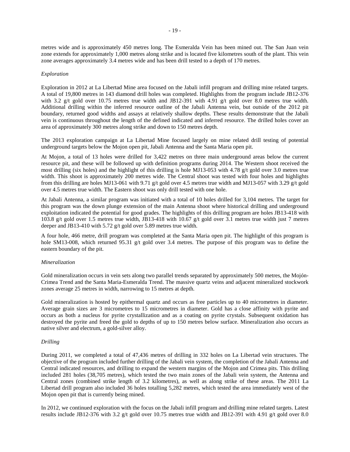metres wide and is approximately 450 metres long. The Esmeralda Vein has been mined out. The San Juan vein zone extends for approximately 1,000 metres along strike and is located five kilometres south of the plant. This vein zone averages approximately 3.4 metres wide and has been drill tested to a depth of 170 metres.

# *Exploration*

Exploration in 2012 at La Libertad Mine area focused on the Jabali infill program and drilling mine related targets. A total of 19,800 metres in 143 diamond drill holes was completed. Highlights from the program include JB12-376 with 3.2 g/t gold over 10.75 metres true width and JB12-391 with 4.91 g/t gold over 8.0 metres true width. Additional drilling within the inferred resource outline of the Jabali Antenna vein, but outside of the 2012 pit boundary, returned good widths and assays at relatively shallow depths. These results demonstrate that the Jabali vein is continuous throughout the length of the defined indicated and inferred resource. The drilled holes cover an area of approximately 300 metres along strike and down to 150 metres depth.

The 2013 exploration campaign at La Libertad Mine focused largely on mine related drill testing of potential underground targets below the Mojon open pit, Jabali Antenna and the Santa Maria open pit.

At Mojon, a total of 13 holes were drilled for 3,422 metres on three main underground areas below the current resource pit, and these will be followed up with definition programs during 2014. The Western shoot received the most drilling (six holes) and the highlight of this drilling is hole MJ13-053 with 4.78 g/t gold over 3.0 metres true width. This shoot is approximately 200 metres wide. The Central shoot was tested with four holes and highlights from this drilling are holes MJ13-061 with 9.71 g/t gold over 4.5 metres true width and MJ13-057 with 3.29 g/t gold over 4.5 metres true width. The Eastern shoot was only drill tested with one hole.

At Jabali Antenna, a similar program was initiated with a total of 10 holes drilled for 3,104 metres. The target for this program was the down plunge extension of the main Antenna shoot where historical drilling and underground exploitation indicated the potential for good grades. The highlights of this drilling program are holes JB13-418 with 103.8 g/t gold over 1.5 metres true width, JB13-418 with 10.67 g/t gold over 3.1 metres true width just 7 metres deeper and JB13-410 with 5.72 g/t gold over 5.89 metres true width.

A four hole, 466 metre, drill program was completed at the Santa Maria open pit. The highlight of this program is hole SM13-008, which returned 95.31 g/t gold over 3.4 metres. The purpose of this program was to define the eastern boundary of the pit.

# *Mineralization*

Gold mineralization occurs in vein sets along two parallel trends separated by approximately 500 metres, the Mojón-Crimea Trend and the Santa Maria-Esmeralda Trend. The massive quartz veins and adjacent mineralized stockwork zones average 25 metres in width, narrowing to 15 metres at depth.

Gold mineralization is hosted by epithermal quartz and occurs as free particles up to 40 micrometres in diameter. Average grain sizes are 3 micrometres to 15 micrometres in diameter. Gold has a close affinity with pyrite and occurs as both a nucleus for pyrite crystallization and as a coating on pyrite crystals. Subsequent oxidation has destroyed the pyrite and freed the gold to depths of up to 150 metres below surface. Mineralization also occurs as native silver and electrum, a gold-silver alloy.

# *Drilling*

During 2011, we completed a total of 47,436 metres of drilling in 332 holes on La Libertad vein structures. The objective of the program included further drilling of the Jabali vein system, the completion of the Jabali Antenna and Central indicated resources, and drilling to expand the western margins of the Mojon and Crimea pits. This drilling included 281 holes (38,705 metres), which tested the two main zones of the Jabali vein system, the Antenna and Central zones (combined strike length of 3.2 kilometres), as well as along strike of these areas. The 2011 La Libertad drill program also included 36 holes totalling 5,282 metres, which tested the area immediately west of the Mojon open pit that is currently being mined.

In 2012, we continued exploration with the focus on the Jabali infill program and drilling mine related targets. Latest results include JB12-376 with 3.2 g/t gold over 10.75 metres true width and JB12-391 with 4.91 g/t gold over 8.0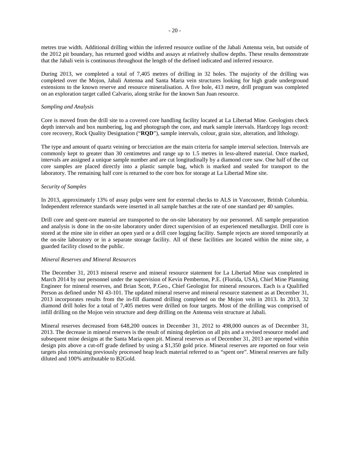metres true width. Additional drilling within the inferred resource outline of the Jabali Antenna vein, but outside of the 2012 pit boundary, has returned good widths and assays at relatively shallow depths. These results demonstrate that the Jabali vein is continuous throughout the length of the defined indicated and inferred resource.

During 2013, we completed a total of 7,405 metres of drilling in 32 holes. The majority of the drilling was completed over the Mojon, Jabali Antenna and Santa Maria vein structures looking for high grade underground extensions to the known reserve and resource mineralisation. A five hole, 413 metre, drill program was completed on an exploration target called Calvario, along strike for the known San Juan resource.

# *Sampling and Analysis*

Core is moved from the drill site to a covered core handling facility located at La Libertad Mine. Geologists check depth intervals and box numbering, log and photograph the core, and mark sample intervals. Hardcopy logs record: core recovery, Rock Quality Designation ("**RQD**"), sample intervals, colour, grain size, alteration, and lithology.

The type and amount of quartz veining or brecciation are the main criteria for sample interval selection. Intervals are commonly kept to greater than 30 centimetres and range up to 1.5 metres in less-altered material. Once marked, intervals are assigned a unique sample number and are cut longitudinally by a diamond core saw. One half of the cut core samples are placed directly into a plastic sample bag, which is marked and sealed for transport to the laboratory. The remaining half core is returned to the core box for storage at La Libertad Mine site.

#### *Security of Samples*

In 2013, approximately 13% of assay pulps were sent for external checks to ALS in Vancouver, British Columbia. Independent reference standards were inserted in all sample batches at the rate of one standard per 40 samples.

Drill core and spent-ore material are transported to the on-site laboratory by our personnel. All sample preparation and analysis is done in the on-site laboratory under direct supervision of an experienced metallurgist. Drill core is stored at the mine site in either an open yard or a drill core logging facility. Sample rejects are stored temporarily at the on-site laboratory or in a separate storage facility. All of these facilities are located within the mine site, a guarded facility closed to the public.

#### *Mineral Reserves and Mineral Resources*

The December 31, 2013 mineral reserve and mineral resource statement for La Libertad Mine was completed in March 2014 by our personnel under the supervision of Kevin Pemberton, P.E. (Florida, USA), Chief Mine Planning Engineer for mineral reserves, and Brian Scott, P.Geo., Chief Geologist for mineral resources. Each is a Qualified Person as defined under NI 43-101. The updated mineral reserve and mineral resource statement as at December 31, 2013 incorporates results from the in-fill diamond drilling completed on the Mojon vein in 2013. In 2013, 32 diamond drill holes for a total of 7,405 metres were drilled on four targets. Most of the drilling was comprised of infill drilling on the Mojon vein structure and deep drilling on the Antenna vein structure at Jabali.

Mineral reserves decreased from 648,200 ounces in December 31, 2012 to 498,000 ounces as of December 31, 2013. The decrease in mineral reserves is the result of mining depletion on all pits and a revised resource model and subsequent mine designs at the Santa Maria open pit. Mineral reserves as of December 31, 2013 are reported within design pits above a cut-off grade defined by using a \$1,350 gold price. Mineral reserves are reported on four vein targets plus remaining previously processed heap leach material referred to as "spent ore". Mineral reserves are fully diluted and 100% attributable to B2Gold.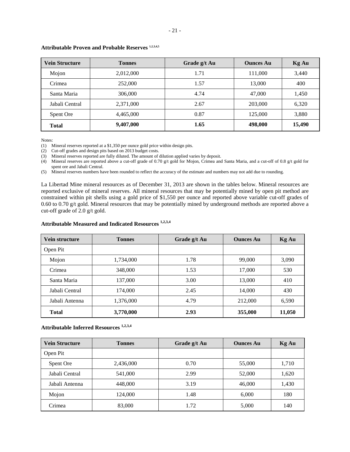| Vein Structure | <b>Tonnes</b> | Grade g/t Au | <b>Ounces Au</b> | <b>Kg Au</b> |
|----------------|---------------|--------------|------------------|--------------|
| Mojon          | 2,012,000     | 1.71         | 111,000          | 3,440        |
| Crimea         | 252,000       | 1.57         | 13,000           | 400          |
| Santa Maria    | 306,000       | 4.74         | 47,000           | 1,450        |
| Jabali Central | 2,371,000     | 2.67         | 203,000          | 6,320        |
| Spent Ore      | 4,465,000     | 0.87         | 125,000          | 3,880        |
| Total          | 9,407,000     | 1.65         | 498,000          | 15,490       |

# **Attributable Proven and Probable Reserves 1,2,3,4,5**

Notes:

(1) Mineral reserves reported at a \$1,350 per ounce gold price within design pits.

(2) Cut-off grades and design pits based on 2013 budget costs.

(3) Mineral reserves reported are fully diluted. The amount of dilution applied varies by deposit.

(4) Mineral reserves are reported above a cut-off grade of 0.70 g/t gold for Mojon, Crimea and Santa Maria, and a cut-off of 0.8 g/t gold for spent ore and Jabali Central.

(5) Mineral reserves numbers have been rounded to reflect the accuracy of the estimate and numbers may not add due to rounding.

La Libertad Mine mineral resources as of December 31, 2013 are shown in the tables below. Mineral resources are reported exclusive of mineral reserves. All mineral resources that may be potentially mined by open pit method are constrained within pit shells using a gold price of \$1,550 per ounce and reported above variable cut-off grades of 0.60 to 0.70 g/t gold. Mineral resources that may be potentially mined by underground methods are reported above a cut-off grade of 2.0 g/t gold.

# **Attributable Measured and Indicated Resources 1,2,3,4**

| Vein structure | <b>Tonnes</b> | Grade g/t Au | <b>Ounces Au</b> | <b>Kg Au</b> |
|----------------|---------------|--------------|------------------|--------------|
| Open Pit       |               |              |                  |              |
| Mojon          | 1,734,000     | 1.78         | 99,000           | 3,090        |
| Crimea         | 348,000       | 1.53         | 17,000           | 530          |
| Santa Maria    | 137,000       | 3.00         | 13,000           | 410          |
| Jabali Central | 174,000       | 2.45         | 14,000           | 430          |
| Jabali Antenna | 1,376,000     | 4.79         | 212,000          | 6,590        |
| <b>Total</b>   | 3,770,000     | 2.93         | 355,000          | 11,050       |

# **Attributable Inferred Resources 1,2,3,4**

| <b>Vein Structure</b> | <b>Tonnes</b> | Grade g/t Au | <b>Ounces Au</b> | <b>Kg Au</b> |
|-----------------------|---------------|--------------|------------------|--------------|
| Open Pit              |               |              |                  |              |
| Spent Ore             | 2,436,000     | 0.70         | 55,000           | 1,710        |
| Jabali Central        | 541,000       | 2.99         | 52,000           | 1,620        |
| Jabali Antenna        | 448,000       | 3.19         | 46,000           | 1,430        |
| Mojon                 | 124,000       | 1.48         | 6,000            | 180          |
| Crimea                | 83,000        | 1.72         | 5,000            | 140          |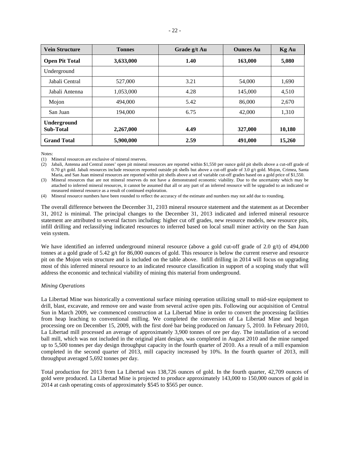| <b>Vein Structure</b>           | <b>Tonnes</b> | Grade g/t Au | <b>Ounces Au</b> | <b>Kg Au</b> |
|---------------------------------|---------------|--------------|------------------|--------------|
| <b>Open Pit Total</b>           | 3,633,000     | 1.40         | 163,000          | 5,080        |
| Underground                     |               |              |                  |              |
| Jabali Central                  | 527,000       | 3.21         | 54,000           | 1,690        |
| Jabali Antenna                  | 1,053,000     | 4.28         | 145,000          | 4,510        |
| Mojon                           | 494,000       | 5.42         | 86,000           | 2.670        |
| San Juan                        | 194,000       | 6.75         | 42,000           | 1,310        |
| Underground<br><b>Sub-Total</b> | 2,267,000     | 4.49         | 327,000          | 10,180       |
| <b>Grand Total</b>              | 5,900,000     | 2.59         | 491,000          | 15,260       |

Notes:

(1) Mineral resources are exclusive of mineral reserves.

(2) Jabali, Antenna and Central zones' open pit mineral resources are reported within \$1,550 per ounce gold pit shells above a cut-off grade of 0.70 g/t gold. Jabali resources include resources reported outside pit shells but above a cut-off grade of 3.0 g/t gold. Mojon, Crimea, Santa Maria, and San Juan mineral resources are reported within pit shells above a set of variable cut-off grades based on a gold price of \$1,550.

(3) Mineral resources that are not mineral reserves do not have a demonstrated economic viability. Due to the uncertainty which may be attached to inferred mineral resources, it cannot be assumed that all or any part of an inferred resource will be upgraded to an indicated or measured mineral resource as a result of continued exploration.

(4) Mineral resource numbers have been rounded to reflect the accuracy of the estimate and numbers may not add due to rounding.

The overall difference between the December 31, 2103 mineral resource statement and the statement as at December 31, 2012 is minimal. The principal changes to the December 31, 2013 indicated and inferred mineral resource statement are attributed to several factors including: higher cut off grades, new resource models, new resource pits, infill drilling and reclassifying indicated resources to inferred based on local small miner activity on the San Juan vein system.

We have identified an inferred underground mineral resource (above a gold cut-off grade of 2.0 g/t) of 494,000 tonnes at a gold grade of 5.42 g/t for 86,000 ounces of gold. This resource is below the current reserve and resource pit on the Mojon vein structure and is included on the table above. Infill drilling in 2014 will focus on upgrading most of this inferred mineral resource to an indicated resource classification in support of a scoping study that will address the economic and technical viability of mining this material from underground.

# *Mining Operations*

La Libertad Mine was historically a conventional surface mining operation utilizing small to mid-size equipment to drill, blast, excavate, and remove ore and waste from several active open pits. Following our acquisition of Central Sun in March 2009, we commenced construction at La Libertad Mine in order to convert the processing facilities from heap leaching to conventional milling. We completed the conversion of La Libertad Mine and began processing ore on December 15, 2009, with the first doré bar being produced on January 5, 2010. In February 2010, La Libertad mill processed an average of approximately 3,900 tonnes of ore per day. The installation of a second ball mill, which was not included in the original plant design, was completed in August 2010 and the mine ramped up to 5,500 tonnes per day design throughput capacity in the fourth quarter of 2010. As a result of a mill expansion completed in the second quarter of 2013, mill capacity increased by 10%. In the fourth quarter of 2013, mill throughput averaged 5,692 tonnes per day.

Total production for 2013 from La Libertad was 138,726 ounces of gold. In the fourth quarter, 42,709 ounces of gold were produced. La Libertad Mine is projected to produce approximately 143,000 to 150,000 ounces of gold in 2014 at cash operating costs of approximately \$545 to \$565 per ounce.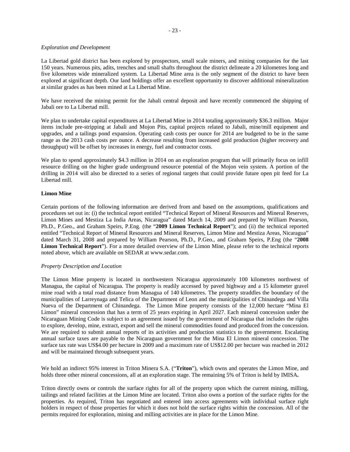# - 23 -

# *Exploration and Development*

La Libertad gold district has been explored by prospectors, small scale miners, and mining companies for the last 150 years. Numerous pits, adits, trenches and small shafts throughout the district delineate a 20 kilometres long and five kilometres wide mineralized system. La Libertad Mine area is the only segment of the district to have been explored at significant depth. Our land holdings offer an excellent opportunity to discover additional mineralization at similar grades as has been mined at La Libertad Mine.

We have received the mining permit for the Jabali central deposit and have recently commenced the shipping of Jabali ore to La Libertad mill.

We plan to undertake capital expenditures at La Libertad Mine in 2014 totaling approximately \$36.3 million. Major items include pre-stripping at Jabali and Mojon Pits, capital projects related to Jabali, mine/mill equipment and upgrades, and a tailings pond expansion. Operating cash costs per ounce for 2014 are budgeted to be in the same range as the 2013 cash costs per ounce. A decrease resulting from increased gold production (higher recovery and throughput) will be offset by increases in energy, fuel and contractor costs.

We plan to spend approximately \$4.3 million in 2014 on an exploration program that will primarily focus on infill resource drilling on the higher grade underground resource potential of the Mojon vein system. A portion of the drilling in 2014 will also be directed to a series of regional targets that could provide future open pit feed for La Libertad mill.

# <span id="page-24-0"></span>**Limon Mine**

Certain portions of the following information are derived from and based on the assumptions, qualifications and procedures set out in: (i) the technical report entitled "Technical Report of Mineral Resources and Mineral Reserves, Limon Mines and Mestiza La India Areas, Nicaragua" dated March 14, 2009 and prepared by William Pearson, Ph.D., P.Geo., and Graham Speirs, P.Eng. (the "**2009 Limon Technical Report**"); and (ii) the technical reported entitled "Technical Report of Mineral Resources and Mineral Reserves, Limon Mine and Mestiza Areas, Nicaragua" dated March 31, 2008 and prepared by William Pearson, Ph.D., P.Geo., and Graham Speirs, P.Eng (the "**2008 Limon Technical Report**"). For a more detailed overview of the Limon Mine, please refer to the technical reports noted above, which are available on SEDAR at www.sedar.com.

# *Property Description and Location*

The Limon Mine property is located in northwestern Nicaragua approximately 100 kilometres northwest of Managua, the capital of Nicaragua. The property is readily accessed by paved highway and a 15 kilometer gravel mine road with a total road distance from Managua of 140 kilometres. The property straddles the boundary of the municipalities of Larreynaga and Telica of the Department of Leon and the municipalities of Chinandega and Villa Nueva of the Department of Chinandega. The Limon Mine property consists of the 12,000 hectare "Mina El Limon" mineral concession that has a term of 25 years expiring in April 2027. Each mineral concession under the Nicaraguan Mining Code is subject to an agreement issued by the government of Nicaragua that includes the rights to explore, develop, mine, extract, export and sell the mineral commodities found and produced from the concession. We are required to submit annual reports of its activities and production statistics to the government. Escalating annual surface taxes are payable to the Nicaraguan government for the Mina El Limon mineral concession. The surface tax rate was US\$4.00 per hectare in 2009 and a maximum rate of US\$12.00 per hectare was reached in 2012 and will be maintained through subsequent years.

We hold an indirect 95% interest in Triton Minera S.A. ("**Triton**"), which owns and operates the Limon Mine, and holds three other mineral concessions, all at an exploration stage. The remaining 5% of Triton is held by IMISA**.**

Triton directly owns or controls the surface rights for all of the property upon which the current mining, milling, tailings and related facilities at the Limon Mine are located. Triton also owns a portion of the surface rights for the properties. As required, Triton has negotiated and entered into access agreements with individual surface right holders in respect of those properties for which it does not hold the surface rights within the concession. All of the permits required for exploration, mining and milling activities are in place for the Limon Mine.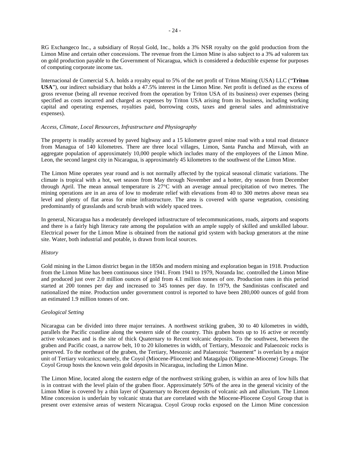RG Exchangeco Inc., a subsidiary of Royal Gold, Inc., holds a 3% NSR royalty on the gold production from the Limon Mine and certain other concessions. The revenue from the Limon Mine is also subject to a 3% ad valorem tax on gold production payable to the Government of Nicaragua, which is considered a deductible expense for purposes of computing corporate income tax.

Internacional de Comercial S.A. holds a royalty equal to 5% of the net profit of Triton Mining (USA) LLC ("**Triton USA**"), our indirect subsidiary that holds a 47.5% interest in the Limon Mine. Net profit is defined as the excess of gross revenue (being all revenue received from the operation by Triton USA of its business) over expenses (being specified as costs incurred and charged as expenses by Triton USA arising from its business, including working capital and operating expenses, royalties paid, borrowing costs, taxes and general sales and administrative expenses).

# *Access, Climate, Local Resources, Infrastructure and Physiography*

The property is readily accessed by paved highway and a 15 kilometre gravel mine road with a total road distance from Managua of 140 kilometres. There are three local villages, Limon, Santa Pancha and Minvah, with an aggregate population of approximately 10,000 people which includes many of the employees of the Limon Mine. Leon, the second largest city in Nicaragua, is approximately 45 kilometres to the southwest of the Limon Mine.

The Limon Mine operates year round and is not normally affected by the typical seasonal climatic variations. The climate is tropical with a hot, wet season from May through November and a hotter, dry season from December through April. The mean annual temperature is 27°C with an average annual precipitation of two metres. The mining operations are in an area of low to moderate relief with elevations from 40 to 300 metres above mean sea level and plenty of flat areas for mine infrastructure. The area is covered with sparse vegetation, consisting predominantly of grasslands and scrub brush with widely spaced trees.

In general, Nicaragua has a moderately developed infrastructure of telecommunications, roads, airports and seaports and there is a fairly high literacy rate among the population with an ample supply of skilled and unskilled labour. Electrical power for the Limon Mine is obtained from the national grid system with backup generators at the mine site. Water, both industrial and potable, is drawn from local sources.

# *History*

Gold mining in the Limon district began in the 1850s and modern mining and exploration began in 1918. Production from the Limon Mine has been continuous since 1941. From 1941 to 1979, Noranda Inc. controlled the Limon Mine and produced just over 2.0 million ounces of gold from 4.1 million tonnes of ore. Production rates in this period started at 200 tonnes per day and increased to 345 tonnes per day. In 1979, the Sandinistas confiscated and nationalized the mine. Production under government control is reported to have been 280,000 ounces of gold from an estimated 1.9 million tonnes of ore.

# *Geological Setting*

Nicaragua can be divided into three major terraines. A northwest striking graben, 30 to 40 kilometres in width, parallels the Pacific coastline along the western side of the country. This graben hosts up to 16 active or recently active volcanoes and is the site of thick Quaternary to Recent volcanic deposits. To the southwest, between the graben and Pacific coast, a narrow belt, 10 to 20 kilometres in width, of Tertiary, Mesozoic and Palaeozoic rocks is preserved. To the northeast of the graben, the Tertiary, Mesozoic and Palaeozoic "basement" is overlain by a major unit of Tertiary volcanics; namely, the Coyol (Miocene-Pliocene) and Matagalpa (Oligocene-Miocene) Groups. The Coyol Group hosts the known vein gold deposits in Nicaragua, including the Limon Mine.

The Limon Mine, located along the eastern edge of the northwest striking graben, is within an area of low hills that is in contrast with the level plain of the graben floor. Approximately 50% of the area in the general vicinity of the Limon Mine is covered by a thin layer of Quaternary to Recent deposits of volcanic ash and alluvium. The Limon Mine concession is underlain by volcanic strata that are correlated with the Miocene-Pliocene Coyol Group that is present over extensive areas of western Nicaragua. Coyol Group rocks exposed on the Limon Mine concession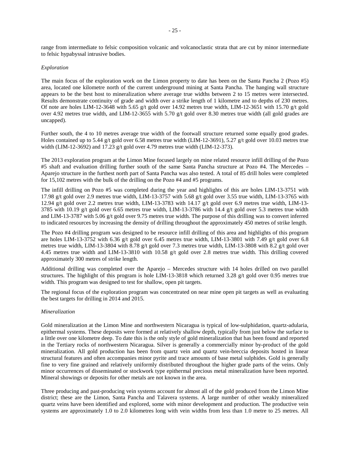range from intermediate to felsic composition volcanic and volcanoclastic strata that are cut by minor intermediate to felsic hypabyssal intrusive bodies.

## *Exploration*

The main focus of the exploration work on the Limon property to date has been on the Santa Pancha 2 (Pozo #5) area, located one kilometre north of the current underground mining at Santa Pancha. The hanging wall structure appears to be the best host to mineralization where average true widths between 2 to 15 metres were intersected. Results demonstrate continuity of grade and width over a strike length of 1 kilometre and to depths of 230 metres. Of note are holes LIM-12-3648 with 5.65 g/t gold over 14.92 metres true width, LIM-12-3651 with 15.70 g/t gold over 4.92 metres true width, and LIM-12-3655 with 5.70 g/t gold over 8.30 metres true width (all gold grades are uncapped).

Further south, the 4 to 10 metres average true width of the footwall structure returned some equally good grades. Holes contained up to 5.44 g/t gold over 6.58 metres true width (LIM-12-3691), 5.27 g/t gold over 10.03 metres true width (LIM-12-3692) and 17.23 g/t gold over 4.79 metres true width (LIM-12-373).

The 2013 exploration program at the Limon Mine focused largely on mine related resource infill drilling of the Pozo #5 shaft and evaluation drilling further south of the same Santa Pancha structure at Pozo #4. The Mercedes – Aparejo structure in the furthest north part of Santa Pancha was also tested. A total of 85 drill holes were completed for 15,102 metres with the bulk of the drilling on the Pozo #4 and #5 programs.

The infill drilling on Pozo #5 was completed during the year and highlights of this are holes LIM-13-3751 with 17.98 g/t gold over 2.9 metres true width, LIM-13-3757 with 5.68 g/t gold over 3.55 true width, LIM-13-3765 with 12.94 g/t gold over 2.2 metres true width, LIM-13-3783 with 14.17 g/t gold over 6.9 metres true width, LIM-13-3785 with 10.19 g/t gold over 6.65 metres true width, LIM-13-3786 with 14.4 g/t gold over 5.3 metres true width and LIM-13-3787 with 5.06 g/t gold over 9.75 metres true width. The purpose of this drilling was to convert inferred to indicated resources by increasing the density of drilling throughout the approximately 450 metres of strike length.

The Pozo #4 drilling program was designed to be resource infill drilling of this area and highlights of this program are holes LIM-13-3752 with 6.36 g/t gold over 6.45 metres true width, LIM-13-3801 with 7.49 g/t gold over 6.8 metres true width, LIM-13-3804 with 8.78 g/t gold over 7.3 metres true width, LIM-13-3808 with 8.2 g/t gold over 4.45 metres true width and LIM-13-3810 with 10.58 g/t gold over 2.8 metres true width. This drilling covered approximately 300 metres of strike length.

Additional drilling was completed over the Aparejo – Mercedes structure with 14 holes drilled on two parallel structures. The highlight of this program is hole LIM-13-3818 which returned 3.28 g/t gold over 0.95 metres true width. This program was designed to test for shallow, open pit targets.

The regional focus of the exploration program was concentrated on near mine open pit targets as well as evaluating the best targets for drilling in 2014 and 2015.

#### *Mineralization*

Gold mineralization at the Limon Mine and northwestern Nicaragua is typical of low-sulphidation, quartz-adularia, epithermal systems. These deposits were formed at relatively shallow depth, typically from just below the surface to a little over one kilometre deep. To date this is the only style of gold mineralization that has been found and reported in the Tertiary rocks of northwestern Nicaragua. Silver is generally a commercially minor by-product of the gold mineralization. All gold production has been from quartz vein and quartz vein-breccia deposits hosted in linear structural features and often accompanies minor pyrite and trace amounts of base metal sulphides. Gold is generally fine to very fine grained and relatively uniformly distributed throughout the higher grade parts of the veins. Only minor occurrences of disseminated or stockwork type epithermal precious metal mineralization have been reported. Mineral showings or deposits for other metals are not known in the area.

Three producing and past-producing vein systems account for almost all of the gold produced from the Limon Mine district; these are the Limon, Santa Pancha and Talavera systems. A large number of other weakly mineralized quartz veins have been identified and explored, some with minor development and production. The productive vein systems are approximately 1.0 to 2.0 kilometres long with vein widths from less than 1.0 metre to 25 metres. All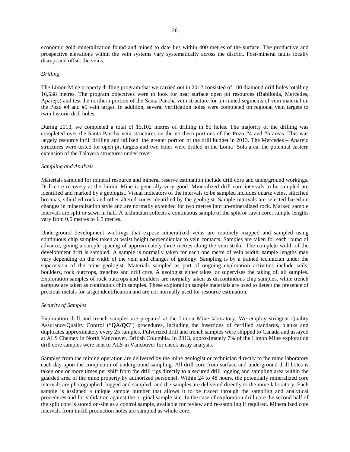economic gold mineralization found and mined to date lies within 400 metres of the surface. The productive and prospective elevations within the vein systems vary systematically across the district. Post-mineral faults locally disrupt and offset the veins.

# *Drilling*

The Limon Mine property drilling program that we carried out in 2012 consisted of 100 diamond drill holes totalling 16,538 metres. The program objectives were to look for near surface open pit resources (Babilonia, Mercedes, Aparejo) and test the northern portion of the Santa Pancha vein structure for un-mined segments of vein material on the Pozo #4 and #5 vein target. In addition, several verification holes were completed on regional vein targets to twin historic drill holes.

During 2013, we completed a total of 15,102 metres of drilling in 85 holes. The majority of the drilling was completed over the Santa Pancha vein structures on the northern portions of the Pozo #4 and #5 areas. This was largely resource infill drilling and utilized the greater portion of the drill budget in 2013. The Mercedes – Aparejo structures were tested for open pit targets and two holes were drilled in the Loma Sola area, the potential eastern extension of the Talavera structures under cover.

# *Sampling and Analysis*

Materials sampled for mineral resource and mineral reserve estimation include drill core and underground workings. Drill core recovery at the Limon Mine is generally very good. Mineralized drill core intervals to be sampled are identified and marked by a geologist. Visual indicators of the intervals to be sampled includes quartz veins, silicified breccias, silicified rock and other altered zones identified by the geologist. Sample intervals are selected based on changes in mineralization style and are normally extended for two metres into un-mineralized rock. Marked sample intervals are split or sawn in half. A technician collects a continuous sample of the split or sawn core; sample lengths vary from 0.5 metres to 1.5 metres.

Underground development workings that expose mineralized veins are routinely mapped and sampled using continuous chip samples taken at waist height perpendicular to vein contacts. Samples are taken for each round of advance, giving a sample spacing of approximately three metres along the vein strike. The complete width of the development drift is sampled. A sample is normally taken for each one metre of vein width; sample lengths may vary depending on the width of the vein and changes of geology. Sampling is by a trained technician under the supervision of the mine geologist. Materials sampled as part of ongoing exploration activities include soils, boulders, rock outcrops, trenches and drill core. A geologist either takes, or supervises the taking of, all samples. Exploration samples of rock outcrops and boulders are normally taken as discontinuous chip samples, while trench samples are taken as continuous chip samples. These exploration sample materials are used to detect the presence of precious metals for target identification and are not normally used for resource estimation.

# *Security of Samples*

Exploration drill and trench samples are prepared at the Limon Mine laboratory. We employ stringent Quality Assurance/Quality Control ("**QA/QC**") procedures, including the insertions of certified standards, blanks and duplicates approximately every 25 samples. Pulverized drill and trench samples were shipped to Canada and assayed at ALS Chemex in North Vancouver, British Columbia. In 2013, approximately 7% of the Limon Mine exploration drill core samples were sent to ALS in Vancouver for check assay analysis.

Samples from the mining operation are delivered by the mine geologist or technician directly to the mine laboratory each day upon the completion of underground sampling. All drill core from surface and underground drill holes is taken one or more times per shift from the drill rigs directly to a secured drill logging and sampling area within the guarded area of the mine property by authorized personnel. Within 24 to 48 hours, the potentially mineralized core intervals are photographed, logged and sampled; and the samples are delivered directly to the mine laboratory. Each sample is assigned a unique sample number that allows it to be traced through the sampling and analytical procedures and for validation against the original sample site. In the case of exploration drill core the second half of the split core is stored on-site as a control sample, available for review and re-sampling if required. Mineralized core intervals from in-fill production holes are sampled as whole core.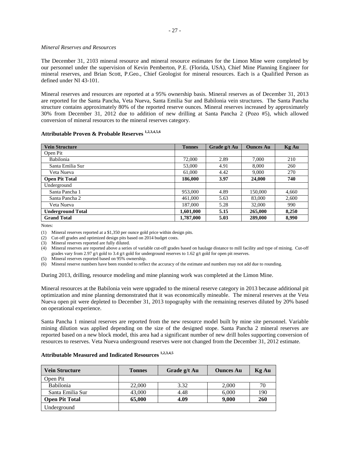## *Mineral Reserves and Resources*

The December 31, 2103 mineral resource and mineral resource estimates for the Limon Mine were completed by our personnel under the supervision of Kevin Pemberton, P.E. (Florida, USA), Chief Mine Planning Engineer for mineral reserves, and Brian Scott, P.Geo., Chief Geologist for mineral resources. Each is a Qualified Person as defined under NI 43-101.

Mineral reserves and resources are reported at a 95% ownership basis. Mineral reserves as of December 31, 2013 are reported for the Santa Pancha, Veta Nueva, Santa Emilia Sur and Babilonia vein structures. The Santa Pancha structure contains approximately 80% of the reported reserve ounces. Mineral reserves increased by approximately 30% from December 31, 2012 due to addition of new drilling at Santa Pancha 2 (Pozo #5), which allowed conversion of mineral resources to the mineral reserves category.

# **Attributable Proven & Probable Reserves 1,2,3,4,5,6**

| <b>Vein Structure</b>    | <b>Tonnes</b> | Grade g/t Au | <b>Ounces Au</b> | <b>Kg Au</b> |
|--------------------------|---------------|--------------|------------------|--------------|
| Open Pit                 |               |              |                  |              |
| Babilonia                | 72,000        | 2.89         | 7.000            | 210          |
| Santa Emilia Sur         | 53,000        | 4.91         | 8,000            | 260          |
| Veta Nueva               | 61,000        | 4.42         | 9.000            | 270          |
| <b>Open Pit Total</b>    | 186,000       | 3.97         | 24,000           | 740          |
| Underground              |               |              |                  |              |
| Santa Pancha 1           | 953,000       | 4.89         | 150,000          | 4.660        |
| Santa Pancha 2           | 461,000       | 5.63         | 83,000           | 2,600        |
| Veta Nueva               | 187,000       | 5.28         | 32,000           | 990          |
| <b>Underground Total</b> | 1,601,000     | 5.15         | 265,000          | 8.250        |
| <b>Grand Total</b>       | 1,787,000     | 5.03         | 289,000          | 8.990        |

Notes:

(1) Mineral reserves reported at a \$1,350 per ounce gold price within design pits.

(2) Cut-off grades and optimized design pits based on 2014 budget costs.

(3) Mineral reserves reported are fully diluted.

(4) Mineral reserves are reported above a series of variable cut-off grades based on haulage distance to mill facility and type of mining. Cut-off grades vary from 2.97 g/t gold to 3.4 g/t gold for underground reserves to 1.62 g/t gold for open pit reserves.

(5) Mineral reserves reported based on 95% ownership.

(6) Mineral reserve numbers have been rounded to reflect the accuracy of the estimate and numbers may not add due to rounding.

During 2013, drilling, resource modeling and mine planning work was completed at the Limon Mine.

Mineral resources at the Babilonia vein were upgraded to the mineral reserve category in 2013 because additional pit optimization and mine planning demonstrated that it was economically mineable. The mineral reserves at the Veta Nueva open pit were depleted to December 31, 2013 topography with the remaining reserves diluted by 20% based on operational experience.

Santa Pancha 1 mineral reserves are reported from the new resource model built by mine site personnel. Variable mining dilution was applied depending on the size of the designed stope. Santa Pancha 2 mineral reserves are reported based on a new block model, this area had a significant number of new drill holes supporting conversion of resources to reserves. Veta Nueva underground reserves were not changed from the December 31, 2012 estimate.

# **Attributable Measured and Indicated Resources 1,2,3,4,5**

| <b>Vein Structure</b> | <b>Tonnes</b> | Grade g/t Au | <b>Ounces Au</b> | Kg Au |
|-----------------------|---------------|--------------|------------------|-------|
| Open Pit              |               |              |                  |       |
| <b>Babilonia</b>      | 22,000        | 3.32         | 2,000            | 70    |
| Santa Emilia Sur      | 43,000        | 4.48         | 6.000            | 190   |
| <b>Open Pit Total</b> | 65,000        | 4.09         | 9.000            | 260   |
| Underground           |               |              |                  |       |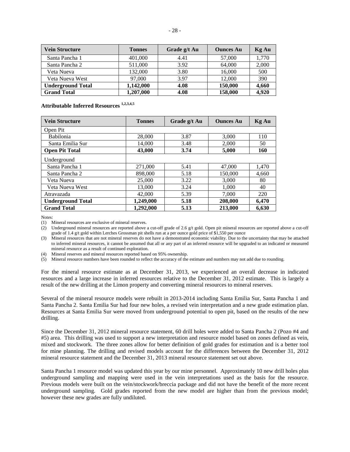| <b>Vein Structure</b>    | <b>Tonnes</b> | Grade g/t Au | <b>Ounces Au</b> | Kg Au |
|--------------------------|---------------|--------------|------------------|-------|
| Santa Pancha 1           | 401,000       | 4.41         | 57,000           | 1,770 |
| Santa Pancha 2           | 511,000       | 3.92         | 64,000           | 2,000 |
| Veta Nueva               | 132,000       | 3.80         | 16,000           | 500   |
| Veta Nueva West          | 97,000        | 3.97         | 12.000           | 390   |
| <b>Underground Total</b> | 1,142,000     | 4.08         | 150,000          | 4,660 |
| <b>Grand Total</b>       | 1,207,000     | 4.08         | 158,000          | 4.920 |

# **Attributable Inferred Resources 1,2,3,4,5**

| <b>Vein Structure</b>    | <b>Tonnes</b> | Grade g/t Au | <b>Ounces Au</b> | <b>Kg Au</b> |
|--------------------------|---------------|--------------|------------------|--------------|
| Open Pit                 |               |              |                  |              |
| Babilonia                | 28,000        | 3.87         | 3,000            | 110          |
| Santa Emilia Sur         | 14,000        | 3.48         | 2,000            | 50           |
| <b>Open Pit Total</b>    | 43,000        | 3.74         | 5,000            | 160          |
| Underground              |               |              |                  |              |
| Santa Pancha 1           | 271,000       | 5.41         | 47,000           | 1,470        |
| Santa Pancha 2           | 898,000       | 5.18         | 150,000          | 4,660        |
| Veta Nueva               | 25,000        | 3.22         | 3,000            | 80           |
| Veta Nueva West          | 13,000        | 3.24         | 1,000            | 40           |
| Atravazada               | 42,000        | 5.39         | 7,000            | 220          |
| <b>Underground Total</b> | 1,249,000     | 5.18         | 208,000          | 6,470        |
| <b>Grand Total</b>       | 1,292,000     | 5.13         | 213,000          | 6,630        |

Notes:

(1) Mineral resources are exclusive of mineral reserves.

(2) Underground mineral resources are reported above a cut-off grade of 2.6  $g/t$  gold. Open pit mineral resources are reported above a cut-off grade of 1.4 g/t gold within Lerches Grossman pit shells run at a per ounce gold price of \$1,550 per ounce

(3) Mineral resources that are not mineral reserves do not have a demonstrated economic viability. Due to the uncertainty that may be attached to inferred mineral resources, it cannot be assumed that all or any part of an inferred resource will be upgraded to an indicated or measured mineral resource as a result of continued exploration.

(4) Mineral reserves and mineral resources reported based on 95% ownership.

(5) Mineral resource numbers have been rounded to reflect the accuracy of the estimate and numbers may not add due to rounding.

For the mineral resource estimate as at December 31, 2013, we experienced an overall decrease in indicated resources and a large increase in inferred resources relative to the December 31, 2012 estimate. This is largely a result of the new drilling at the Limon property and converting mineral resources to mineral reserves.

Several of the mineral resource models were rebuilt in 2013-2014 including Santa Emilia Sur, Santa Pancha 1 and Santa Pancha 2. Santa Emilia Sur had four new holes, a revised vein interpretation and a new grade estimation plan. Resources at Santa Emilia Sur were moved from underground potential to open pit, based on the results of the new drilling.

Since the December 31, 2012 mineral resource statement, 60 drill holes were added to Santa Pancha 2 (Pozo #4 and #5) area. This drilling was used to support a new interpretation and resource model based on zones defined as vein, mixed and stockwork. The three zones allow for better definition of gold grades for estimation and is a better tool for mine planning. The drilling and revised models account for the differences between the December 31, 2012 mineral resource statement and the December 31, 2013 mineral resource statement set out above.

Santa Pancha 1 resource model was updated this year by our mine personnel. Approximately 10 new drill holes plus underground sampling and mapping were used in the vein interpretations used as the basis for the resource. Previous models were built on the vein/stockwork/breccia package and did not have the benefit of the more recent underground sampling. Gold grades reported from the new model are higher than from the previous model; however these new grades are fully undiluted.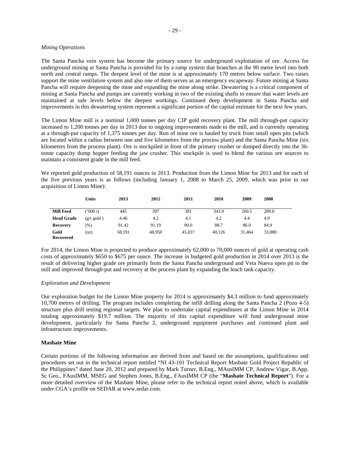# *Mining Operations*

The Santa Pancha vein system has become the primary source for underground exploitation of ore. Access for underground mining at Santa Pancha is provided for by a ramp system that branches at the 90 metre level into both north and central ramps. The deepest level of the mine is at approximately 170 metres below surface. Two raises support the mine ventilation system and also one of them serves as an emergency escapeway. Future mining at Santa Pancha will require deepening the mine and expanding the mine along strike. Dewatering is a critical component of mining at Santa Pancha and pumps are currently working in two of the existing shafts to ensure that water levels are maintained at safe levels below the deepest workings. Continued deep development in Santa Pancha and improvements in this dewatering system represent a significant portion of the capital estimate for the next few years.

The Limon Mine mill is a nominal 1,000 tonnes per day CIP gold recovery plant. The mill through-put capacity increased to 1,200 tonnes per day in 2013 due to ongoing improvements made to the mill, and is currently operating at a through-put capacity of 1,375 tonnes per day. Run of mine ore is hauled by truck from small open pits (which are located within a radius between one and five kilometres from the process plant) and the Santa Pancha Mine (six kilometres from the process plant). Ore is stockpiled in front of the primary crusher or dumped directly into the 36 tonne capacity dump hopper feeding the jaw crusher. This stockpile is used to blend the various ore sources to maintain a consistent grade in the mill feed.

We reported gold production of 58,191 ounces in 2013. Production from the Limon Mine for 2013 and for each of the five previous years is as follows (including January 1, 2008 to March 25, 2009, which was prior to our acquisition of Limon Mine):

|                   | <b>Units</b>         | 2013   | 2012   | 2011   | 2010   | 2009   | 2008   |  |
|-------------------|----------------------|--------|--------|--------|--------|--------|--------|--|
| <b>Mill Feed</b>  | (000 t)              | 445    | 397    | 381    | 343.0  | 260.5  | 289.0  |  |
| <b>Head Grade</b> | $(g/t \text{ gold})$ | 4.46   | 4.2    | 4.1    | 4.2    | 4.4    | 4.9    |  |
| <b>Recovery</b>   | $(\%)$               | 91.42  | 91.19  | 90.0   | 88.7   | 86.0   | 84.9   |  |
| Gold<br>Recovered | (oz)                 | 58.191 | 48,950 | 45.037 | 40.126 | 31.464 | 33,880 |  |

For 2014, the Limon Mine is projected to produce approximately 62,000 to 70,000 ounces of gold at operating cash costs of approximately \$650 to \$675 per ounce. The increase in budgeted gold production in 2014 over 2013 is the result of delivering higher grade ore primarily from the Santa Pancha underground and Veta Nueva open pit to the mill and improved through-put and recovery at the process plant by expanding the leach tank capacity.

#### *Exploration and Development*

Our exploration budget for the Limon Mine property for 2014 is approximately \$4.3 million to fund approximately 10,700 metres of drilling. The program includes completing the infill drilling along the Santa Pancha 2 (Pozo 4-5) structure plus drill testing regional targets. We plan to undertake capital expenditures at the Limon Mine in 2014 totaling approximately \$19.7 million. The majority of this capital expenditure will fund underground mine development, particularly for Santa Pancha 2, underground equipment purchases and continued plant and infrastructure improvements.

#### <span id="page-30-0"></span>**Masbate Mine**

Certain portions of the following information are derived from and based on the assumptions, qualifications and procedures set out in the technical report entitled "NI 43-101 Technical Report Masbate Gold Project Republic of the Philippines" dated June 20, 2012 and prepared by Mark Turner, B.Eng., MAusIMM CP, Andrew Vigar, B.App. Sc Geo., FAusIMM, MSEG and Stephen Jones, B.Eng., FAusIMM CP (the "**Masbate Technical Report**"). For a more detailed overview of the Masbate Mine, please refer to the technical report noted above, which is available under CGA's profile on SEDAR at [www.sedar.com.](http://www.sedar.com/)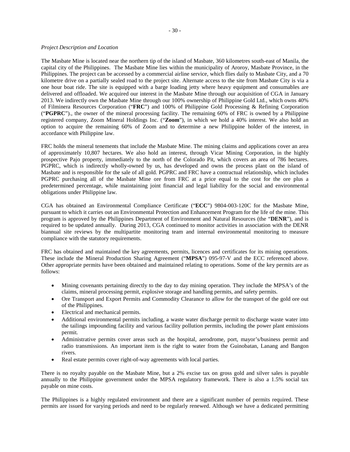#### *Project Description and Location*

The Masbate Mine is located near the northern tip of the island of Masbate, 360 kilometres south-east of Manila, the capital city of the Philippines. The Masbate Mine lies within the municipality of Aroroy, Masbate Province, in the Philippines. The project can be accessed by a commercial airline service, which flies daily to Masbate City, and a 70 kilometre drive on a partially sealed road to the project site. Alternate access to the site from Masbate City is via a one hour boat ride. The site is equipped with a barge loading jetty where heavy equipment and consumables are delivered and offloaded. We acquired our interest in the Masbate Mine through our acquisition of CGA in January 2013. We indirectly own the Masbate Mine through our 100% ownership of Philippine Gold Ltd., which owns 40% of Filminera Resources Corporation ("**FRC**") and 100% of Philippine Gold Processing & Refining Corporation ("**PGPRC**")., the owner of the mineral processing facility. The remaining 60% of FRC is owned by a Philippine registered company, Zoom Mineral Holdings Inc. ("**Zoom**"), in which we hold a 40% interest. We also hold an option to acquire the remaining 60% of Zoom and to determine a new Philippine holder of the interest, in accordance with Philippine law.

FRC holds the mineral tenements that include the Masbate Mine. The mining claims and applications cover an area of approximately 10,807 hectares. We also hold an interest, through Vicar Mining Corporation, in the highly prospective Pajo property, immediately to the north of the Colorado Pit, which covers an area of 786 hectares. PGPRC, which is indirectly wholly-owned by us, has developed and owns the process plant on the island of Masbate and is responsible for the sale of all gold. PGPRC and FRC have a contractual relationship, which includes PGPRC purchasing all of the Masbate Mine ore from FRC at a price equal to the cost for the ore plus a predetermined percentage, while maintaining joint financial and legal liability for the social and environmental obligations under Philippine law.

CGA has obtained an Environmental Compliance Certificate ("**ECC**") 9804-003-120C for the Masbate Mine, pursuant to which it carries out an Environmental Protection and Enhancement Program for the life of the mine. This program is approved by the Philippines Department of Environment and Natural Resources (the "**DENR**"), and is required to be updated annually. During 2013, CGA continued to monitor activities in association with the DENR biannual site reviews by the multipartite monitoring team and internal environmental monitoring to measure compliance with the statutory requirements.

FRC has obtained and maintained the key agreements, permits, licences and certificates for its mining operations. These include the Mineral Production Sharing Agreement ("**MPSA**") 095-97-V and the ECC referenced above. Other appropriate permits have been obtained and maintained relating to operations. Some of the key permits are as follows:

- Mining covenants pertaining directly to the day to day mining operation. They include the MPSA's of the claims, mineral processing permit, explosive storage and handling permits, and safety permits.
- Ore Transport and Export Permits and Commodity Clearance to allow for the transport of the gold ore out of the Philippines.
- Electrical and mechanical permits.
- Additional environmental permits including, a waste water discharge permit to discharge waste water into the tailings impounding facility and various facility pollution permits, including the power plant emissions permit.
- Administrative permits cover areas such as the hospital, aerodrome, port, mayor's/business permit and radio transmissions. An important item is the right to water from the Guinobatan, Lanang and Bangon rivers.
- Real estate permits cover right-of-way agreements with local parties.

There is no royalty payable on the Masbate Mine, but a 2% excise tax on gross gold and silver sales is payable annually to the Philippine government under the MPSA regulatory framework. There is also a 1.5% social tax payable on mine costs.

The Philippines is a highly regulated environment and there are a significant number of permits required. These permits are issued for varying periods and need to be regularly renewed. Although we have a dedicated permitting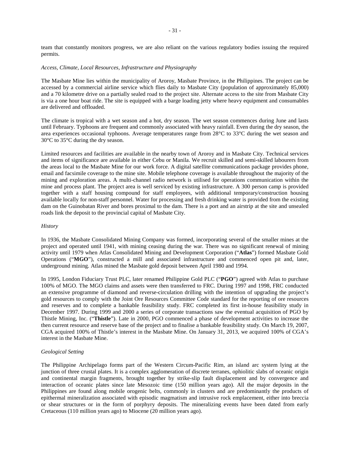team that constantly monitors progress, we are also reliant on the various regulatory bodies issuing the required permits.

#### *Access, Climate, Local Resources, Infrastructure and Physiography*

The Masbate Mine lies within the municipality of Aroroy, Masbate Province, in the Philippines. The project can be accessed by a commercial airline service which flies daily to Masbate City (population of approximately 85,000) and a 70 kilometre drive on a partially sealed road to the project site. Alternate access to the site from Masbate City is via a one hour boat ride. The site is equipped with a barge loading jetty where heavy equipment and consumables are delivered and offloaded.

The climate is tropical with a wet season and a hot, dry season. The wet season commences during June and lasts until February. Typhoons are frequent and commonly associated with heavy rainfall. Even during the dry season, the area experiences occasional typhoons. Average temperatures range from 28°C to 33°C during the wet season and 30°C to 35°C during the dry season.

Limited resources and facilities are available in the nearby town of Aroroy and in Masbate City. Technical services and items of significance are available in either Cebu or Manila. We recruit skilled and semi-skilled labourers from the areas local to the Masbate Mine for our work force. A digital satellite communications package provides phone, email and facsimile coverage to the mine site. Mobile telephone coverage is available throughout the majority of the mining and exploration areas. A multi-channel radio network is utilised for operations communication within the mine and process plant. The project area is well serviced by existing infrastructure. A 300 person camp is provided together with a staff housing compound for staff employees, with additional temporary/construction housing available locally for non-staff personnel. Water for processing and fresh drinking water is provided from the existing dam on the Guinobatan River and bores proximal to the dam. There is a port and an airstrip at the site and unsealed roads link the deposit to the provincial capital of Masbate City.

# *History*

In 1936, the Masbate Consolidated Mining Company was formed, incorporating several of the smaller mines at the project and operated until 1941, with mining ceasing during the war. There was no significant renewal of mining activity until 1979 when Atlas Consolidated Mining and Development Corporation ("**Atlas**") formed Masbate Gold Operations ("**MGO**"), constructed a mill and associated infrastructure and commenced open pit and, later, underground mining. Atlas mined the Masbate gold deposit between April 1980 and 1994.

In 1995, London Fiduciary Trust PLC, later renamed Philippine Gold PLC ("**PGO**") agreed with Atlas to purchase 100% of MGO. The MGO claims and assets were then transferred to FRC. During 1997 and 1998, FRC conducted an extensive programme of diamond and reverse-circulation drilling with the intention of upgrading the project's gold resources to comply with the Joint Ore Resources Committee Code standard for the reporting of ore resources and reserves and to complete a bankable feasibility study. FRC completed its first in-house feasibility study in December 1997. During 1999 and 2000 a series of corporate transactions saw the eventual acquisition of PGO by Thistle Mining, Inc. ("**Thistle**"). Late in 2000, PGO commenced a phase of development activities to increase the then current resource and reserve base of the project and to finalise a bankable feasibility study. On March 19, 2007, CGA acquired 100% of Thistle's interest in the Masbate Mine. On January 31, 2013, we acquired 100% of CGA's interest in the Masbate Mine.

# *Geological Setting*

The Philippine Archipelago forms part of the Western Circum-Pacific Rim, an island arc system lying at the junction of three crustal plates. It is a complex agglomeration of discrete terranes, ophiolitic slabs of oceanic origin and continental margin fragments, brought together by strike-slip fault displacement and by convergence and interaction of oceanic plates since late Mesozoic time (150 million years ago). All the major deposits in the Philippines are found along mobile orogenic belts, commonly in clusters and are predominantly the products of epithermal mineralization associated with episodic magmatism and intrusive rock emplacement, either into breccia or shear structures or in the form of porphyry deposits. The mineralizing events have been dated from early Cretaceous (110 million years ago) to Miocene (20 million years ago).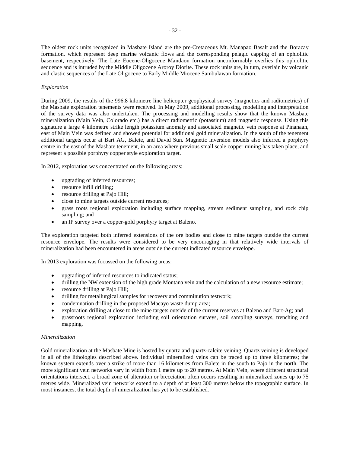The oldest rock units recognized in Masbate Island are the pre-Cretaceous Mt. Manapao Basalt and the Boracay formation, which represent deep marine volcanic flows and the corresponding pelagic capping of an ophiolitic basement, respectively. The Late Eocene-Oligocene Mandaon formation unconformably overlies this ophiolitic sequence and is intruded by the Middle Oligocene Aroroy Diorite. These rock units are, in turn, overlain by volcanic and clastic sequences of the Late Oligocene to Early Middle Miocene Sambulawan formation.

# *Exploration*

During 2009, the results of the 996.8 kilometre line helicopter geophysical survey (magnetics and radiometrics) of the Masbate exploration tenements were received. In May 2009, additional processing, modelling and interpretation of the survey data was also undertaken. The processing and modelling results show that the known Masbate mineralization (Main Vein, Colorado etc.) has a direct radiometric (potassium) and magnetic response. Using this signature a large 4 kilometre strike length potassium anomaly and associated magnetic vein response at Pinanaan, east of Main Vein was defined and showed potential for additional gold mineralization. In the south of the tenement additional targets occur at Bart AG, Balete, and David Sun. Magnetic inversion models also inferred a porphyry centre in the east of the Masbate tenement, in an area where previous small scale copper mining has taken place, and represent a possible porphyry copper style exploration target.

In 2012, exploration was concentrated on the following areas:

- upgrading of inferred resources;
- resource infill drilling;
- resource drilling at Pajo Hill;
- close to mine targets outside current resources;
- grass roots regional exploration including surface mapping, stream sediment sampling, and rock chip sampling; and
- an IP survey over a copper-gold porphyry target at Baleno.

The exploration targeted both inferred extensions of the ore bodies and close to mine targets outside the current resource envelope. The results were considered to be very encouraging in that relatively wide intervals of mineralization had been encountered in areas outside the current indicated resource envelope.

In 2013 exploration was focussed on the following areas:

- upgrading of inferred resources to indicated status;
- drilling the NW extension of the high grade Montana vein and the calculation of a new resource estimate;
- resource drilling at Pajo Hill;
- drilling for metallurgical samples for recovery and comminution testwork;
- condemnation drilling in the proposed Macayo waste dump area;
- exploration drilling at close to the mine targets outside of the current reserves at Baleno and Bart-Ag; and
- grassroots regional exploration including soil orientation surveys, soil sampling surveys, trenching and mapping.

# *Mineralization*

Gold mineralization at the Masbate Mine is hosted by quartz and quartz-calcite veining. Quartz veining is developed in all of the lithologies described above. Individual mineralized veins can be traced up to three kilometres; the known system extends over a strike of more than 16 kilometres from Balete in the south to Pajo in the north. The more significant vein networks vary in width from 1 metre up to 20 metres. At Main Vein, where different structural orientations intersect, a broad zone of alteration or brecciation often occurs resulting in mineralized zones up to 75 metres wide. Mineralized vein networks extend to a depth of at least 300 metres below the topographic surface. In most instances, the total depth of mineralization has yet to be established.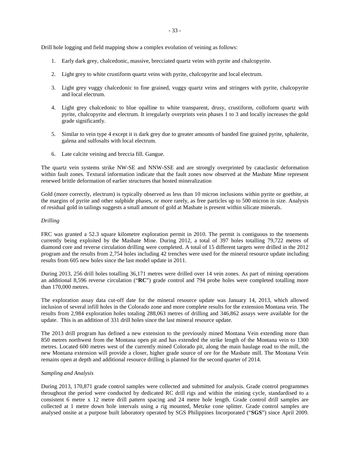Drill hole logging and field mapping show a complex evolution of veining as follows:

- 1. Early dark grey, chalcedonic, massive, brecciated quartz veins with pyrite and chalcopyrite.
- 2. Light grey to white crustiform quartz veins with pyrite, chalcopyrite and local electrum.
- 3. Light grey vuggy chalcedonic to fine grained, vuggy quartz veins and stringers with pyrite, chalcopyrite and local electrum.
- 4. Light grey chalcedonic to blue opalline to white transparent, drusy, crustiform, colloform quartz with pyrite, chalcopyrite and electrum. It irregularly overprints vein phases 1 to 3 and locally increases the gold grade significantly.
- 5. Similar to vein type 4 except it is dark grey due to greater amounts of banded fine grained pyrite, sphalerite, galena and sulfosalts with local electrum.
- 6. Late calcite veining and breccia fill. Gangue.

The quartz vein systems strike NW-SE and NNW-SSE and are strongly overprinted by cataclastic deformation within fault zones. Textural information indicate that the fault zones now observed at the Masbate Mine represent renewed brittle deformation of earlier structures that hosted mineralization

Gold (more correctly, electrum) is typically observed as less than 10 micron inclusions within pyrite or goethite, at the margins of pyrite and other sulphide phases, or more rarely, as free particles up to 500 micron in size. Analysis of residual gold in tailings suggests a small amount of gold at Masbate is present within silicate minerals.

# *Drilling*

FRC was granted a 52.3 square kilometre exploration permit in 2010. The permit is contiguous to the tenements currently being exploited by the Masbate Mine. During 2012, a total of 397 holes totalling 79,722 metres of diamond core and reverse circulation drilling were completed. A total of 15 different targets were drilled in the 2012 program and the results from 2,754 holes including 42 trenches were used for the mineral resource update including results from 605 new holes since the last model update in 2011.

During 2013, 256 drill holes totalling 36,171 metres were drilled over 14 vein zones. As part of mining operations an additional 8,596 reverse circulation ("**RC**") grade control and 794 probe holes were completed totalling more than 170,000 metres.

The exploration assay data cut-off date for the mineral resource update was January 14, 2013, which allowed inclusion of several infill holes in the Colorado zone and more complete results for the extension Montana vein. The results from 2,984 exploration holes totaling 288,063 metres of drilling and 346,862 assays were available for the update. This is an addition of 331 drill holes since the last mineral resource update.

The 2013 drill program has defined a new extension to the previously mined Montana Vein extending more than 850 metres northwest from the Montana open pit and has extended the strike length of the Montana vein to 1300 metres. Located 600 metres west of the currently mined Colorado pit, along the main haulage road to the mill, the new Montana extension will provide a closer, higher grade source of ore for the Masbate mill. The Montana Vein remains open at depth and additional resource drilling is planned for the second quarter of 2014.

# *Sampling and Analysis*

During 2013, 170,871 grade control samples were collected and submitted for analysis. Grade control programmes throughout the period were conducted by dedicated RC drill rigs and within the mining cycle, standardised to a consistent 6 metre x 12 metre drill pattern spacing and 24 metre hole length. Grade control drill samples are collected at 1 metre down hole intervals using a rig mounted, Metzke cone splitter. Grade control samples are analysed onsite at a purpose built laboratory operated by SGS Philippines Incorporated ("**SGS**") since April 2009.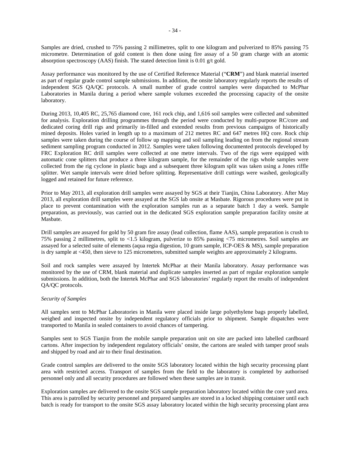Samples are dried, crushed to 75% passing 2 millimetres, split to one kilogram and pulverized to 85% passing 75 micrometre. Determination of gold content is then done using fire assay of a 50 gram charge with an atomic absorption spectroscopy (AAS) finish. The stated detection limit is 0.01 g/t gold.

Assay performance was monitored by the use of Certified Reference Material ("**CRM**") and blank material inserted as part of regular grade control sample submissions. In addition, the onsite laboratory regularly reports the results of independent SGS QA/QC protocols. A small number of grade control samples were dispatched to McPhar Laboratories in Manila during a period where sample volumes exceeded the processing capacity of the onsite laboratory.

During 2013, 10,405 RC, 25,765 diamond core, 161 rock chip, and 1,616 soil samples were collected and submitted for analysis. Exploration drilling programmes through the period were conducted by multi-purpose RC/core and dedicated coring drill rigs and primarily in-filled and extended results from previous campaigns of historically mined deposits. Holes varied in length up to a maximum of 212 metres RC and 647 metres HQ core. Rock chip samples were taken during the course of follow up mapping and soil sampling leading on from the regional stream sediment sampling program conducted in 2012. Samples were taken following documented protocols developed by FRC Exploration RC drill samples were collected at one metre intervals. Two of the rigs were equipped with automatic cone splitters that produce a three kilogram sample, for the remainder of the rigs whole samples were collected from the rig cyclone in plastic bags and a subsequent three kilogram split was taken using a Jones riffle splitter. Wet sample intervals were dried before splitting. Representative drill cuttings were washed, geologically logged and retained for future reference.

Prior to May 2013, all exploration drill samples were assayed by SGS at their Tianjin, China Laboratory. After May 2013, all exploration drill samples were assayed at the SGS lab onsite at Masbate. Rigorous procedures were put in place to prevent contamination with the exploration samples run as a separate batch 1 day a week. Sample preparation, as previously, was carried out in the dedicated SGS exploration sample preparation facility onsite at Masbate.

Drill samples are assayed for gold by 50 gram fire assay (lead collection, flame AAS), sample preparation is crush to 75% passing 2 millimetres, split to <1.5 kilogram, pulverize to 85% passing <75 micrometres. Soil samples are assayed for a selected suite of elements (aqua regia digestion, 10 gram sample, ICP-OES & MS), sample preparation is dry sample at <450, then sieve to 125 micrometres, submitted sample weights are approximately 2 kilograms.

Soil and rock samples were assayed by Intertek McPhar at their Manila laboratory. Assay performance was monitored by the use of CRM, blank material and duplicate samples inserted as part of regular exploration sample submissions. In addition, both the Intertek McPhar and SGS laboratories' regularly report the results of independent QA/QC protocols.

# *Security of Samples*

All samples sent to McPhar Laboratories in Manila were placed inside large polyethylene bags properly labelled, weighed and inspected onsite by independent regulatory officials prior to shipment. Sample dispatches were transported to Manila in sealed containers to avoid chances of tampering.

Samples sent to SGS Tianjin from the mobile sample preparation unit on site are packed into labelled cardboard cartons. After inspection by independent regulatory officials' onsite, the cartons are sealed with tamper proof seals and shipped by road and air to their final destination.

Grade control samples are delivered to the onsite SGS laboratory located within the high security processing plant area with restricted access. Transport of samples from the field to the laboratory is completed by authorised personnel only and all security procedures are followed when these samples are in transit.

Exploration samples are delivered to the onsite SGS sample preparation laboratory located within the core yard area. This area is patrolled by security personnel and prepared samples are stored in a locked shipping container until each batch is ready for transport to the onsite SGS assay laboratory located within the high security processing plant area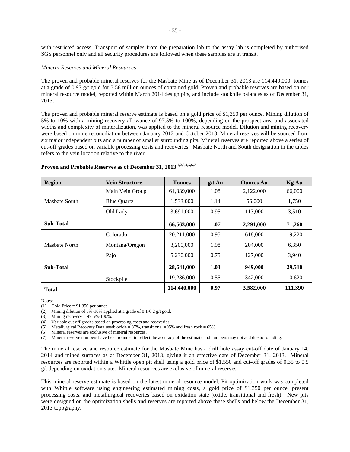with restricted access. Transport of samples from the preparation lab to the assay lab is completed by authorised SGS personnel only and all security procedures are followed when these samples are in transit.

#### *Mineral Reserves and Mineral Resources*

The proven and probable mineral reserves for the Masbate Mine as of December 31, 2013 are 114,440,000 tonnes at a grade of 0.97 g/t gold for 3.58 million ounces of contained gold. Proven and probable reserves are based on our mineral resource model, reported within March 2014 design pits, and include stockpile balances as of December 31, 2013.

The proven and probable mineral reserve estimate is based on a gold price of \$1,350 per ounce. Mining dilution of 5% to 10% with a mining recovery allowance of 97.5% to 100%, depending on the prospect area and associated widths and complexity of mineralization, was applied to the mineral resource model. Dilution and mining recovery were based on mine reconciliation between January 2012 and October 2013. Mineral reserves will be sourced from six major independent pits and a number of smaller surrounding pits. Mineral reserves are reported above a series of cut-off grades based on variable processing costs and recoveries. Masbate North and South designation in the tables refers to the vein location relative to the river.

| <b>Region</b>    | <b>Vein Structure</b> | <b>Tonnes</b> | $g/t$ Au | <b>Ounces Au</b> | <b>Kg Au</b> |
|------------------|-----------------------|---------------|----------|------------------|--------------|
|                  | Main Vein Group       | 61,339,000    | 1.08     | 2,122,000        | 66,000       |
| Masbate South    | <b>Blue Quartz</b>    | 1,533,000     | 1.14     | 56,000           | 1,750        |
|                  | Old Lady              | 3,691,000     | 0.95     | 113,000          | 3,510        |
| <b>Sub-Total</b> |                       | 66,563,000    | 1.07     | 2,291,000        | 71,260       |
| Masbate North    | Colorado              | 20,211,000    | 0.95     | 618,000          | 19,220       |
|                  | Montana/Oregon        | 3,200,000     | 1.98     | 204,000          | 6,350        |
|                  | Pajo                  | 5,230,000     | 0.75     | 127,000          | 3,940        |
| <b>Sub-Total</b> |                       | 28,641,000    | 1.03     | 949,000          | 29,510       |
|                  | Stockpile             | 19,236,000    | 0.55     | 342,000          | 10.620       |
| <b>Total</b>     |                       | 114,440,000   | 0.97     | 3,582,000        | 111,390      |

## **Proven and Probable Reserves as of December 31, 2013 1,2,3,4,5,6,7**

Notes:

(1) Gold Price  $= $1,350$  per ounce.

(2) Mining dilution of 5%-10% applied at a grade of 0.1-0.2 g/t gold.

(3) Mining recovery =  $97.5\% - 100\%$ .

(4) Variable cut off grades based on processing costs and recoveries.

(5) Metallurgical Recovery Data used: oxide = 87%, transitional = 95% and fresh rock =  $65\%$ .

(6) Mineral reserves are exclusive of mineral resources.

(7) Mineral reserve numbers have been rounded to reflect the accuracy of the estimate and numbers may not add due to rounding.

The mineral reserve and resource estimate for the Masbate Mine has a drill hole assay cut-off date of January 14, 2014 and mined surfaces as at December 31, 2013, giving it an effective date of December 31, 2013. Mineral resources are reported within a Whittle open pit shell using a gold price of \$1,550 and cut-off grades of 0.35 to 0.5 g/t depending on oxidation state. Mineral resources are exclusive of mineral reserves.

This mineral reserve estimate is based on the latest mineral resource model. Pit optimization work was completed with Whittle software using engineering estimated mining costs, a gold price of \$1,350 per ounce, present processing costs, and metallurgical recoveries based on oxidation state (oxide, transitional and fresh). New pits were designed on the optimization shells and reserves are reported above these shells and below the December 31, 2013 topography.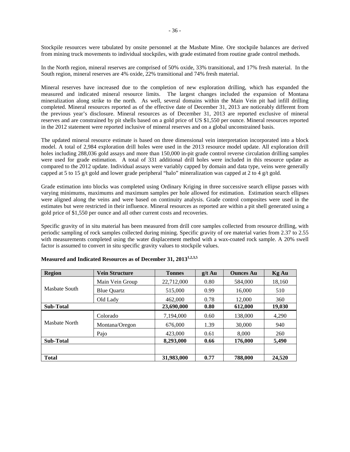Stockpile resources were tabulated by onsite personnel at the Masbate Mine. Ore stockpile balances are derived from mining truck movements to individual stockpiles, with grade estimated from routine grade control methods.

In the North region, mineral reserves are comprised of 50% oxide, 33% transitional, and 17% fresh material. In the South region, mineral reserves are 4% oxide, 22% transitional and 74% fresh material.

Mineral reserves have increased due to the completion of new exploration drilling, which has expanded the measured and indicated mineral resource limits. The largest changes included the expansion of Montana mineralization along strike to the north. As well, several domains within the Main Vein pit had infill drilling completed. Mineral resources reported as of the effective date of December 31, 2013 are noticeably different from the previous year's disclosure. Mineral resources as of December 31, 2013 are reported exclusive of mineral reserves and are constrained by pit shells based on a gold price of US \$1,550 per ounce. Mineral resources reported in the 2012 statement were reported inclusive of mineral reserves and on a global unconstrained basis.

The updated mineral resource estimate is based on three dimensional vein interpretation incorporated into a block model. A total of 2,984 exploration drill holes were used in the 2013 resource model update. All exploration drill holes including 288,036 gold assays and more than 150,000 in-pit grade control reverse circulation drilling samples were used for grade estimation. A total of 331 additional drill holes were included in this resource update as compared to the 2012 update. Individual assays were variably capped by domain and data type, veins were generally capped at 5 to 15 g/t gold and lower grade peripheral "halo" mineralization was capped at 2 to 4 g/t gold.

Grade estimation into blocks was completed using Ordinary Kriging in three successive search ellipse passes with varying minimums, maximums and maximum samples per hole allowed for estimation. Estimation search ellipses were aligned along the veins and were based on continuity analysis. Grade control composites were used in the estimates but were restricted in their influence. Mineral resources as reported are within a pit shell generated using a gold price of \$1,550 per ounce and all other current costs and recoveries.

Specific gravity of in situ material has been measured from drill core samples collected from resource drilling, with periodic sampling of rock samples collected during mining. Specific gravity of ore material varies from 2.37 to 2.55 with measurements completed using the water displacement method with a wax-coated rock sample. A 20% swell factor is assumed to convert in situ specific gravity values to stockpile values.

| Region           | <b>Vein Structure</b> | <b>Tonnes</b> | $g/t$ Au | <b>Ounces Au</b> | <b>Kg Au</b> |
|------------------|-----------------------|---------------|----------|------------------|--------------|
|                  | Main Vein Group       | 22,712,000    | 0.80     | 584,000          | 18,160       |
| Mashate South    | <b>Blue Quartz</b>    | 515,000       | 0.99     | 16,000           | 510          |
|                  | Old Lady              | 462,000       | 0.78     | 12.000           | 360          |
| <b>Sub-Total</b> |                       | 23,690,000    | 0.80     | 612,000          | 19,030       |
| Mashate North    | Colorado              | 7.194.000     | 0.60     | 138,000          | 4,290        |
|                  | Montana/Oregon        | 676,000       | 1.39     | 30,000           | 940          |
|                  | Pajo                  | 423,000       | 0.61     | 8.000            | 260          |
| <b>Sub-Total</b> |                       | 8,293,000     | 0.66     | 176,000          | 5.490        |
|                  |                       |               |          |                  |              |
| <b>Total</b>     |                       | 31,983,000    | 0.77     | 788,000          | 24.520       |

## **Measured and Indicated Resources as of December 31, 20131,2,3,5**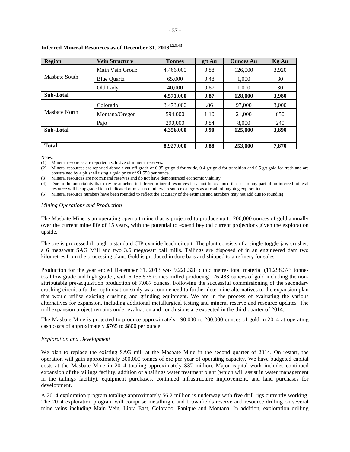| <b>Region</b>    | <b>Vein Structure</b> | <b>Tonnes</b> | $g/t$ Au | <b>Ounces Au</b> | <b>Kg Au</b> |
|------------------|-----------------------|---------------|----------|------------------|--------------|
|                  | Main Vein Group       | 4,466,000     | 0.88     | 126,000          | 3,920        |
| Masbate South    | <b>Blue Ouartz</b>    | 65,000        | 0.48     | 1.000            | 30           |
|                  | Old Lady              | 40,000        | 0.67     | 1.000            | 30           |
| <b>Sub-Total</b> |                       | 4,571,000     | 0.87     | 128,000          | 3,980        |
|                  | Colorado              | 3,473,000     | .86      | 97,000           | 3.000        |
| Mashate North    | Montana/Oregon        | 594,000       | 1.10     | 21,000           | 650          |
|                  | Pajo                  | 290,000       | 0.84     | 8.000            | 240          |
| <b>Sub-Total</b> |                       | 4,356,000     | 0.90     | 125,000          | 3,890        |
|                  |                       |               |          |                  |              |
| <b>Total</b>     |                       | 8,927,000     | 0.88     | 253,000          | 7.870        |

## **Inferred Mineral Resources as of December 31, 20131,2,3,4,5**

Notes:

(1) Mineral resources are reported exclusive of mineral reserves.

(2) Mineral resources are reported above a cut-off grade of 0.35 g/t gold for oxide, 0.4 g/t gold for transition and 0.5 g/t gold for fresh and are constrained by a pit shell using a gold price of \$1,550 per ounce.

(3) Mineral resources are not mineral reserves and do not have demonstrated economic viability.

(4) Due to the uncertainty that may be attached to inferred mineral resources it cannot be assumed that all or any part of an inferred mineral resource will be upgraded to an indicated or measured mineral resource category as a result of ongoing exploration.

(5) Mineral resource numbers have been rounded to reflect the accuracy of the estimate and numbers may not add due to rounding.

#### *Mining Operations and Production*

The Masbate Mine is an operating open pit mine that is projected to produce up to 200,000 ounces of gold annually over the current mine life of 15 years, with the potential to extend beyond current projections given the exploration upside.

The ore is processed through a standard CIP cyanide leach circuit. The plant consists of a single toggle jaw crusher, a 6 megawatt SAG Mill and two 3.6 megawatt ball mills. Tailings are disposed of in an engineered dam two kilometres from the processing plant. Gold is produced in dore bars and shipped to a refinery for sales.

Production for the year ended December 31, 2013 was 9,220,328 cubic metres total material (11,298,373 tonnes total low grade and high grade), with 6,155,576 tonnes milled producing 176,483 ounces of gold including the nonattributable pre-acquisition production of 7,087 ounces. Following the successful commissioning of the secondary crushing circuit a further optimisation study was commenced to further determine alternatives to the expansion plan that would utilise existing crushing and grinding equipment. We are in the process of evaluating the various alternatives for expansion, including additional metallurgical testing and mineral reserve and resource updates. The mill expansion project remains under evaluation and conclusions are expected in the third quarter of 2014.

The Masbate Mine is projected to produce approximately 190,000 to 200,000 ounces of gold in 2014 at operating cash costs of approximately \$765 to \$800 per ounce.

## *Exploration and Development*

We plan to replace the existing SAG mill at the Masbate Mine in the second quarter of 2014. On restart, the operation will gain approximately 300,000 tonnes of ore per year of operating capacity. We have budgeted capital costs at the Masbate Mine in 2014 totaling approximately \$37 million. Major capital work includes continued expansion of the tailings facility, addition of a tailings water treatment plant (which will assist in water management in the tailings facility), equipment purchases, continued infrastructure improvement, and land purchases for development.

A 2014 exploration program totaling approximately \$6.2 million is underway with five drill rigs currently working. The 2014 exploration program will comprise metallurgic and brownfields reserve and resource drilling on several mine veins including Main Vein, Libra East, Colorado, Panique and Montana. In addition, exploration drilling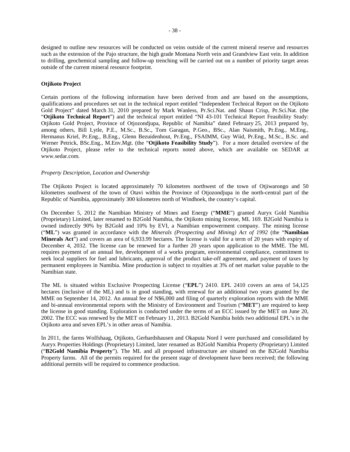designed to outline new resources will be conducted on veins outside of the current mineral reserve and resources such as the extension of the Pajo structure, the high grade Montana North vein and Grandview East vein. In addition to drilling, geochemical sampling and follow-up trenching will be carried out on a number of priority target areas outside of the current mineral resource footprint.

#### **Otjikoto Project**

Certain portions of the following information have been derived from and are based on the assumptions, qualifications and procedures set out in the technical report entitled "Independent Technical Report on the Otjikoto Gold Project" dated March 31, 2010 prepared by Mark Wanless, Pr.Sci.Nat. and Shaun Crisp, Pr.Sci.Nat. (the "**Otjikoto Technical Report**") and the technical report entitled "NI 43-101 Technical Report Feasibility Study: Otjikoto Gold Project, Province of Otjozondjupa, Republic of Namibia" dated February 25, 2013 prepared by, among others, Bill Lytle, P.E., M.Sc., B.Sc., Tom Garagan, P.Geo., BSc., Alan Naismith, Pr.Eng., M.Eng., Hermanus Kriel, Pr.Eng., B.Eng., Glenn Bezuidenhout, Pr.Eng., FSAIMM, Guy Wiid, Pr.Eng., M.Sc., B.Sc. and Werner Petrick, BSc.Eng., M.Env.Mgt. (the "**Otjikoto Feasibility Study**"). For a more detailed overview of the Otjikoto Project, please refer to the technical reports noted above, which are available on SEDAR at [www.sedar.com.](http://www.sedar.com/)

## *Property Description, Location and Ownership*

The Otjikoto Project is located approximately 70 kilometres northwest of the town of Otjiwarongo and 50 kilometres southwest of the town of Otavi within the Province of Otjozondjupa in the north-central part of the Republic of Namibia, approximately 300 kilometres north of Windhoek, the country's capital.

On December 5, 2012 the Namibian Ministry of Mines and Energy ("**MME**") granted Auryx Gold Namibia (Proprietary) Limited, later renamed to B2Gold Namibia, the Otjikoto mining license, ML 169. B2Gold Namibia is owned indirectly 90% by B2Gold and 10% by EVI, a Namibian empowerment company. The mining license ("**ML**") was granted in accordance with the *Minerals (Prospecting and Mining) Act of 1992* (the "**Namibian Minerals Act**") and covers an area of 6,933.99 hectares. The license is valid for a term of 20 years with expiry of December 4, 2032. The license can be renewed for a further 20 years upon application to the MME. The ML requires payment of an annual fee, development of a works program, environmental compliance, commitment to seek local suppliers for fuel and lubricants, approval of the product take-off agreement, and payment of taxes by permanent employees in Namibia. Mine production is subject to royalties at 3% of net market value payable to the Namibian state.

The ML is situated within Exclusive Prospecting License ("**EPL**") 2410. EPL 2410 covers an area of 54,125 hectares (inclusive of the ML) and is in good standing, with renewal for an additional two years granted by the MME on September 14, 2012. An annual fee of N\$6,000 and filing of quarterly exploration reports with the MME and bi-annual environmental reports with the Ministry of Environment and Tourism ("**MET**") are required to keep the license in good standing. Exploration is conducted under the terms of an ECC issued by the MET on June 20, 2002. The ECC was renewed by the MET on February 11, 2013. B2Gold Namibia holds two additional EPL's in the Otjikoto area and seven EPL's in other areas of Namibia.

In 2011, the farms Wolfshaag, Otjikoto, Gerhardshausen and Okaputa Nord I were purchased and consolidated by Auryx Properties Holdings (Proprietary) Limited, later renamed as B2Gold Namibia Property (Proprietary) Limited ("**B2Gold Namibia Property**"). The ML and all proposed infrastructure are situated on the B2Gold Namibia Property farms. All of the permits required for the present stage of development have been received; the following additional permits will be required to commence production.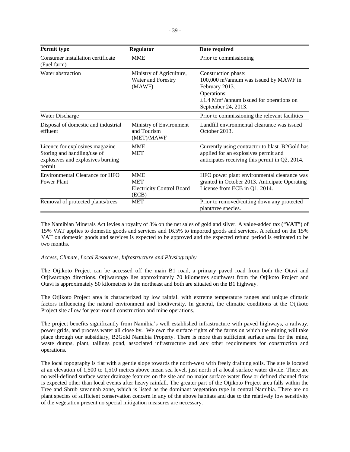| <b>Permit type</b>                                                                                            | <b>Regulator</b>                                                      | Date required                                                                                                                                                                                   |
|---------------------------------------------------------------------------------------------------------------|-----------------------------------------------------------------------|-------------------------------------------------------------------------------------------------------------------------------------------------------------------------------------------------|
| Consumer installation certificate<br>(Fuel farm)                                                              | <b>MME</b>                                                            | Prior to commissioning                                                                                                                                                                          |
| Water abstraction                                                                                             | Ministry of Agriculture,<br>Water and Forestry<br>(MAWF)              | Construction phase:<br>100,000 m <sup>3</sup> /annum was issued by MAWF in<br>February 2013.<br>Operations:<br>$\pm 1.4$ Mm <sup>3</sup> /annum issued for operations on<br>September 24, 2013. |
| Water Discharge                                                                                               |                                                                       | Prior to commissioning the relevant facilities                                                                                                                                                  |
| Disposal of domestic and industrial<br>effluent                                                               | Ministry of Environment<br>and Tourism<br>(MET)/MAWF                  | Landfill environmental clearance was issued<br>October 2013.                                                                                                                                    |
| Licence for explosives magazine<br>Storing and handling/use of<br>explosives and explosives burning<br>permit | <b>MME</b><br><b>MET</b>                                              | Currently using contractor to blast. B2Gold has<br>applied for an explosives permit and<br>anticipates receiving this permit in Q2, 2014.                                                       |
| <b>Environmental Clearance for HFO</b><br>Power Plant                                                         | <b>MME</b><br><b>MET</b><br><b>Electricity Control Board</b><br>(ECB) | HFO power plant environmental clearance was<br>granted in October 2013. Anticipate Operating<br>License from ECB in Q1, 2014.                                                                   |
| Removal of protected plants/trees                                                                             | <b>MET</b>                                                            | Prior to removed/cutting down any protected<br>plant/tree species.                                                                                                                              |

The Namibian Minerals Act levies a royalty of 3% on the net sales of gold and silver. A value-added tax ("**VAT**") of 15% VAT applies to domestic goods and services and 16.5% to imported goods and services. A refund on the 15% VAT on domestic goods and services is expected to be approved and the expected refund period is estimated to be two months.

## *Access, Climate, Local Resources, Infrastructure and Physiography*

The Otjikoto Project can be accessed off the main B1 road, a primary paved road from both the Otavi and Otjiwarongo directions. Otjiwarongo lies approximately 70 kilometres southwest from the Otjikoto Project and Otavi is approximately 50 kilometres to the northeast and both are situated on the B1 highway.

The Otjikoto Project area is characterized by low rainfall with extreme temperature ranges and unique climatic factors influencing the natural environment and biodiversity. In general, the climatic conditions at the Otjikoto Project site allow for year-round construction and mine operations.

The project benefits significantly from Namibia's well established infrastructure with paved highways, a railway, power grids, and process water all close by. We own the surface rights of the farms on which the mining will take place through our subsidiary, B2Gold Namibia Property. There is more than sufficient surface area for the mine, waste dumps, plant, tailings pond, associated infrastructure and any other requirements for construction and operations.

The local topography is flat with a gentle slope towards the north-west with freely draining soils. The site is located at an elevation of 1,500 to 1,510 metres above mean sea level, just north of a local surface water divide. There are no well-defined surface water drainage features on the site and no major surface water flow or defined channel flow is expected other than local events after heavy rainfall. The greater part of the Otjikoto Project area falls within the Tree and Shrub savannah zone, which is listed as the dominant vegetation type in central Namibia. There are no plant species of sufficient conservation concern in any of the above habitats and due to the relatively low sensitivity of the vegetation present no special mitigation measures are necessary.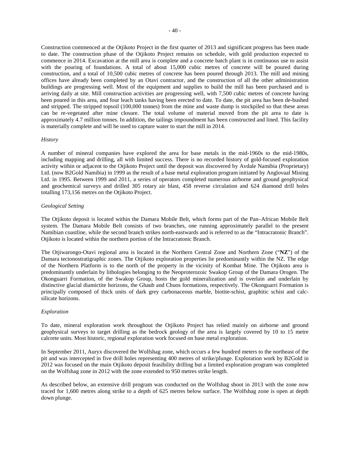Construction commenced at the Otjikoto Project in the first quarter of 2013 and significant progress has been made to date. The construction phase of the Otjikoto Project remains on schedule, with gold production expected to commence in 2014. Excavation at the mill area is complete and a concrete batch plant is in continuous use to assist with the pouring of foundations. A total of about 15,000 cubic metres of concrete will be poured during construction, and a total of 10,500 cubic metres of concrete has been poured through 2013. The mill and mining offices have already been completed by an Otavi contractor, and the construction of all the other administration buildings are progressing well. Most of the equipment and supplies to build the mill has been purchased and is arriving daily at site. Mill construction activities are progressing well, with 7,500 cubic metres of concrete having been poured in this area, and four leach tanks having been erected to date. To date, the pit area has been de-bushed and stripped. The stripped topsoil (100,000 tonnes) from the mine and waste dump is stockpiled so that these areas can be re-vegetated after mine closure. The total volume of material moved from the pit area to date is approximately 4.7 million tonnes. In addition, the tailings impoundment has been constructed and lined. This facility is materially complete and will be used to capture water to start the mill in 2014.

#### *History*

A number of mineral companies have explored the area for base metals in the mid-1960s to the mid-1980s, including mapping and drilling, all with limited success. There is no recorded history of gold-focused exploration activity within or adjacent to the Otjikoto Project until the deposit was discovered by Avdale Namibia (Proprietary) Ltd. (now B2Gold Namibia) in 1999 as the result of a base metal exploration program initiated by Anglovaal Mining Ltd. in 1995. Between 1999 and 2011, a series of operators completed numerous airborne and ground geophysical and geochemical surveys and drilled 305 rotary air blast, 458 reverse circulation and 624 diamond drill holes totalling 173,156 metres on the Otjikoto Project.

## *Geological Setting*

The Otjikoto deposit is located within the Damara Mobile Belt, which forms part of the Pan–African Mobile Belt system. The Damara Mobile Belt consists of two branches, one running approximately parallel to the present Namibian coastline, while the second branch strikes north-eastwards and is referred to as the "Intracratonic Branch". Otjikoto is located within the northern portion of the Intracratonic Branch.

The Otjiwarongo-Otavi regional area is located in the Northern Central Zone and Northern Zone ("**NZ**") of the Damara tectonostratigraphic zones. The Otjikoto exploration properties lie predominantly within the NZ. The edge of the Northern Platform is to the north of the property in the vicinity of Kombat Mine. The Otjikoto area is predominantly underlain by lithologies belonging to the Neoproterozoic Swakop Group of the Damara Orogen. The Okonguarri Formation, of the Swakop Group, hosts the gold mineralization and is overlain and underlain by distinctive glacial diamictite horizons, the Ghaub and Chuos formations, respectively. The Okonguarri Formation is principally composed of thick units of dark grey carbonaceous marble, biotite-schist, graphitic schist and calcsilicate horizons.

## *Exploration*

To date, mineral exploration work throughout the Otjikoto Project has relied mainly on airborne and ground geophysical surveys to target drilling as the bedrock geology of the area is largely covered by 10 to 15 metre calcrete units. Most historic, regional exploration work focused on base metal exploration.

In September 2011, Auryx discovered the Wolfshag zone, which occurs a few hundred meters to the northeast of the pit and was intercepted in five drill holes representing 400 metres of strike/plunge. Exploration work by B2Gold in 2012 was focused on the main Otjikoto deposit feasibility drilling but a limited exploration program was completed on the Wolfshag zone in 2012 with the zone extended to 950 metres strike length.

As described below, an extensive drill program was conducted on the Wolfshag shoot in 2013 with the zone now traced for 1,600 metres along strike to a depth of 625 metres below surface. The Wolfshag zone is open at depth down plunge.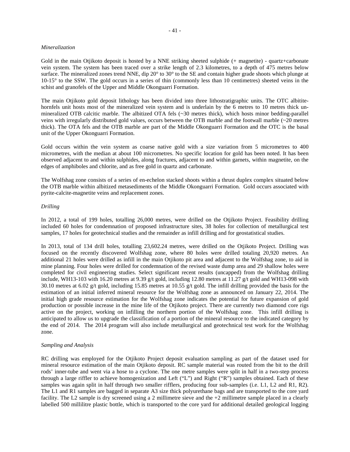#### *Mineralization*

Gold in the main Otjikoto deposit is hosted by a NNE striking sheeted sulphide (+ magnetite) - quartz+carbonate vein system. The system has been traced over a strike length of 2.3 kilometres, to a depth of 475 metres below surface. The mineralized zones trend NNE, dip 20° to 30° to the SE and contain higher grade shoots which plunge at 10-15° to the SSW. The gold occurs in a series of thin (commonly less than 10 centimetres) sheeted veins in the schist and granofels of the Upper and Middle Okonguarri Formation.

The main Otjikoto gold deposit lithology has been divided into three lithostratigraphic units. The OTC albititehornfels unit hosts most of the mineralized vein system and is underlain by the 6 metres to 10 metres thick unmineralized OTB calcitic marble. The albitized OTA fels (~30 metres thick), which hosts minor bedding-parallel veins with irregularly distributed gold values, occurs between the OTB marble and the footwall marble  $\sim 20$  metres thick). The OTA fels and the OTB marble are part of the Middle Okonguarri Formation and the OTC is the basal unit of the Upper Okonguarri Formation.

Gold occurs within the vein system as coarse native gold with a size variation from 5 micrometres to 400 micrometres, with the median at about 100 micrometres. No specific location for gold has been noted. It has been observed adjacent to and within sulphides, along fractures, adjacent to and within garnets, within magnetite, on the edges of amphiboles and chlorite, and as free gold in quartz and carbonate.

The Wolfshag zone consists of a series of en-echelon stacked shoots within a thrust duplex complex situated below the OTB marble within albitized metasediments of the Middle Okonguarri Formation. Gold occurs associated with pyrite-calcite-magnetite veins and replacement zones.

## *Drilling*

In 2012, a total of 199 holes, totalling 26,000 metres, were drilled on the Otjikoto Project. Feasibility drilling included 60 holes for condemnation of proposed infrastructure sites, 38 holes for collection of metallurgical test samples, 17 holes for geotechnical studies and the remainder as infill drilling and for geostatistical studies.

In 2013, total of 134 drill holes, totalling 23,602.24 metres, were drilled on the Otjikoto Project. Drilling was focused on the recently discovered Wolfshag zone, where 80 holes were drilled totaling 20,920 metres. An additional 21 holes were drilled as infill in the main Otjikoto pit area and adjacent to the Wolfshag zone, to aid in mine planning. Four holes were drilled for condemnation of the revised waste dump area and 29 shallow holes were completed for civil engineering studies. Select significant recent results (uncapped) from the Wolfshag drilling include, WH13-103 with 16.20 metres at 9.39 g/t gold, including 12.80 metres at 11.27 g/t gold and WH13-098 with 30.10 metres at 6.02 g/t gold, including 15.85 metres at 10.55 g/t gold. The infill drilling provided the basis for the estimation of an initial inferred mineral resource for the Wolfshag zone as announced on January 22, 2014. The initial high grade resource estimation for the Wolfshag zone indicates the potential for future expansion of gold production or possible increase in the mine life of the Otjikoto project. There are currently two diamond core rigs active on the project, working on infilling the northern portion of the Wolfshag zone. This infill drilling is anticipated to allow us to upgrade the classification of a portion of the mineral resource to the indicated category by the end of 2014. The 2014 program will also include metallurgical and geotechnical test work for the Wolfshag zone.

#### *Sampling and Analysis*

RC drilling was employed for the Otjikoto Project deposit evaluation sampling as part of the dataset used for mineral resource estimation of the main Otjikoto deposit. RC sample material was routed from the bit to the drill rods' inner-tube and went via a hose to a cyclone. The one metre samples were split in half in a two-step process through a large riffler to achieve homogenization and Left ("L") and Right ("R") samples obtained. Each of these samples was again split in half through two smaller rifflers, producing four sub-samples (i.e. L1, L2 and R1, R2). The L1 and R1 samples are bagged in separate A3 size thick polyurethane bags and are transported to the core yard facility. The L2 sample is dry screened using a 2 millimetre sieve and the +2 millimetre sample placed in a clearly labelled 500 millilitre plastic bottle, which is transported to the core yard for additional detailed geological logging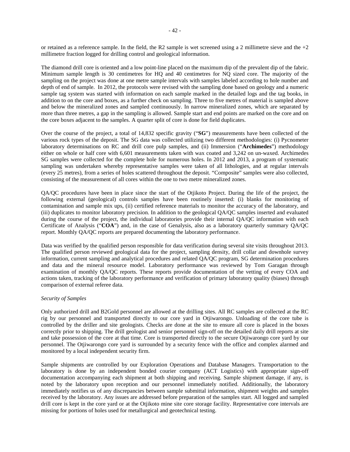or retained as a reference sample. In the field, the R2 sample is wet screened using a 2 millimetre sieve and the  $+2$ millimetre fraction logged for drilling control and geological information.

The diamond drill core is oriented and a low point-line placed on the maximum dip of the prevalent dip of the fabric. Minimum sample length is 30 centimetres for HQ and 40 centimetres for NQ sized core. The majority of the sampling on the project was done at one metre sample intervals with samples labeled according to hole number and depth of end of sample. In 2012, the protocols were revised with the sampling done based on geology and a numeric sample tag system was started with information on each sample marked in the detailed logs and the tag books, in addition to on the core and boxes, as a further check on sampling. Three to five metres of material is sampled above and below the mineralized zones and sampled continuously. In narrow mineralized zones, which are separated by more than three metres, a gap in the sampling is allowed. Sample start and end points are marked on the core and on the core boxes adjacent to the samples. A quarter split of core is done for field duplicates.

Over the course of the project, a total of 14,832 specific gravity ("**SG**") measurements have been collected of the various rock types of the deposit. The SG data was collected utilizing two different methodologies: (i) Pycnometer laboratory determinations on RC and drill core pulp samples, and (ii) Immersion ("**Archimedes**") methodology either on whole or half core with 6,601 measurements taken with wax coated and 3,242 on un-waxed. Archimedes SG samples were collected for the complete hole for numerous holes. In 2012 and 2013, a program of systematic sampling was undertaken whereby representative samples were taken of all lithologies, and at regular intervals (every 25 metres), from a series of holes scattered throughout the deposit. "Composite" samples were also collected, consisting of the measurement of all cores within the one to two metre mineralized zones.

QA/QC procedures have been in place since the start of the Otjikoto Project. During the life of the project, the following external (geological) controls samples have been routinely inserted: (i) blanks for monitoring of contamination and sample mix ups, (ii) certified reference materials to monitor the accuracy of the laboratory, and (iii) duplicates to monitor laboratory precision. In addition to the geological QA/QC samples inserted and evaluated during the course of the project, the individual laboratories provide their internal QA/QC information with each Certificate of Analysis ("**COA**") and, in the case of Genalysis, also as a laboratory quarterly summary QA/QC report. Monthly QA/QC reports are prepared documenting the laboratory performance.

Data was verified by the qualified person responsible for data verification during several site visits throughout 2013. The qualified person reviewed geological data for the project, sampling density, drill collar and downhole survey information, current sampling and analytical procedures and related QA/QC program, SG determination procedures and data and the mineral resource model. Laboratory performance was reviewed by Tom Garagan through examination of monthly QA/QC reports. These reports provide documentation of the vetting of every COA and actions taken, tracking of the laboratory performance and verification of primary laboratory quality (biases) through comparison of external referee data.

## *Security of Samples*

Only authorized drill and B2Gold personnel are allowed at the drilling sites. All RC samples are collected at the RC rig by our personnel and transported directly to our core yard in Otjiwarongo. Unloading of the core tube is controlled by the driller and site geologists. Checks are done at the site to ensure all core is placed in the boxes correctly prior to shipping. The drill geologist and senior personnel sign-off on the detailed daily drill reports at site and take possession of the core at that time. Core is transported directly to the secure Otjiwarongo core yard by our personnel. The Otjiwarongo core yard is surrounded by a security fence with the office and complex alarmed and monitored by a local independent security firm.

Sample shipments are controlled by our Exploration Operations and Database Managers. Transportation to the laboratory is done by an independent bonded courier company (ACT Logistics) with appropriate sign-off documentation accompanying each shipment at both shipping and receiving. Sample shipment damage, if any, is noted by the laboratory upon reception and our personnel immediately notified. Additionally, the laboratory immediately notifies us of any discrepancies between sample submittal information, shipment weights and samples received by the laboratory. Any issues are addressed before preparation of the samples start. All logged and sampled drill core is kept in the core yard or at the Otjikoto mine site core storage facility. Representative core intervals are missing for portions of holes used for metallurgical and geotechnical testing.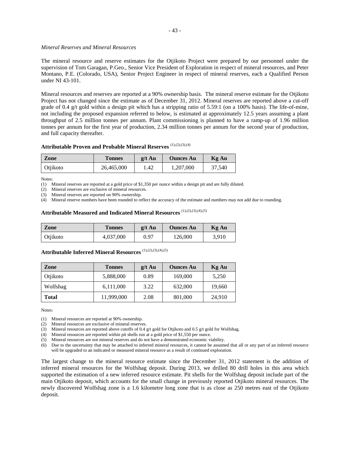## *Mineral Reserves and Mineral Resources*

The mineral resource and reserve estimates for the Otjikoto Project were prepared by our personnel under the supervision of Tom Garagan, P.Geo., Senior Vice President of Exploration in respect of mineral resources, and Peter Montano, P.E. (Colorado, USA), Senior Project Engineer in respect of mineral reserves, each a Qualified Person under NI 43-101.

Mineral resources and reserves are reported at a 90% ownership basis. The mineral reserve estimate for the Otjikoto Project has not changed since the estimate as of December 31, 2012. Mineral reserves are reported above a cut-off grade of 0.4 g/t gold within a design pit which has a stripping ratio of 5.59:1 (on a 100% basis). The life-of-mine, not including the proposed expansion referred to below, is estimated at approximately 12.5 years assuming a plant throughput of 2.5 million tonnes per annum. Plant commissioning is planned to have a ramp-up of 1.96 million tonnes per annum for the first year of production, 2.34 million tonnes per annum for the second year of production, and full capacity thereafter.

# **Attributable Proven and Probable Mineral Reserves** (1),(2),(3),(4)

| <i>L</i> one | <b>Tonnes</b> | $g/t$ Au | Ounces Au | Kg Au  |
|--------------|---------------|----------|-----------|--------|
| Otjikoto     | 26,465,000    | 1.42     | 1,207,000 | 37,540 |

Notes:

(1) Mineral reserves are reported at a gold price of \$1,350 per ounce within a design pit and are fully diluted.

(2) Mineral reserves are exclusive of mineral resources.

(3) Mineral reserves are reported on 90% ownership.

(4) Mineral reserve numbers have been rounded to reflect the accuracy of the estimate and numbers may not add due to rounding.

## **Attributable Measured and Indicated Mineral Resources** (1),(2),(3),(4),(5)

| Zone     | <b>Tonnes</b> | $g/t$ Au | <b>Ounces Au</b> | Kg Au |
|----------|---------------|----------|------------------|-------|
| Otiikoto | 4.037.000     | 0.97     | 126,000          | 3.910 |

# **Attributable Inferred Mineral Resources** (1),(2),(3),(4),(5)

| Zone     | <b>Tonnes</b> | $g/t$ Au | <b>Ounces Au</b> | Kg Au  |
|----------|---------------|----------|------------------|--------|
| Otjikoto | 5,888,000     | 0.89     | 169,000          | 5,250  |
| Wolfshag | 6,111,000     | 3.22     | 632,000          | 19,660 |
| Total    | 11,999,000    | 2.08     | 801,000          | 24,910 |

Notes:

(1) Mineral resources are reported at 90% ownership.

(2) Mineral resources are exclusive of mineral reserves.

(3) Mineral resources are reported above cutoffs of 0.4 g/t gold for Otjikoto and 0.5 g/t gold for Wolfshag.

(4) Mineral resources are reported within pit shells run at a gold price of \$1,550 per ounce.

(5) Mineral resources are not mineral reserves and do not have a demonstrated economic viability.

(6) Due to the uncertainty that may be attached to inferred mineral resources, it cannot be assumed that all or any part of an inferred resource will be upgraded to an indicated or measured mineral resource as a result of continued exploration.

The largest change to the mineral resource estimate since the December 31, 2012 statement is the addition of inferred mineral resources for the Wolfshag deposit. During 2013, we drilled 80 drill holes in this area which supported the estimation of a new inferred resource estimate. Pit shells for the Wolfshag deposit include part of the main Otjikoto deposit, which accounts for the small change in previously reported Otjikoto mineral resources. The newly discovered Wolfshag zone is a 1.6 kilometre long zone that is as close as 250 metres east of the Otjikoto deposit.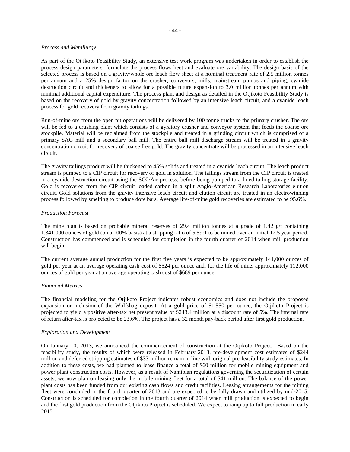#### - 44 -

## *Process and Metallurgy*

As part of the Otjikoto Feasibility Study, an extensive test work program was undertaken in order to establish the process design parameters, formulate the process flows heet and evaluate ore variability. The design basis of the selected process is based on a gravity/whole ore leach flow sheet at a nominal treatment rate of 2.5 million tonnes per annum and a 25% design factor on the crusher, conveyors, mills, mainstream pumps and piping, cyanide destruction circuit and thickeners to allow for a possible future expansion to 3.0 million tonnes per annum with minimal additional capital expenditure. The process plant and design as detailed in the Otjikoto Feasibility Study is based on the recovery of gold by gravity concentration followed by an intensive leach circuit, and a cyanide leach process for gold recovery from gravity tailings.

Run-of-mine ore from the open pit operations will be delivered by 100 tonne trucks to the primary crusher. The ore will be fed to a crushing plant which consists of a gyratory crusher and conveyor system that feeds the coarse ore stockpile. Material will be reclaimed from the stockpile and treated in a grinding circuit which is comprised of a primary SAG mill and a secondary ball mill. The entire ball mill discharge stream will be treated in a gravity concentration circuit for recovery of coarse free gold. The gravity concentrate will be processed in an intensive leach circuit.

The gravity tailings product will be thickened to 45% solids and treated in a cyanide leach circuit. The leach product stream is pumped to a CIP circuit for recovery of gold in solution. The tailings stream from the CIP circuit is treated in a cyanide destruction circuit using the SO2/Air process, before being pumped to a lined tailing storage facility. Gold is recovered from the CIP circuit loaded carbon in a split Anglo-American Research Laboratories elution circuit. Gold solutions from the gravity intensive leach circuit and elution circuit are treated in an electrowinning process followed by smelting to produce dore bars. Average life-of-mine gold recoveries are estimated to be 95.6%.

#### *Production Forecast*

The mine plan is based on probable mineral reserves of 29.4 million tonnes at a grade of  $1.42 \text{ g/t}$  containing 1,341,000 ounces of gold (on a 100% basis) at a stripping ratio of 5.59:1 to be mined over an initial 12.5 year period. Construction has commenced and is scheduled for completion in the fourth quarter of 2014 when mill production will begin.

The current average annual production for the first five years is expected to be approximately 141,000 ounces of gold per year at an average operating cash cost of \$524 per ounce and, for the life of mine, approximately 112,000 ounces of gold per year at an average operating cash cost of \$689 per ounce.

## *Financial Metrics*

The financial modeling for the Otjikoto Project indicates robust economics and does not include the proposed expansion or inclusion of the Wolfshag deposit. At a gold price of \$1,550 per ounce, the Otjikoto Project is projected to yield a positive after-tax net present value of \$243.4 million at a discount rate of 5%. The internal rate of return after-tax is projected to be 23.6%. The project has a 32 month pay-back period after first gold production.

#### *Exploration and Development*

On January 10, 2013, we announced the commencement of construction at the Otjikoto Project. Based on the feasibility study, the results of which were released in February 2013, pre-development cost estimates of \$244 million and deferred stripping estimates of \$33 million remain in line with original pre-feasibility study estimates. In addition to these costs, we had planned to lease finance a total of \$60 million for mobile mining equipment and power plant construction costs. However, as a result of Namibian regulations governing the securitization of certain assets, we now plan on leasing only the mobile mining fleet for a total of \$41 million. The balance of the power plant costs has been funded from our existing cash flows and credit facilities. Leasing arrangements for the mining fleet were concluded in the fourth quarter of 2013 and are expected to be fully drawn and utilized by mid-2015. Construction is scheduled for completion in the fourth quarter of 2014 when mill production is expected to begin and the first gold production from the Otjikoto Project is scheduled. We expect to ramp up to full production in early 2015.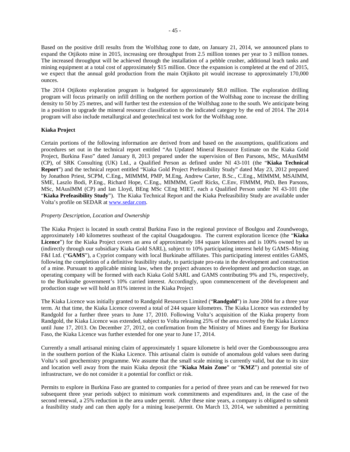Based on the positive drill results from the Wolfshag zone to date, on January 21, 2014, we announced plans to expand the Otjikoto mine in 2015, increasing ore throughput from 2.5 million tonnes per year to 3 million tonnes. The increased throughput will be achieved through the installation of a pebble crusher, additional leach tanks and mining equipment at a total cost of approximately \$15 million. Once the expansion is completed at the end of 2015, we expect that the annual gold production from the main Otjikoto pit would increase to approximately 170,000 ounces.

The 2014 Otjikoto exploration program is budgeted for approximately \$8.0 million. The exploration drilling program will focus primarily on infill drilling on the northern portion of the Wolfshag zone to increase the drilling density to 50 by 25 metres, and will further test the extension of the Wolfshag zone to the south. We anticipate being in a position to upgrade the mineral resource classification to the indicated category by the end of 2014. The 2014 program will also include metallurgical and geotechnical test work for the Wolfshag zone.

## **Kiaka Project**

Certain portions of the following information are derived from and based on the assumptions, qualifications and procedures set out in the technical report entitled "An Updated Mineral Resource Estimate on the Kiaka Gold Project, Burkina Faso" dated January 8, 2013 prepared under the supervision of Ben Parsons, MSc, MAusIMM (CP), of SRK Consulting (UK) Ltd., a Qualified Person as defined under NI 43-101 (the "**Kiaka Technical Report**") and the technical report entitled "Kiaka Gold Project Prefeasibility Study" dated May 23, 2012 prepared by Jonathon Priest, SCPM, C.Eng., MIMMM, PMP, M.Eng, Andrew Carter, B.Sc., C.Eng., MIMMM, MSAIMM, SME, Laszlo Bodi, P.Eng., Richard Hope, C.Eng., MIMMM, Geoff Ricks, C.Env, FIMMM, PhD, Ben Parsons, MSc, MAusIMM (CP) and Ian Lloyd, BEng MSc CEng MIET, each a Qualified Person under NI 43-101 (the "**Kiaka Prefeasibility Study**"). The Kiaka Technical Report and the Kiaka Prefeasibility Study are available under Volta's profile on SEDAR a[t www.sedar.com.](http://www.sedar.com/)

## *Property Description, Location and Ownership*

The Kiaka Project is located in south central Burkina Faso in the regional province of Boulgou and Zoundweogo, approximately 140 kilometres southeast of the capital Ouagadougou. The current exploration licence (the "**Kiaka Licence**") for the Kiaka Project covers an area of approximately 184 square kilometres and is 100% owned by us (indirectly through our subsidiary Kiaka Gold SARL), subject to 10% participating interest held by GAMS–Mining F&I Ltd. ("**GAMS**"), a Cypriot company with local Burkinabe affiliates. This participating interest entitles GAMS, following the completion of a definitive feasibility study, to participate pro-rata in the development and construction of a mine. Pursuant to applicable mining law, when the project advances to development and production stage, an operating company will be formed with each Kiaka Gold SARL and GAMS contributing 9% and 1%, respectively, to the Burkinabe government's 10% carried interest. Accordingly, upon commencement of the development and production stage we will hold an 81% interest in the Kiaka Project

The Kiaka Licence was initially granted to Randgold Resources Limited ("**Randgold**") in June 2004 for a three year term. At that time, the Kiaka Licence covered a total of 244 square kilometres. The Kiaka Licence was extended by Randgold for a further three years to June 17, 2010. Following Volta's acquisition of the Kiaka property from Randgold, the Kiaka Licence was extended, subject to Volta releasing 25% of the area covered by the Kiaka Licence until June 17, 2013. On December 27, 2012, on confirmation from the Ministry of Mines and Energy for Burkina Faso, the Kiaka Licence was further extended for one year to June 17, 2014.

Currently a small artisanal mining claim of approximately 1 square kilometre is held over the Gomboussougou area in the southern portion of the Kiaka Licence. This artisanal claim is outside of anomalous gold values seen during Volta's soil geochemistry programme. We assume that the small scale mining is currently valid, but due to its size and location well away from the main Kiaka deposit (the "**Kiaka Main Zone**" or "**KMZ**") and potential site of infrastructure, we do not consider it a potential for conflict or risk.

Permits to explore in Burkina Faso are granted to companies for a period of three years and can be renewed for two subsequent three year periods subject to minimum work commitments and expenditures and, in the case of the second renewal, a 25% reduction in the area under permit. After these nine years, a company is obligated to submit a feasibility study and can then apply for a mining lease/permit. On March 13, 2014, we submitted a permitting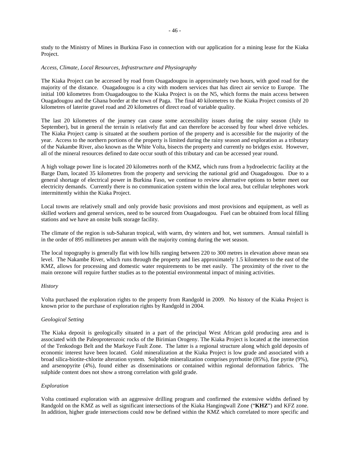study to the Ministry of Mines in Burkina Faso in connection with our application for a mining lease for the Kiaka Project.

#### *Access, Climate, Local Resources, Infrastructure and Physiography*

The Kiaka Project can be accessed by road from Ouagadougou in approximately two hours, with good road for the majority of the distance. Ouagadougou is a city with modern services that has direct air service to Europe. The initial 100 kilometres from Ouagadougou to the Kiaka Project is on the N5, which forms the main access between Ouagadougou and the Ghana border at the town of Paga. The final 40 kilometres to the Kiaka Project consists of 20 kilometres of laterite gravel road and 20 kilometres of direct road of variable quality.

The last 20 kilometres of the journey can cause some accessibility issues during the rainy season (July to September), but in general the terrain is relatively flat and can therefore be accessed by four wheel drive vehicles. The Kiaka Project camp is situated at the southern portion of the property and is accessible for the majority of the year. Access to the northern portions of the property is limited during the rainy season and exploration as a tributary of the Nakambe River, also known as the White Volta, bisects the property and currently no bridges exist. However, all of the mineral resources defined to date occur south of this tributary and can be accessed year round.

A high voltage power line is located 20 kilometres north of the KMZ, which runs from a hydroelectric facility at the Barge Dam, located 35 kilometres from the property and servicing the national grid and Ouagadougou. Due to a general shortage of electrical power in Burkina Faso, we continue to review alternative options to better meet our electricity demands. Currently there is no communication system within the local area, but cellular telephones work intermittently within the Kiaka Project.

Local towns are relatively small and only provide basic provisions and most provisions and equipment, as well as skilled workers and general services, need to be sourced from Ouagadougou. Fuel can be obtained from local filling stations and we have an onsite bulk storage facility.

The climate of the region is sub-Saharan tropical, with warm, dry winters and hot, wet summers. Annual rainfall is in the order of 895 millimetres per annum with the majority coming during the wet season.

The local topography is generally flat with low hills ranging between 220 to 300 metres in elevation above mean sea level. The Nakambe River, which runs through the property and lies approximately 1.5 kilometers to the east of the KMZ, allows for processing and domestic water requirements to be met easily. The proximity of the river to the main orezone will require further studies as to the potential environmental impact of mining activities.

#### *History*

Volta purchased the exploration rights to the property from Randgold in 2009. No history of the Kiaka Project is known prior to the purchase of exploration rights by Randgold in 2004.

## *Geological Setting*

The Kiaka deposit is geologically situated in a part of the principal West African gold producing area and is associated with the Paleoproterozoic rocks of the Birimian Orogeny. The Kiaka Project is located at the intersection of the Tenkodogo Belt and the Markoye Fault Zone. The latter is a regional structure along which gold deposits of economic interest have been located. Gold mineralization at the Kiaka Project is low grade and associated with a broad silica-biotite-chlorite alteration system. Sulphide mineralization comprises pyrrhotite (85%), fine pyrite (9%), and arsenopyrite (4%), found either as disseminations or contained within regional deformation fabrics. The sulphide content does not show a strong correlation with gold grade.

## *Exploration*

Volta continued exploration with an aggressive drilling program and confirmed the extensive widths defined by Randgold on the KMZ as well as significant intersections of the Kiaka Hangingwall Zone ("**KHZ**") and KFZ zone. In addition, higher grade intersections could now be defined within the KMZ which correlated to more specific and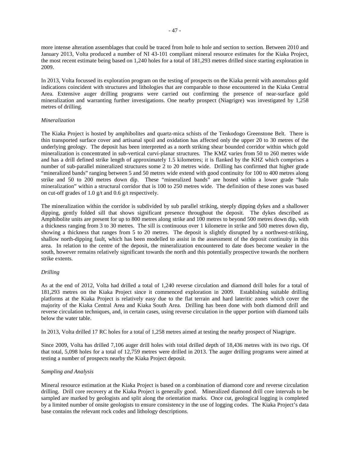more intense alteration assemblages that could be traced from hole to hole and section to section. Between 2010 and January 2013, Volta produced a number of NI 43-101 compliant mineral resource estimates for the Kiaka Project, the most recent estimate being based on 1,240 holes for a total of 181,293 metres drilled since starting exploration in 2009.

In 2013, Volta focussed its exploration program on the testing of prospects on the Kiaka permit with anomalous gold indications coincident with structures and lithologies that are comparable to those encountered in the Kiaka Central Area. Extensive auger drilling programs were carried out confirming the presence of near-surface gold mineralization and warranting further investigations. One nearby prospect (Niagrigre) was investigated by 1,258 metres of drilling.

## *Mineralization*

The Kiaka Project is hosted by amphibolites and quartz-mica schists of the Tenkodogo Greenstone Belt. There is thin transported surface cover and artisanal spoil and oxidation has affected only the upper 20 to 30 metres of the underlying geology. The deposit has been interpreted as a north striking shear bounded corridor within which gold mineralization is concentrated in sub-vertical curvi-planar structures. The KMZ varies from 50 to 260 metres wide and has a drill defined strike length of approximately 1.5 kilometres; it is flanked by the KHZ which comprises a number of sub-parallel mineralized structures some 2 to 20 metres wide. Drilling has confirmed that higher grade "mineralized bands" ranging between 5 and 50 metres wide extend with good continuity for 100 to 400 metres along strike and 50 to 200 metres down dip. These "mineralized bands" are hosted within a lower grade "halo mineralization" within a structural corridor that is 100 to 250 metres wide. The definition of these zones was based on cut-off grades of 1.0 g/t and 0.6 g/t respectively.

The mineralization within the corridor is subdivided by sub parallel striking, steeply dipping dykes and a shallower dipping, gently folded sill that shows significant presence throughout the deposit. The dykes described as Amphibolite units are present for up to 800 metres along strike and 100 metres to beyond 500 metres down dip, with a thickness ranging from 3 to 30 metres. The sill is continuous over 1 kilometre in strike and 500 metres down dip, showing a thickness that ranges from 5 to 20 metres. The deposit is slightly disrupted by a northwest-striking, shallow north-dipping fault, which has been modelled to assist in the assessment of the deposit continuity in this area. In relation to the centre of the deposit, the mineralization encountered to date does become weaker in the south, however remains relatively significant towards the north and this potentially prospective towards the northern strike extents.

## *Drilling*

As at the end of 2012, Volta had drilled a total of 1,240 reverse circulation and diamond drill holes for a total of 181,293 metres on the Kiaka Project since it commenced exploration in 2009. Establishing suitable drilling platforms at the Kiaka Project is relatively easy due to the flat terrain and hard lateritic zones which cover the majority of the Kiaka Central Area and Kiaka South Area. Drilling has been done with both diamond drill and reverse circulation techniques, and, in certain cases, using reverse circulation in the upper portion with diamond tails below the water table.

In 2013, Volta drilled 17 RC holes for a total of 1,258 metres aimed at testing the nearby prospect of Niagrigre.

Since 2009, Volta has drilled 7,106 auger drill holes with total drilled depth of 18,436 metres with its two rigs. Of that total, 5,098 holes for a total of 12,759 metres were drilled in 2013. The auger drilling programs were aimed at testing a number of prospects nearby the Kiaka Project deposit.

## *Sampling and Analysis*

Mineral resource estimation at the Kiaka Project is based on a combination of diamond core and reverse circulation drilling. Drill core recovery at the Kiaka Project is generally good. Mineralized diamond drill core intervals to be sampled are marked by geologists and split along the orientation marks. Once cut, geological logging is completed by a limited number of onsite geologists to ensure consistency in the use of logging codes. The Kiaka Project's data base contains the relevant rock codes and lithology descriptions.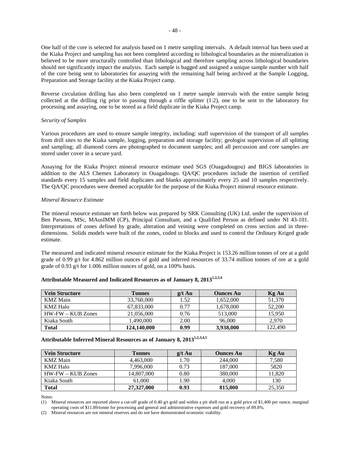One half of the core is selected for analysis based on 1 metre sampling intervals. A default interval has been used at the Kiaka Project and sampling has not been completed according to lithological boundaries as the mineralization is believed to be more structurally controlled than lithological and therefore sampling across lithological boundaries should not significantly impact the analysis. Each sample is bagged and assigned a unique sample number with half of the core being sent to laboratories for assaying with the remaining half being archived at the Sample Logging, Preparation and Storage facility at the Kiaka Project camp.

Reverse circulation drilling has also been completed on 1 metre sample intervals with the entire sample being collected at the drilling rig prior to passing through a riffle splitter (1:2), one to be sent to the laboratory for processing and assaying, one to be stored as a field duplicate in the Kiaka Project camp.

## *Security of Samples*

Various procedures are used to ensure sample integrity, including: staff supervision of the transport of all samples from drill sites to the Kiaka sample, logging, preparation and storage facility; geologist supervision of all splitting and sampling; all diamond cores are photographed to document samples; and all percussion and core samples are stored under cover in a secure yard.

Assaying for the Kiaka Project mineral resource estimate used SGS (Ouagadougou) and BIGS laboratories in addition to the ALS Chemex Laboratory in Ouagadougo. QA/QC procedures include the insertion of certified standards every 15 samples and field duplicates and blanks approximately every 25 and 10 samples respectively. The QA/QC procedures were deemed acceptable for the purpose of the Kiaka Project mineral resource estimate.

## *Mineral Resource Estimate*

The mineral resource estimate set forth below was prepared by SRK Consulting (UK) Ltd. under the supervision of Ben Parsons, MSc, MAusIMM (CP), Principal Consultant, and a Qualified Person as defined under NI 43-101. Interpretations of zones defined by grade, alteration and veining were completed on cross section and in threedimensions. Solids models were built of the zones, coded to blocks and used to control the Ordinary Kriged grade estimate.

The measured and indicated mineral resource estimate for the Kiaka Project is 153.26 million tonnes of ore at a gold grade of 0.99 g/t for 4.862 million ounces of gold and inferred resources of 33.74 million tonnes of ore at a gold grade of 0.93 g/t for 1.006 million ounces of gold, on a 100% basis.

| <b>Vein Structure</b> | <b>Tonnes</b> | $g/t$ Au | <b>Ounces Au</b> | <b>Kg Au</b> |
|-----------------------|---------------|----------|------------------|--------------|
| KMZ Main              | 33,760,000    | 1.52     | 1.652.000        | 51,370       |
| <b>KMZ</b> Halo       | 67,833,000    | 0.77     | 1,678,000        | 52,200       |
| HW-FW – KUB Zones     | 21,056,000    | 0.76     | 513,000          | 15.950       |
| Kiaka South           | 1.490.000     | 2.00     | 96,000           | 2.970        |
| <b>Total</b>          | 124,140,000   | 0.99     | 3,938,000        | 122.490      |

# **Attributable Measured and Indicated Resources as of January 8, 20131,2,3,4**

# **Attributable Inferred Mineral Resources as of January 8, 20131,2,3,4,5**

| <b>Vein Structure</b> | <b>Tonnes</b> | $g/t$ Au | <b>Ounces Au</b> | Kg Au  |
|-----------------------|---------------|----------|------------------|--------|
| KMZ Main              | 4,463,000     | 1.70     | 244,000          | 7,580  |
| <b>KMZ</b> Halo       | 7,996,000     | 0.73     | 187,000          | 5820   |
| HW-FW – KUB Zones     | 14,807,000    | 0.80     | 380,000          | 11.820 |
| Kiaka South           | 61,000        | 1.90     | 4.000            | 130    |
| <b>Total</b>          | 27,327,000    | 0.93     | 815,000          | 25,350 |

Notes:

<sup>(1)</sup> Mineral resources are reported above a cut-off grade of 0.40 g/t gold and within a pit shell run at a gold price of \$1,400 per ounce, marginal operating costs of \$11.89/tonne for processing and general and administrative expenses and gold recovery of 89.8%.

<sup>(2)</sup> Mineral resources are not mineral reserves and do not have demonstrated economic viability.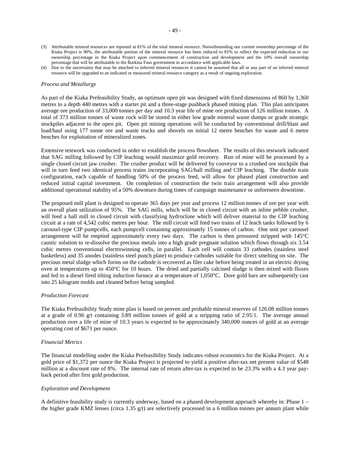- (3) Attributable mineral resources are reported at 81% of the total mineral resource. Notwithstanding our current ownership percentage of the Kiaka Project is 90%, the attributable portion of the mineral resource has been reduced to 81% to reflect the expected reduction in our ownership percentage in the Kiaka Project upon commencement of construction and development and the 10% overall ownership percentage that will be attributable to the Burkina Faso government in accordance with applicable laws.
- (4) Due to the uncertainty that may be attached to inferred mineral resources it cannot be assumed that all or any part of an inferred mineral resource will be upgraded to an indicated or measured mineral resource category as a result of ongoing exploration.

#### *Process and Metallurgy*

As part of the Kiaka Prefeasibility Study, an optimum open pit was designed with fixed dimensions of 860 by 1,360 metres to a depth 440 metres with a starter pit and a three-stage pushback phased mining plan. This plan anticipates average ore production of 33,000 tonnes per day and 10.3 year life of mine ore production of 126 million tonnes. A total of 373 million tonnes of waste rock will be stored in either low grade mineral waste dumps or grade strategic stockpiles adjacent to the open pit. Open pit mining operations will be conducted by conventional drill/blast and load/haul using 177 tonne ore and waste trucks and shovels on initial 12 metre benches for waste and 6 metre benches for exploitation of mineralized zones.

Extensive testwork was conducted in order to establish the process flowsheet. The results of this testwork indicated that SAG milling followed by CIP leaching would maximize gold recovery. Run of mine will be processed by a single closed circuit jaw crusher. The crusher product will be delivered by conveyor to a crushed ore stockpile that will in turn feed two identical process trains incorporating SAG/ball milling and CIP leaching. The double train configuration, each capable of handling 50% of the process feed, will allow for phased plant construction and reduced initial capital investment. On completion of construction the twin train arrangement will also provide additional operational stability of a 50% downturn during times of campaign maintenance or unforeseen downtime.

The proposed mill plant is designed to operate 365 days per year and process 12 million tonnes of ore per year with an overall plant utilization of 95%. The SAG mills, which will be in closed circuit with an inline pebble crusher, will feed a ball mill in closed circuit with classifying hydroclone which will deliver material to the CIP leaching circuit at a rate of 4,542 cubic metres per hour. The mill circuit will feed two trains of 12 leach tanks followed by 6 carousel-type CIP pumpcells, each pumpcell containing approximately 15 tonnes of carbon. One unit per carousel arrangement will be emptied approximately every two days. The carbon is then pressured stripped with 145°C caustic solution to re-dissolve the precious metals into a high grade pregnant solution which flows through six 3.54 cubic metres conventional electrowinning cells, in parallel. Each cell will contain 33 cathodes (stainless steel basketless) and 35 anodes (stainless steel punch plate) to produce cathodes suitable for direct smelting on site. The precious metal sludge which forms on the cathode is recovered as filer cake before being treated in an electric drying oven at temperatures up to 450°C for 10 hours. The dried and partially calcined sludge is then mixed with fluxes and fed to a diesel fired tilting induction furnace at a temperature of 1,050°C. Dore gold bars are subsequently cast into 25 kilogram molds and cleaned before being sampled.

## *Production Forecast*

The Kiaka Prefeasibility Study mine plan is based on proven and probable mineral reserves of 126.08 million tonnes at a grade of 0.96 g/t containing 3.89 million tonnes of gold at a stripping ratio of 2.95:1. The average annual production over a life of mine of 10.3 years is expected to be approximately 340,000 ounces of gold at an average operating cost of \$671 per ounce.

## *Financial Metrics*

The financial modelling under the Kiaka Prefeasibility Study indicates robust economics for the Kiaka Project. At a gold price of \$1,372 per ounce the Kiaka Project is projected to yield a positive after-tax net present value of \$548 million at a discount rate of 8%. The internal rate of return after-tax is expected to be 23.3% with a 4.3 year payback period after first gold production.

#### *Exploration and Development*

A definitive feasibility study is currently underway, based on a phased development approach whereby in: Phase 1 – the higher grade KMZ lenses (circa 1.35  $g(t)$ ) are selectively processed in a 6 million tonnes per annum plant while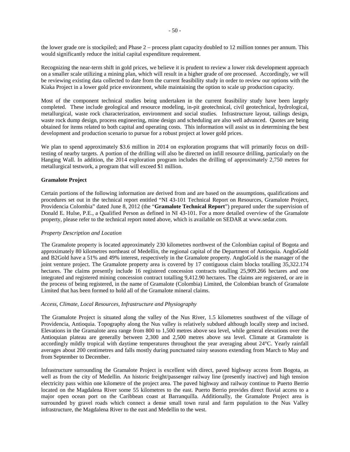the lower grade ore is stockpiled; and Phase 2 – process plant capacity doubled to 12 million tonnes per annum. This would significantly reduce the initial capital expenditure requirement.

Recognizing the near-term shift in gold prices, we believe it is prudent to review a lower risk development approach on a smaller scale utilizing a mining plan, which will result in a higher grade of ore processed. Accordingly, we will be reviewing existing data collected to date from the current feasibility study in order to review our options with the Kiaka Project in a lower gold price environment, while maintaining the option to scale up production capacity.

Most of the component technical studies being undertaken in the current feasibility study have been largely completed. These include geological and resource modeling, in-pit geotechnical, civil geotechnical, hydrological, metallurgical, waste rock characterization, environment and social studies. Infrastructure layout, tailings design, waste rock dump design, process engineering, mine design and scheduling are also well advanced. Quotes are being obtained for items related to both capital and operating costs. This information will assist us in determining the best development and production scenario to pursue for a robust project at lower gold prices.

We plan to spend approximately \$3.6 million in 2014 on exploration programs that will primarily focus on drilltesting of nearby targets. A portion of the drilling will also be directed on infill resource drilling, particularly on the Hanging Wall. In addition, the 2014 exploration program includes the drilling of approximately 2,750 metres for metallurgical testwork, a program that will exceed \$1 million.

## **Gramalote Project**

Certain portions of the following information are derived from and are based on the assumptions, qualifications and procedures set out in the technical report entitled "NI 43-101 Technical Report on Resources, Gramalote Project, Providencia Colombia" dated June 8, 2012 (the "**Gramalote Technical Report**") prepared under the supervision of Donald E. Hulse, P.E., a Qualified Person as defined in NI 43-101. For a more detailed overview of the Gramalote property, please refer to the technical report noted above, which is available on SEDAR at www.sedar.com.

## *Property Description and Location*

The Gramalote property is located approximately 230 kilometres northwest of the Colombian capital of Bogota and approximately 80 kilometres northeast of Medellin, the regional capital of the Department of Antioquia. AngloGold and B2Gold have a 51% and 49% interest, respectively in the Gramalote property. AngloGold is the manager of the joint venture project. The Gramalote property area is covered by 17 contiguous claim blocks totalling 35,322.174 hectares. The claims presently include 16 registered concession contracts totalling 25,909.266 hectares and one integrated and registered mining concession contract totalling 9,412.90 hectares. The claims are registered, or are in the process of being registered, in the name of Gramalote (Colombia) Limited, the Colombian branch of Gramalote Limited that has been formed to hold all of the Gramalote mineral claims.

## *Access, Climate, Local Resources, Infrastructure and Physiography*

The Gramalote Project is situated along the valley of the Nus River, 1.5 kilometres southwest of the village of Providencia, Antioquia. Topography along the Nus valley is relatively subdued although locally steep and incised. Elevations in the Gramalote area range from 800 to 1,500 metres above sea level, while general elevations over the Antioquian plateau are generally between 2,300 and 2,500 metres above sea level. Climate at Gramalote is accordingly mildly tropical with daytime temperatures throughout the year averaging about 24°C. Yearly rainfall averages about 200 centimetres and falls mostly during punctuated rainy seasons extending from March to May and from September to December.

Infrastructure surrounding the Gramalote Project is excellent with direct, paved highway access from Bogota, as well as from the city of Medellin. An historic freight/passenger railway line (presently inactive) and high tension electricity pass within one kilometre of the project area. The paved highway and railway continue to Puerto Berrio located on the Magdalena River some 55 kilometres to the east. Puerto Berrio provides direct fluvial access to a major open ocean port on the Caribbean coast at Barranquilla. Additionally, the Gramalote Project area is surrounded by gravel roads which connect a dense small town rural and farm population to the Nus Valley infrastructure, the Magdalena River to the east and Medellin to the west.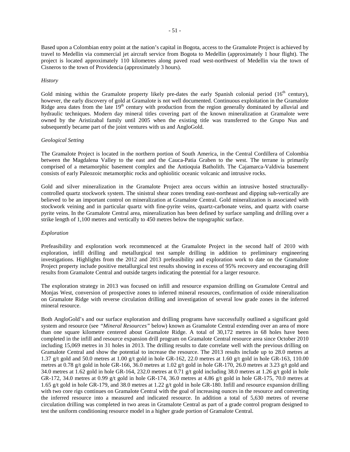Based upon a Colombian entry point at the nation's capital in Bogota, access to the Gramalote Project is achieved by travel to Medellin via commercial jet aircraft service from Bogota to Medellin (approximately 1 hour flight). The project is located approximately 110 kilometres along paved road west-northwest of Medellin via the town of Cisneros to the town of Providencia (approximately 3 hours).

## *History*

Gold mining within the Gramalote property likely pre-dates the early Spanish colonial period (16<sup>th</sup> century), however, the early discovery of gold at Gramalote is not well documented. Continuous exploitation in the Gramalote Ridge area dates from the late 19<sup>th</sup> century with production from the region generally dominated by alluvial and hydraulic techniques. Modern day mineral titles covering part of the known mineralization at Gramalote were owned by the Aristizabal family until 2005 when the existing title was transferred to the Grupo Nus and subsequently became part of the joint ventures with us and AngloGold.

#### *Geological Setting*

The Gramalote Project is located in the northern portion of South America, in the Central Cordillera of Colombia between the Magdalena Valley to the east and the Cauca-Patia Graben to the west. The terrane is primarily comprised of a metamorphic basement complex and the Antioquia Batholith. The Cajamarca-Valdivia basement consists of early Paleozoic metamorphic rocks and ophiolitic oceanic volcanic and intrusive rocks.

Gold and silver mineralization in the Gramalote Project area occurs within an intrusive hosted structurallycontrolled quartz stockwork system. The sinistral shear zones trending east-northeast and dipping sub-vertically are believed to be an important control on mineralization at Gramalote Central. Gold mineralization is associated with stockwork veining and in particular quartz with fine-pyrite veins, quartz-carbonate veins, and quartz with coarse pyrite veins. In the Gramalote Central area, mineralization has been defined by surface sampling and drilling over a strike length of 1,100 metres and vertically to 450 metres below the topographic surface.

#### *Exploration*

Prefeasibility and exploration work recommenced at the Gramalote Project in the second half of 2010 with exploration, infill drilling and metallurgical test sample drilling in addition to preliminary engineering investigations. Highlights from the 2012 and 2013 prefeasibility and exploration work to date on the Gramalote Project property include positive metallurgical test results showing in excess of 95% recovery and encouraging drill results from Gramalote Central and outside targets indicating the potential for a larger resource.

The exploration strategy in 2013 was focused on infill and resource expansion drilling on Gramalote Central and Monjas West, conversion of prospective zones to inferred mineral resources, confirmation of oxide mineralization on Gramalote Ridge with reverse circulation drilling and investigation of several low grade zones in the inferred mineral resource.

Both AngloGold's and our surface exploration and drilling programs have successfully outlined a significant gold system and resource (see *"Mineral Resources"* below) known as Gramalote Central extending over an area of more than one square kilometre centered about Gramalote Ridge. A total of 30,172 metres in 68 holes have been completed in the infill and resource expansion drill program on Gramalote Central resource area since October 2010 including 15,069 metres in 31 holes in 2013. The drilling results to date correlate well with the previous drilling on Gramalote Central and show the potential to increase the resource. The 2013 results include up to 28.0 metres at 1.37 g/t gold and 50.0 metres at 1.00 g/t gold in hole GR-162, 22.0 metres at 1.60 g/t gold in hole GR-163, 110.00 metres at 0.78 g/t gold in hole GR-166, 36.0 metres at 1.02 g/t gold in hole GR-170, 26.0 metres at 3.23 g/t gold and 34.0 metres at 1.62 gold in hole GR-164, 232.0 metres at 0.71 g/t gold including 38.0 metres at 1.26 g/t gold in hole GR-172, 34.0 metres at 0.99 g/t gold in hole GR-174, 36.0 metres at 4.86 g/t gold in hole GR-175, 70.0 metres at 1.65 g/t gold in hole GR-179, and 38.0 metres at 1.22 g/t gold in hole GR-180. Infill and resource expansion drilling with two core rigs continues on Gramalote Central with the goal of increasing ounces in the resource and converting the inferred resource into a measured and indicated resource. In addition a total of 5,630 metres of reverse circulation drilling was completed in two areas in Gramalote Central as part of a grade control program designed to test the uniform conditioning resource model in a higher grade portion of Gramalote Central.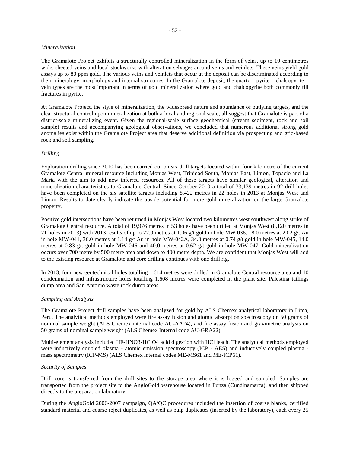## *Mineralization*

The Gramalote Project exhibits a structurally controlled mineralization in the form of veins, up to 10 centimetres wide, sheeted veins and local stockworks with alteration selvages around veins and veinlets. These veins yield gold assays up to 80 ppm gold. The various veins and veinlets that occur at the deposit can be discriminated according to their mineralogy, morphology and internal structures. In the Gramalote deposit, the quartz – pyrite – chalcopyrite – vein types are the most important in terms of gold mineralization where gold and chalcopyrite both commonly fill fractures in pyrite.

At Gramalote Project, the style of mineralization, the widespread nature and abundance of outlying targets, and the clear structural control upon mineralization at both a local and regional scale, all suggest that Gramalote is part of a district-scale mineralizing event. Given the regional-scale surface geochemical (stream sediment, rock and soil sample) results and accompanying geological observations, we concluded that numerous additional strong gold anomalies exist within the Gramalote Project area that deserve additional definition via prospecting and grid-based rock and soil sampling.

#### *Drilling*

Exploration drilling since 2010 has been carried out on six drill targets located within four kilometre of the current Gramalote Central mineral resource including Monjas West, Trinidad South, Monjas East, Limon, Topacio and La Maria with the aim to add new inferred resources. All of these targets have similar geological, alteration and mineralization characteristics to Gramalote Central. Since October 2010 a total of 33,139 metres in 92 drill holes have been completed on the six satellite targets including 8,422 metres in 22 holes in 2013 at Monjas West and Limon. Results to date clearly indicate the upside potential for more gold mineralization on the large Gramalote property.

Positive gold intersections have been returned in Monjas West located two kilometres west southwest along strike of Gramalote Central resource. A total of 19,976 metres in 53 holes have been drilled at Monjas West (8,120 metres in 21 holes in 2013) with 2013 results of up to 22.0 metres at 1.06 g/t gold in hole MW 036, 18.0 metres at 2.02 g/t Au in hole MW-041, 36.0 metres at 1.14  $g/t$  Au in hole MW-042A, 34.0 metres at 0.74  $g/t$  gold in hole MW-045, 14.0 metres at 0.83 g/t gold in hole MW-046 and 40.0 metres at 0.62 g/t gold in hole MW-047. Gold mineralization occurs over 700 metre by 500 metre area and down to 400 metre depth. We are confident that Monjas West will add to the existing resource at Gramalote and core drilling continues with one drill rig.

In 2013, four new geotechnical holes totalling 1,614 metres were drilled in Gramalote Central resource area and 10 condemnation and infrastructure holes totalling 1,608 metres were completed in the plant site, Palestina tailings dump area and San Antonio waste rock dump areas.

## *Sampling and Analysis*

The Gramalote Project drill samples have been analyzed for gold by ALS Chemex analytical laboratory in Lima, Peru. The analytical methods employed were fire assay fusion and atomic absorption spectroscopy on 50 grams of nominal sample weight (ALS Chemex internal code AU-AA24), and fire assay fusion and gravimetric analysis on 50 grams of nominal sample weight (ALS Chemex Internal code AU-GRA22).

Multi-element analysis included HF-HNO3-HClO4 acid digestion with HCl leach. The analytical methods employed were inductively coupled plasma - atomic emission spectroscopy (ICP - AES) and inductively coupled plasma mass spectrometry (ICP-MS) (ALS Chemex internal codes ME-MS61 and ME-ICP61).

## *Security of Samples*

Drill core is transferred from the drill sites to the storage area where it is logged and sampled. Samples are transported from the project site to the AngloGold warehouse located in Funza (Cundinamarca), and then shipped directly to the preparation laboratory.

During the AngloGold 2006-2007 campaign, QA/QC procedures included the insertion of coarse blanks, certified standard material and coarse reject duplicates, as well as pulp duplicates (inserted by the laboratory), each every 25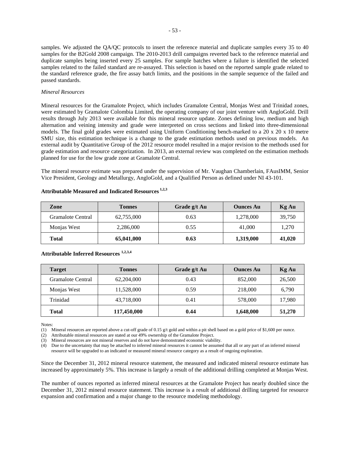samples. We adjusted the QA/QC protocols to insert the reference material and duplicate samples every 35 to 40 samples for the B2Gold 2008 campaign. The 2010-2013 drill campaigns reverted back to the reference material and duplicate samples being inserted every 25 samples. For sample batches where a failure is identified the selected samples related to the failed standard are re-assayed. This selection is based on the reported sample grade related to the standard reference grade, the fire assay batch limits, and the positions in the sample sequence of the failed and passed standards.

#### *Mineral Resources*

Mineral resources for the Gramalote Project, which includes Gramalote Central, Monjas West and Trinidad zones, were estimated by Gramalote Colombia Limited, the operating company of our joint venture with AngloGold. Drill results through July 2013 were available for this mineral resource update. Zones defining low, medium and high alternation and veining intensity and grade were interpreted on cross sections and linked into three-dimensional models. The final gold grades were estimated using Uniform Conditioning bench-marked to a 20 x 20 x 10 metre SMU size, this estimation technique is a change to the grade estimation methods used on previous models. An external audit by Quantitative Group of the 2012 resource model resulted in a major revision to the methods used for grade estimation and resource categorization. In 2013, an external review was completed on the estimation methods planned for use for the low grade zone at Gramalote Central.

The mineral resource estimate was prepared under the supervision of Mr. Vaughan Chamberlain, FAusIMM, Senior Vice President, Geology and Metallurgy, AngloGold, and a Qualified Person as defined under NI 43-101.

| Zone              | <b>Tonnes</b> | Grade g/t Au | <b>Ounces Au</b> | <b>Kg Au</b> |
|-------------------|---------------|--------------|------------------|--------------|
| Gramalote Central | 62,755,000    | 0.63         | 1,278,000        | 39,750       |
| Monjas West       | 2,286,000     | 0.55         | 41,000           | 1,270        |
| Total             | 65,041,000    | 0.63         | 1,319,000        | 41,020       |

## **Attributable Measured and Indicated Resources 1,2,3**

## **Attributable Inferred Resources 1,2,3,4**

| <b>Target</b>     | <b>Tonnes</b> | Grade g/t Au | <b>Ounces Au</b> | <b>Kg Au</b> |
|-------------------|---------------|--------------|------------------|--------------|
| Gramalote Central | 62,204,000    | 0.43         | 852,000          | 26,500       |
| Monjas West       | 11,528,000    | 0.59         | 218,000          | 6,790        |
| Trinidad          | 43,718,000    | 0.41         | 578,000          | 17,980       |
| Total             | 117,450,000   | 0.44         | 1,648,000        | 51,270       |

Notes:

(1) Mineral resources are reported above a cut-off grade of 0.15 g/t gold and within a pit shell based on a gold price of \$1,600 per ounce.

(2) Attributable mineral resources are stated at our 49% ownership of the Gramalote Project.

(3) Mineral resources are not mineral reserves and do not have demonstrated economic viability.

(4) Due to the uncertainty that may be attached to inferred mineral resources it cannot be assumed that all or any part of an inferred mineral resource will be upgraded to an indicated or measured mineral resource category as a result of ongoing exploration.

Since the December 31, 2012 mineral resource statement, the measured and indicated mineral resource estimate has increased by approximately 5%. This increase is largely a result of the additional drilling completed at Monjas West.

The number of ounces reported as inferred mineral resources at the Gramalote Project has nearly doubled since the December 31, 2012 mineral resource statement. This increase is a result of additional drilling targeted for resource expansion and confirmation and a major change to the resource modeling methodology.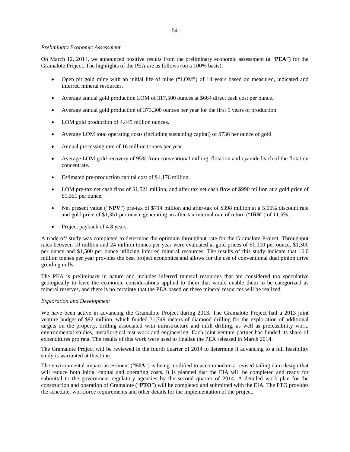## *Preliminary Economic Assessment*

On March 12, 2014, we announced positive results from the preliminary economic assessment (a "**PEA**") for the Gramalote Project. The highlights of the PEA are as follows (on a 100% basis):

- Open pit gold mine with an initial life of mine ("LOM") of 14 years based on measured, indicated and inferred mineral resources.
- Average annual gold production LOM of 317,500 ounces at \$664 direct cash cost per ounce.
- Average annual gold production of 373,300 ounces per year for the first 5 years of production.
- LOM gold production of 4.445 million ounces.
- Average LOM total operating costs (including sustaining capital) of \$736 per ounce of gold
- Annual processing rate of 16 million tonnes per year.
- Average LOM gold recovery of 95% from conventional milling, flotation and cyanide leach of the flotation concentrate.
- Estimated pre-production capital cost of \$1,176 million.
- LOM pre-tax net cash flow of \$1,521 million, and after tax net cash flow of \$990 million at a gold price of \$1,351 per ounce.
- Net present value ("**NPV**") pre-tax of \$714 million and after-tax of \$398 million at a 5.06% discount rate and gold price of \$1,351 per ounce generating an after-tax internal rate of return ("**IRR**") of 11.5%.
- Project payback of 4.8 years.

A trade-off study was completed to determine the optimum throughput rate for the Gramalote Project. Throughput rates between 10 million and 24 million tonnes per year were evaluated at gold prices of \$1,100 per ounce, \$1,300 per ounce and \$1,500 per ounce utilizing inferred mineral resources. The results of this study indicate that 16.0 million tonnes per year provides the best project economics and allows for the use of conventional dual pinion drive grinding mills.

The PEA is preliminary in nature and includes inferred mineral resources that are considered too speculative geologically to have the economic considerations applied to them that would enable them to be categorized as mineral reserves, and there is no certainty that the PEA based on these mineral resources will be realized.

## *Exploration and Development*

We have been active in advancing the Gramalote Project during 2013. The Gramalote Project had a 2013 joint venture budget of \$92 million, which funded 31,749 meters of diamond drilling for the exploration of additional targets on the property, drilling associated with infrastructure and infill drilling, as well as prefeasibility work, environmental studies, metallurgical test work and engineering. Each joint venture partner has funded its share of expenditures pro rata. The results of this work were used to finalize the PEA released in March 2014.

The Gramalote Project will be reviewed in the fourth quarter of 2014 to determine if advancing to a full feasibility study is warranted at this time.

The environmental impact assessment ("**EIA**") is being modified to accommodate a revised tailing dam design that will reduce both initial capital and operating costs. It is planned that the EIA will be completed and ready for submittal to the government regulatory agencies by the second quarter of 2014. A detailed work plan for the construction and operation of Gramalote ("**PTO**") will be completed and submitted with the EIA. The PTO provides the schedule, workforce requirements and other details for the implementation of the project.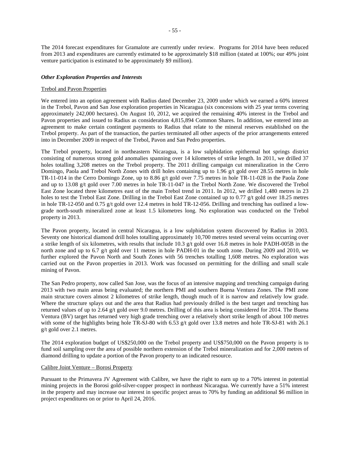The 2014 forecast expenditures for Gramalote are currently under review. Programs for 2014 have been reduced from 2013 and expenditures are currently estimated to be approximately \$18 million (stated at 100%; our 49% joint venture participation is estimated to be approximately \$9 million).

## *Other Exploration Properties and Interests*

#### Trebol and Pavon Properties

We entered into an option agreement with Radius dated December 23, 2009 under which we earned a 60% interest in the Trebol, Pavon and San Jose exploration properties in Nicaragua (six concessions with 25 year terms covering approximately 242,000 hectares). On August 10, 2012, we acquired the remaining 40% interest in the Trebol and Pavon properties and issued to Radius as consideration 4,815,894 Common Shares. In addition, we entered into an agreement to make certain contingent payments to Radius that relate to the mineral reserves established on the Trebol property. As part of the transaction, the parties terminated all other aspects of the prior arrangements entered into in December 2009 in respect of the Trebol, Pavon and San Pedro properties.

The Trebol property, located in northeastern Nicaragua, is a low sulphidation epithermal hot springs district consisting of numerous strong gold anomalies spanning over 14 kilometres of strike length. In 2011, we drilled 37 holes totalling 3,208 metres on the Trebol property. The 2011 drilling campaign cut mineralization in the Cerro Domingo, Paola and Trebol North Zones with drill holes containing up to 1.96 g/t gold over 28.55 metres in hole TR-11-014 in the Cerro Domingo Zone, up to 8.86 g/t gold over 7.75 metres in hole TR-11-028 in the Paola Zone and up to 13.08 g/t gold over 7.00 metres in hole TR-11-047 in the Trebol North Zone. We discovered the Trebol East Zone located three kilometres east of the main Trebol trend in 2011. In 2012, we drilled 1,480 metres in 23 holes to test the Trebol East Zone. Drilling in the Trebol East Zone contained up to 0.77 g/t gold over 18.25 metres in hole TR-12-050 and 0.75 g/t gold over 12.4 metres in hold TR-12-056. Drilling and trenching has outlined a lowgrade north-south mineralized zone at least 1.5 kilometres long. No exploration was conducted on the Trebol property in 2013.

The Pavon property, located in central Nicaragua, is a low sulphidation system discovered by Radius in 2003. Seventy one historical diamond drill holes totalling approximately 10,700 metres tested several veins occurring over a strike length of six kilometres, with results that include 10.3 g/t gold over 16.8 metres in hole PADH-005B in the north zone and up to 6.7 g/t gold over 11 metres in hole PADH-01 in the south zone. During 2009 and 2010, we further explored the Pavon North and South Zones with 56 trenches totalling 1,608 metres. No exploration was carried out on the Pavon properties in 2013. Work was focussed on permitting for the drilling and small scale mining of Pavon.

The San Pedro property, now called San Jose, was the focus of an intensive mapping and trenching campaign during 2013 with two main areas being evaluated; the northern PMI and southern Buena Ventura Zones. The PMI zone main structure covers almost 2 kilometres of strike length, though much of it is narrow and relatively low grade. Where the structure splays out and the area that Radius had previously drilled is the best target and trenching has returned values of up to 2.64 g/t gold over 9.0 metres. Drilling of this area is being considered for 2014. The Buena Ventura (BV) target has returned very high grade trenching over a relatively short strike length of about 100 metres with some of the highlights being hole TR-SJ-80 with 6.53 g/t gold over 13.8 metres and hole TR-SJ-81 with 26.1 g/t gold over 2.1 metres.

The 2014 exploration budget of US\$250,000 on the Trebol property and US\$750,000 on the Pavon property is to fund soil sampling over the area of possible northern extension of the Trebol mineralization and for 2,000 metres of diamond drilling to update a portion of the Pavon property to an indicated resource.

## Calibre Joint Venture – Borosi Property

Pursuant to the Primavera JV Agreement with Calibre, we have the right to earn up to a 70% interest in potential mining projects in the Borosi gold-silver-copper prospect in northeast Nicaragua. We currently have a 51% interest in the property and may increase our interest in specific project areas to 70% by funding an additional \$6 million in project expenditures on or prior to April 24, 2016.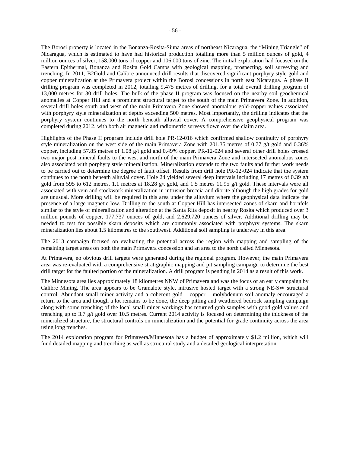The Borosi property is located in the Bonanza-Rosita-Siuna areas of northeast Nicaragua, the "Mining Triangle" of Nicaragua, which is estimated to have had historical production totalling more than 5 million ounces of gold, 4 million ounces of silver, 158,000 tons of copper and 106,000 tons of zinc. The initial exploration had focused on the Eastern Epithermal, Bonanza and Rosita Gold Camps with geological mapping, prospecting, soil surveying and trenching. In 2011, B2Gold and Calibre announced drill results that discovered significant porphyry style gold and copper mineralization at the Primavera project within the Borosi concessions in north east Nicaragua. A phase II drilling program was completed in 2012, totalling 9,475 metres of drilling, for a total overall drilling program of 13,000 metres for 30 drill holes. The bulk of the phase II program was focused on the nearby soil geochemical anomalies at Copper Hill and a prominent structural target to the south of the main Primavera Zone. In addition, several drill holes south and west of the main Primavera Zone showed anomalous gold-copper values associated with porphyry style mineralization at depths exceeding 500 metres. Most importantly, the drilling indicates that the porphyry system continues to the north beneath alluvial cover. A comprehensive geophysical program was completed during 2012, with both air magnetic and radiometric surveys flown over the claim area.

Highlights of the Phase II program include drill hole PR-12-016 which confirmed shallow continuity of porphyry style mineralization on the west side of the main Primavera Zone with 201.35 metres of 0.77 g/t gold and 0.36% copper, including 57.85 metres of 1.08 g/t gold and 0.49% copper. PR-12-024 and several other drill holes crossed two major post mineral faults to the west and north of the main Primavera Zone and intersected anomalous zones also associated with porphyry style mineralization. Mineralization extends to the two faults and further work needs to be carried out to determine the degree of fault offset. Results from drill hole PR-12-024 indicate that the system continues to the north beneath alluvial cover. Hole 24 yielded several deep intervals including 17 metres of 0.39 g/t gold from 595 to 612 metres, 1.1 metres at 18.28 g/t gold, and 1.5 metres 11.95 g/t gold. These intervals were all associated with vein and stockwork mineralization in intrusion breccia and diorite although the high grades for gold are unusual. More drilling will be required in this area under the alluvium where the geophysical data indicate the presence of a large magnetic low. Drilling to the south at Copper Hill has intersected zones of skarn and hornfels similar to the style of mineralization and alteration at the Santa Rita deposit in nearby Rosita which produced over 3 million pounds of copper, 177,737 ounces of gold, and 2,629,720 ounces of silver. Additional drilling may be needed to test for possible skarn deposits which are commonly associated with porphyry systems. The skarn mineralization lies about 1.5 kilometres to the southwest. Additional soil sampling is underway in this area.

The 2013 campaign focused on evaluating the potential across the region with mapping and sampling of the remaining target areas on both the main Primavera concession and an area to the north called Minnesota.

At Primavera, no obvious drill targets were generated during the regional program. However, the main Primavera area was re-evaluated with a comprehensive stratigraphic mapping and pit sampling campaign to determine the best drill target for the faulted portion of the mineralization. A drill program is pending in 2014 as a result of this work.

The Minnesota area lies approximately 18 kilometres NNW of Primavera and was the focus of an early campaign by Calibre Mining. The area appears to be Gramalote style, intrusive hosted target with a strong NE-SW structural control. Abundant small miner activity and a coherent gold – copper – molybdenum soil anomaly encouraged a return to the area and though a lot remains to be done, the deep pitting and weathered bedrock sampling campaign along with some trenching of the local small miner workings has returned grab samples with good gold values and trenching up to 3.7 g/t gold over 10.5 metres. Current 2014 activity is focused on determining the thickness of the mineralized structure, the structural controls on mineralization and the potential for grade continuity across the area using long trenches.

The 2014 exploration program for Primavera/Minnesota has a budget of approximately \$1.2 million, which will fund detailed mapping and trenching as well as structural study and a detailed geological interpretation.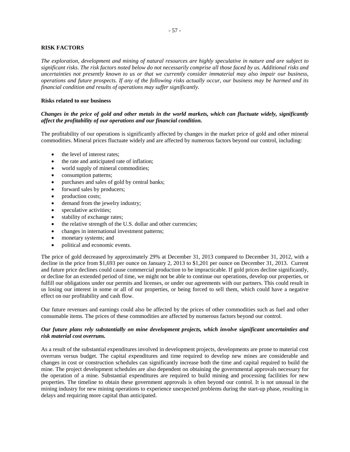## **RISK FACTORS**

*The exploration, development and mining of natural resources are highly speculative in nature and are subject to significant risks. The risk factors noted below do not necessarily comprise all those faced by us. Additional risks and uncertainties not presently known to us or that we currently consider immaterial may also impair our business, operations and future prospects. If any of the following risks actually occur, our business may be harmed and its financial condition and results of operations may suffer significantly.*

## **Risks related to our business**

## *Changes in the price of gold and other metals in the world markets, which can fluctuate widely, significantly affect the profitability of our operations and our financial condition.*

The profitability of our operations is significantly affected by changes in the market price of gold and other mineral commodities. Mineral prices fluctuate widely and are affected by numerous factors beyond our control, including:

- the level of interest rates;
- the rate and anticipated rate of inflation;
- world supply of mineral commodities;
- consumption patterns;
- purchases and sales of gold by central banks;
- forward sales by producers;
- production costs:
- demand from the jewelry industry;
- speculative activities;
- stability of exchange rates;
- the relative strength of the U.S. dollar and other currencies;
- changes in international investment patterns;
- monetary systems; and
- political and economic events.

The price of gold decreased by approximately 29% at December 31, 2013 compared to December 31, 2012, with a decline in the price from \$1,693 per ounce on January 2, 2013 to \$1,201 per ounce on December 31, 2013. Current and future price declines could cause commercial production to be impracticable. If gold prices decline significantly, or decline for an extended period of time, we might not be able to continue our operations, develop our properties, or fulfill our obligations under our permits and licenses, or under our agreements with our partners. This could result in us losing our interest in some or all of our properties, or being forced to sell them, which could have a negative effect on our profitability and cash flow.

Our future revenues and earnings could also be affected by the prices of other commodities such as fuel and other consumable items. The prices of these commodities are affected by numerous factors beyond our control.

## *Our future plans rely substantially on mine development projects, which involve significant uncertainties and risk material cost overruns.*

As a result of the substantial expenditures involved in development projects, developments are prone to material cost overruns versus budget. The capital expenditures and time required to develop new mines are considerable and changes in cost or construction schedules can significantly increase both the time and capital required to build the mine. The project development schedules are also dependent on obtaining the governmental approvals necessary for the operation of a mine. Substantial expenditures are required to build mining and processing facilities for new properties. The timeline to obtain these government approvals is often beyond our control. It is not unusual in the mining industry for new mining operations to experience unexpected problems during the start-up phase, resulting in delays and requiring more capital than anticipated.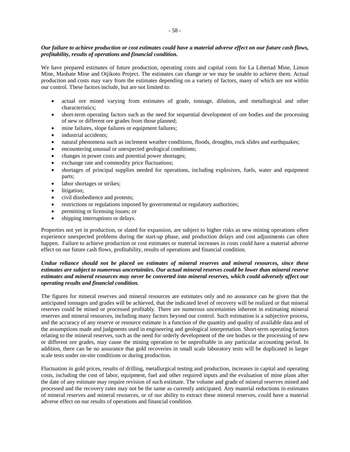## *Our failure to achieve production or cost estimates could have a material adverse effect on our future cash flows, profitability, results of operations and financial condition.*

We have prepared estimates of future production, operating costs and capital costs for La Libertad Mine, Limon Mine, Masbate Mine and Otjikoto Project. The estimates can change or we may be unable to achieve them. Actual production and costs may vary from the estimates depending on a variety of factors, many of which are not within our control. These factors include, but are not limited to:

- actual ore mined varying from estimates of grade, tonnage, dilution, and metallurgical and other characteristics;
- short-term operating factors such as the need for sequential development of ore bodies and the processing of new or different ore grades from those planned;
- mine failures, slope failures or equipment failures;
- industrial accidents;
- natural phenomena such as inclement weather conditions, floods, droughts, rock slides and earthquakes;
- encountering unusual or unexpected geological conditions;
- changes in power costs and potential power shortages;
- exchange rate and commodity price fluctuations;
- shortages of principal supplies needed for operations, including explosives, fuels, water and equipment parts;
- labor shortages or strikes;
- litigation;
- civil disobedience and protests;
- restrictions or regulations imposed by governmental or regulatory authorities;
- permitting or licensing issues; or
- shipping interruptions or delays.

Properties not yet in production, or slated for expansion, are subject to higher risks as new mining operations often experience unexpected problems during the start-up phase, and production delays and cost adjustments can often happen. Failure to achieve production or cost estimates or material increases in costs could have a material adverse effect on our future cash flows, profitability, results of operations and financial condition.

## *Undue reliance should not be placed on estimates of mineral reserves and mineral resources, since these estimates are subject to numerous uncertainties. Our actual mineral reserves could be lower than mineral reserve estimates and mineral resources may never be converted into mineral reserves, which could adversely affect our operating results and financial condition.*

The figures for mineral reserves and mineral resources are estimates only and no assurance can be given that the anticipated tonnages and grades will be achieved, that the indicated level of recovery will be realized or that mineral reserves could be mined or processed profitably. There are numerous uncertainties inherent in estimating mineral reserves and mineral resources, including many factors beyond our control. Such estimation is a subjective process, and the accuracy of any reserve or resource estimate is a function of the quantity and quality of available data and of the assumptions made and judgments used in engineering and geological interpretation. Short-term operating factors relating to the mineral reserves, such as the need for orderly development of the ore bodies or the processing of new or different ore grades, may cause the mining operation to be unprofitable in any particular accounting period. In addition, there can be no assurance that gold recoveries in small scale laboratory tests will be duplicated in larger scale tests under on-site conditions or during production.

Fluctuation in gold prices, results of drilling, metallurgical testing and production, increases in capital and operating costs, including the cost of labor, equipment, fuel and other required inputs and the evaluation of mine plans after the date of any estimate may require revision of such estimate. The volume and grade of mineral reserves mined and processed and the recovery rates may not be the same as currently anticipated. Any material reductions in estimates of mineral reserves and mineral resources, or of our ability to extract these mineral reserves, could have a material adverse effect on our results of operations and financial condition.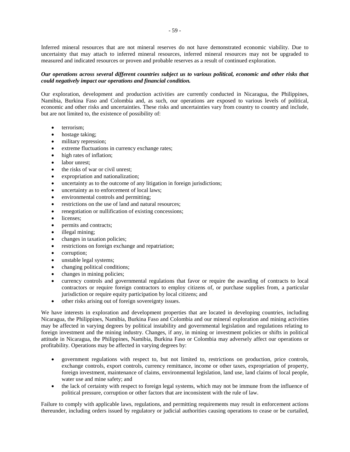Inferred mineral resources that are not mineral reserves do not have demonstrated economic viability. Due to uncertainty that may attach to inferred mineral resources, inferred mineral resources may not be upgraded to measured and indicated resources or proven and probable reserves as a result of continued exploration.

## *Our operations across several different countries subject us to various political, economic and other risks that could negatively impact our operations and financial condition.*

Our exploration, development and production activities are currently conducted in Nicaragua, the Philippines, Namibia, Burkina Faso and Colombia and, as such, our operations are exposed to various levels of political, economic and other risks and uncertainties. These risks and uncertainties vary from country to country and include, but are not limited to, the existence of possibility of:

- terrorism:
- hostage taking;
- military repression;
- extreme fluctuations in currency exchange rates;
- high rates of inflation:
- labor unrest;
- the risks of war or civil unrest:
- expropriation and nationalization;
- uncertainty as to the outcome of any litigation in foreign jurisdictions;
- uncertainty as to enforcement of local laws;
- environmental controls and permitting;
- restrictions on the use of land and natural resources;
- renegotiation or nullification of existing concessions:
- licenses:
- permits and contracts;
- illegal mining;
- changes in taxation policies;
- restrictions on foreign exchange and repatriation;
- corruption;
- unstable legal systems;
- changing political conditions;
- changes in mining policies;
- currency controls and governmental regulations that favor or require the awarding of contracts to local contractors or require foreign contractors to employ citizens of, or purchase supplies from, a particular jurisdiction or require equity participation by local citizens; and
- other risks arising out of foreign sovereignty issues.

We have interests in exploration and development properties that are located in developing countries, including Nicaragua, the Philippines, Namibia, Burkina Faso and Colombia and our mineral exploration and mining activities may be affected in varying degrees by political instability and governmental legislation and regulations relating to foreign investment and the mining industry. Changes, if any, in mining or investment policies or shifts in political attitude in Nicaragua, the Philippines, Namibia, Burkina Faso or Colombia may adversely affect our operations or profitability. Operations may be affected in varying degrees by:

- government regulations with respect to, but not limited to, restrictions on production, price controls, exchange controls, export controls, currency remittance, income or other taxes, expropriation of property, foreign investment, maintenance of claims, environmental legislation, land use, land claims of local people, water use and mine safety; and
- the lack of certainty with respect to foreign legal systems, which may not be immune from the influence of political pressure, corruption or other factors that are inconsistent with the rule of law.

Failure to comply with applicable laws, regulations, and permitting requirements may result in enforcement actions thereunder, including orders issued by regulatory or judicial authorities causing operations to cease or be curtailed,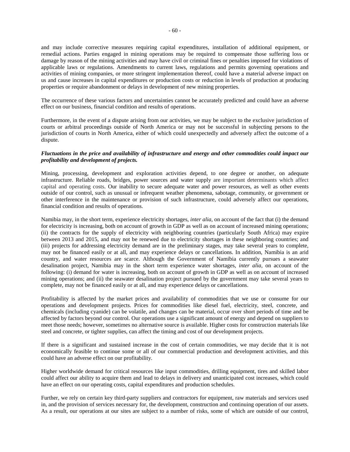and may include corrective measures requiring capital expenditures, installation of additional equipment, or remedial actions. Parties engaged in mining operations may be required to compensate those suffering loss or damage by reason of the mining activities and may have civil or criminal fines or penalties imposed for violations of applicable laws or regulations. Amendments to current laws, regulations and permits governing operations and activities of mining companies, or more stringent implementation thereof, could have a material adverse impact on us and cause increases in capital expenditures or production costs or reduction in levels of production at producing properties or require abandonment or delays in development of new mining properties.

The occurrence of these various factors and uncertainties cannot be accurately predicted and could have an adverse effect on our business, financial condition and results of operations.

Furthermore, in the event of a dispute arising from our activities, we may be subject to the exclusive jurisdiction of courts or arbitral proceedings outside of North America or may not be successful in subjecting persons to the jurisdiction of courts in North America, either of which could unexpectedly and adversely affect the outcome of a dispute.

## *Fluctuations in the price and availability of infrastructure and energy and other commodities could impact our profitability and development of projects.*

Mining, processing, development and exploration activities depend, to one degree or another, on adequate infrastructure. Reliable roads, bridges, power sources and water supply are important determinants which affect capital and operating costs. Our inability to secure adequate water and power resources, as well as other events outside of our control, such as unusual or infrequent weather phenomena, sabotage, community, or government or other interference in the maintenance or provision of such infrastructure, could adversely affect our operations, financial condition and results of operations.

Namibia may, in the short term, experience electricity shortages, *inter alia*, on account of the fact that (i) the demand for electricity is increasing, both on account of growth in GDP as well as on account of increased mining operations; (ii) the contracts for the supply of electricity with neighboring countries (particularly South Africa) may expire between 2013 and 2015, and may not be renewed due to electricity shortages in these neighboring countries; and (iii) projects for addressing electricity demand are in the preliminary stages, may take several years to complete, may not be financed easily or at all, and may experience delays or cancellations. In addition, Namibia is an arid country, and water resources are scarce. Although the Government of Namibia currently pursues a seawater desalination project, Namibia may in the short term experience water shortages, *inter alia*, on account of the following: (i) demand for water is increasing, both on account of growth in GDP as well as on account of increased mining operations; and (ii) the seawater desalination project pursued by the government may take several years to complete, may not be financed easily or at all, and may experience delays or cancellations.

Profitability is affected by the market prices and availability of commodities that we use or consume for our operations and development projects. Prices for commodities like diesel fuel, electricity, steel, concrete, and chemicals (including cyanide) can be volatile, and changes can be material, occur over short periods of time and be affected by factors beyond our control. Our operations use a significant amount of energy and depend on suppliers to meet those needs; however, sometimes no alternative source is available. Higher costs for construction materials like steel and concrete, or tighter supplies, can affect the timing and cost of our development projects.

If there is a significant and sustained increase in the cost of certain commodities, we may decide that it is not economically feasible to continue some or all of our commercial production and development activities, and this could have an adverse effect on our profitability.

Higher worldwide demand for critical resources like input commodities, drilling equipment, tires and skilled labor could affect our ability to acquire them and lead to delays in delivery and unanticipated cost increases, which could have an effect on our operating costs, capital expenditures and production schedules.

Further, we rely on certain key third-party suppliers and contractors for equipment, raw materials and services used in, and the provision of services necessary for, the development, construction and continuing operation of our assets. As a result, our operations at our sites are subject to a number of risks, some of which are outside of our control,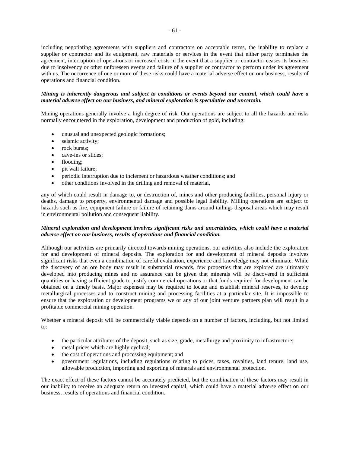including negotiating agreements with suppliers and contractors on acceptable terms, the inability to replace a supplier or contractor and its equipment, raw materials or services in the event that either party terminates the agreement, interruption of operations or increased costs in the event that a supplier or contractor ceases its business due to insolvency or other unforeseen events and failure of a supplier or contractor to perform under its agreement with us. The occurrence of one or more of these risks could have a material adverse effect on our business, results of operations and financial condition.

## *Mining is inherently dangerous and subject to conditions or events beyond our control, which could have a material adverse effect on our business, and mineral exploration is speculative and uncertain.*

Mining operations generally involve a high degree of risk. Our operations are subject to all the hazards and risks normally encountered in the exploration, development and production of gold, including:

- unusual and unexpected geologic formations;
- seismic activity;
- rock bursts:
- cave-ins or slides;
- flooding;
- pit wall failure;
- periodic interruption due to inclement or hazardous weather conditions; and
- other conditions involved in the drilling and removal of material,

any of which could result in damage to, or destruction of, mines and other producing facilities, personal injury or deaths, damage to property, environmental damage and possible legal liability. Milling operations are subject to hazards such as fire, equipment failure or failure of retaining dams around tailings disposal areas which may result in environmental pollution and consequent liability.

## *Mineral exploration and development involves significant risks and uncertainties, which could have a material adverse effect on our business, results of operations and financial condition.*

Although our activities are primarily directed towards mining operations, our activities also include the exploration for and development of mineral deposits. The exploration for and development of mineral deposits involves significant risks that even a combination of careful evaluation, experience and knowledge may not eliminate. While the discovery of an ore body may result in substantial rewards, few properties that are explored are ultimately developed into producing mines and no assurance can be given that minerals will be discovered in sufficient quantities or having sufficient grade to justify commercial operations or that funds required for development can be obtained on a timely basis. Major expenses may be required to locate and establish mineral reserves, to develop metallurgical processes and to construct mining and processing facilities at a particular site. It is impossible to ensure that the exploration or development programs we or any of our joint venture partners plan will result in a profitable commercial mining operation.

Whether a mineral deposit will be commercially viable depends on a number of factors, including, but not limited to:

- the particular attributes of the deposit, such as size, grade, metallurgy and proximity to infrastructure;
- metal prices which are highly cyclical;
- the cost of operations and processing equipment; and
- government regulations, including regulations relating to prices, taxes, royalties, land tenure, land use, allowable production, importing and exporting of minerals and environmental protection.

The exact effect of these factors cannot be accurately predicted, but the combination of these factors may result in our inability to receive an adequate return on invested capital, which could have a material adverse effect on our business, results of operations and financial condition.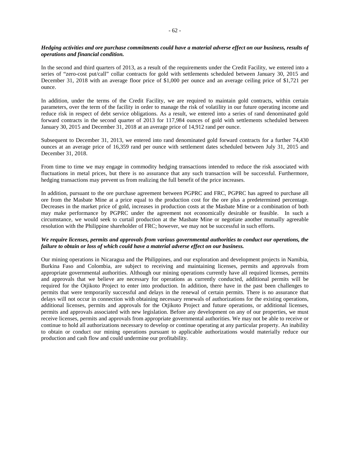## *Hedging activities and ore purchase commitments could have a material adverse effect on our business, results of operations and financial condition.*

In the second and third quarters of 2013, as a result of the requirements under the Credit Facility, we entered into a series of "zero-cost put/call" collar contracts for gold with settlements scheduled between January 30, 2015 and December 31, 2018 with an average floor price of \$1,000 per ounce and an average ceiling price of \$1,721 per ounce.

In addition, under the terms of the Credit Facility, we are required to maintain gold contracts, within certain parameters, over the term of the facility in order to manage the risk of volatility in our future operating income and reduce risk in respect of debt service obligations. As a result, we entered into a series of rand denominated gold forward contracts in the second quarter of 2013 for 117,984 ounces of gold with settlements scheduled between January 30, 2015 and December 31, 2018 at an average price of 14,912 rand per ounce.

Subsequent to December 31, 2013, we entered into rand denominated gold forward contracts for a further 74,430 ounces at an average price of 16,359 rand per ounce with settlement dates scheduled between July 31, 2015 and December 31, 2018.

From time to time we may engage in commodity hedging transactions intended to reduce the risk associated with fluctuations in metal prices, but there is no assurance that any such transaction will be successful. Furthermore, hedging transactions may prevent us from realizing the full benefit of the price increases.

In addition, pursuant to the ore purchase agreement between PGPRC and FRC, PGPRC has agreed to purchase all ore from the Masbate Mine at a price equal to the production cost for the ore plus a predetermined percentage. Decreases in the market price of gold, increases in production costs at the Masbate Mine or a combination of both may make performance by PGPRC under the agreement not economically desirable or feasible. In such a circumstance, we would seek to curtail production at the Masbate Mine or negotiate another mutually agreeable resolution with the Philippine shareholder of FRC; however, we may not be successful in such efforts.

## *We require licenses, permits and approvals from various governmental authorities to conduct our operations, the failure to obtain or loss of which could have a material adverse effect on our business.*

Our mining operations in Nicaragua and the Philippines, and our exploration and development projects in Namibia, Burkina Faso and Colombia, are subject to receiving and maintaining licenses, permits and approvals from appropriate governmental authorities. Although our mining operations currently have all required licenses, permits and approvals that we believe are necessary for operations as currently conducted, additional permits will be required for the Otjikoto Project to enter into production. In addition, there have in the past been challenges to permits that were temporarily successful and delays in the renewal of certain permits. There is no assurance that delays will not occur in connection with obtaining necessary renewals of authorizations for the existing operations, additional licenses, permits and approvals for the Otjikoto Project and future operations, or additional licenses, permits and approvals associated with new legislation. Before any development on any of our properties, we must receive licenses, permits and approvals from appropriate governmental authorities. We may not be able to receive or continue to hold all authorizations necessary to develop or continue operating at any particular property. An inability to obtain or conduct our mining operations pursuant to applicable authorizations would materially reduce our production and cash flow and could undermine our profitability.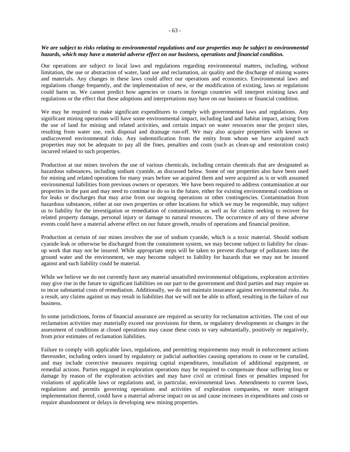## *We are subject to risks relating to environmental regulations and our properties may be subject to environmental hazards, which may have a material adverse effect on our business, operations and financial condition.*

Our operations are subject to local laws and regulations regarding environmental matters, including, without limitation, the use or abstraction of water, land use and reclamation, air quality and the discharge of mining wastes and materials. Any changes in these laws could affect our operations and economics. Environmental laws and regulations change frequently, and the implementation of new, or the modification of existing, laws or regulations could harm us. We cannot predict how agencies or courts in foreign countries will interpret existing laws and regulations or the effect that these adoptions and interpretations may have on our business or financial condition.

We may be required to make significant expenditures to comply with governmental laws and regulations. Any significant mining operations will have some environmental impact, including land and habitat impact, arising from the use of land for mining and related activities, and certain impact on water resources near the project sites, resulting from water use, rock disposal and drainage run-off. We may also acquire properties with known or undiscovered environmental risks. Any indemnification from the entity from whom we have acquired such properties may not be adequate to pay all the fines, penalties and costs (such as clean-up and restoration costs) incurred related to such properties.

Production at our mines involves the use of various chemicals, including certain chemicals that are designated as hazardous substances, including sodium cyanide, as discussed below. Some of our properties also have been used for mining and related operations for many years before we acquired them and were acquired as is or with assumed environmental liabilities from previous owners or operators. We have been required to address contamination at our properties in the past and may need to continue to do so in the future, either for existing environmental conditions or for leaks or discharges that may arise from our ongoing operations or other contingencies. Contamination from hazardous substances, either at our own properties or other locations for which we may be responsible, may subject us to liability for the investigation or remediation of contamination, as well as for claims seeking to recover for related property damage, personal injury or damage to natural resources. The occurrence of any of these adverse events could have a material adverse effect on our future growth, results of operations and financial position.

Production at certain of our mines involves the use of sodium cyanide, which is a toxic material. Should sodium cyanide leak or otherwise be discharged from the containment system, we may become subject to liability for cleanup work that may not be insured. While appropriate steps will be taken to prevent discharge of pollutants into the ground water and the environment, we may become subject to liability for hazards that we may not be insured against and such liability could be material.

While we believe we do not currently have any material unsatisfied environmental obligations, exploration activities may give rise in the future to significant liabilities on our part to the government and third parties and may require us to incur substantial costs of remediation. Additionally, we do not maintain insurance against environmental risks. As a result, any claims against us may result in liabilities that we will not be able to afford, resulting in the failure of our business.

In some jurisdictions, forms of financial assurance are required as security for reclamation activities. The cost of our reclamation activities may materially exceed our provisions for them, or regulatory developments or changes in the assessment of conditions at closed operations may cause these costs to vary substantially, positively or negatively, from prior estimates of reclamation liabilities.

Failure to comply with applicable laws, regulations, and permitting requirements may result in enforcement actions thereunder, including orders issued by regulatory or judicial authorities causing operations to cease or be curtailed, and may include corrective measures requiring capital expenditures, installation of additional equipment, or remedial actions. Parties engaged in exploration operations may be required to compensate those suffering loss or damage by reason of the exploration activities and may have civil or criminal fines or penalties imposed for violations of applicable laws or regulations and, in particular, environmental laws. Amendments to current laws, regulations and permits governing operations and activities of exploration companies, or more stringent implementation thereof, could have a material adverse impact on us and cause increases in expenditures and costs or require abandonment or delays in developing new mining properties.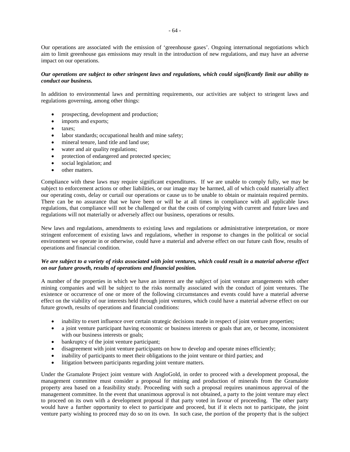Our operations are associated with the emission of 'greenhouse gases'. Ongoing international negotiations which aim to limit greenhouse gas emissions may result in the introduction of new regulations, and may have an adverse impact on our operations.

## *Our operations are subject to other stringent laws and regulations, which could significantly limit our ability to conduct our business.*

In addition to environmental laws and permitting requirements, our activities are subject to stringent laws and regulations governing, among other things:

- prospecting, development and production;
- imports and exports;
- taxes;
- labor standards; occupational health and mine safety;
- mineral tenure, land title and land use;
- water and air quality regulations;
- protection of endangered and protected species;
- social legislation; and
- other matters.

Compliance with these laws may require significant expenditures. If we are unable to comply fully, we may be subject to enforcement actions or other liabilities, or our image may be harmed, all of which could materially affect our operating costs, delay or curtail our operations or cause us to be unable to obtain or maintain required permits. There can be no assurance that we have been or will be at all times in compliance with all applicable laws regulations, that compliance will not be challenged or that the costs of complying with current and future laws and regulations will not materially or adversely affect our business, operations or results.

New laws and regulations, amendments to existing laws and regulations or administrative interpretation, or more stringent enforcement of existing laws and regulations, whether in response to changes in the political or social environment we operate in or otherwise, could have a material and adverse effect on our future cash flow, results of operations and financial condition.

## *We are subject to a variety of risks associated with joint ventures, which could result in a material adverse effect on our future growth, results of operations and financial position.*

A number of the properties in which we have an interest are the subject of joint venture arrangements with other mining companies and will be subject to the risks normally associated with the conduct of joint ventures. The existence or occurrence of one or more of the following circumstances and events could have a material adverse effect on the viability of our interests held through joint ventures, which could have a material adverse effect on our future growth, results of operations and financial conditions:

- inability to exert influence over certain strategic decisions made in respect of joint venture properties;
- a joint venture participant having economic or business interests or goals that are, or become, inconsistent with our business interests or goals;
- bankruptcy of the joint venture participant;
- disagreement with joint venture participants on how to develop and operate mines efficiently;
- inability of participants to meet their obligations to the joint venture or third parties; and
- litigation between participants regarding joint venture matters.

Under the Gramalote Project joint venture with AngloGold, in order to proceed with a development proposal, the management committee must consider a proposal for mining and production of minerals from the Gramalote property area based on a feasibility study. Proceeding with such a proposal requires unanimous approval of the management committee. In the event that unanimous approval is not obtained, a party to the joint venture may elect to proceed on its own with a development proposal if that party voted in favour of proceeding. The other party would have a further opportunity to elect to participate and proceed, but if it elects not to participate, the joint venture party wishing to proceed may do so on its own. In such case, the portion of the property that is the subject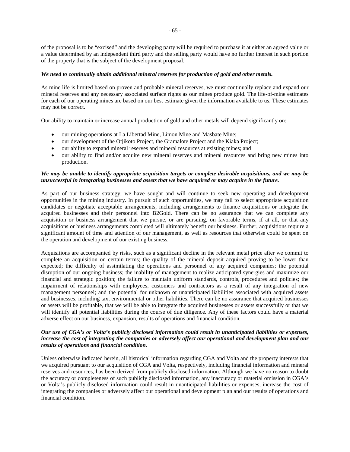of the proposal is to be "excised" and the developing party will be required to purchase it at either an agreed value or a value determined by an independent third party and the selling party would have no further interest in such portion of the property that is the subject of the development proposal.

## *We need to continually obtain additional mineral reserves for production of gold and other metals.*

As mine life is limited based on proven and probable mineral reserves, we must continually replace and expand our mineral reserves and any necessary associated surface rights as our mines produce gold. The life-of-mine estimates for each of our operating mines are based on our best estimate given the information available to us. These estimates may not be correct.

Our ability to maintain or increase annual production of gold and other metals will depend significantly on:

- our mining operations at La Libertad Mine, Limon Mine and Masbate Mine;
- our development of the Otjikoto Project, the Gramalote Project and the Kiaka Project;
- our ability to expand mineral reserves and mineral resources at existing mines; and
- our ability to find and/or acquire new mineral reserves and mineral resources and bring new mines into production.

## *We may be unable to identify appropriate acquisition targets or complete desirable acquisitions, and we may be unsuccessful in integrating businesses and assets that we have acquired or may acquire in the future.*

As part of our business strategy, we have sought and will continue to seek new operating and development opportunities in the mining industry. In pursuit of such opportunities, we may fail to select appropriate acquisition candidates or negotiate acceptable arrangements, including arrangements to finance acquisitions or integrate the acquired businesses and their personnel into B2Gold. There can be no assurance that we can complete any acquisition or business arrangement that we pursue, or are pursuing, on favorable terms, if at all, or that any acquisitions or business arrangements completed will ultimately benefit our business. Further, acquisitions require a significant amount of time and attention of our management, as well as resources that otherwise could be spent on the operation and development of our existing business.

Acquisitions are accompanied by risks, such as a significant decline in the relevant metal price after we commit to complete an acquisition on certain terms; the quality of the mineral deposit acquired proving to be lower than expected; the difficulty of assimilating the operations and personnel of any acquired companies; the potential disruption of our ongoing business; the inability of management to realize anticipated synergies and maximize our financial and strategic position; the failure to maintain uniform standards, controls, procedures and policies; the impairment of relationships with employees, customers and contractors as a result of any integration of new management personnel; and the potential for unknown or unanticipated liabilities associated with acquired assets and businesses, including tax, environmental or other liabilities. There can be no assurance that acquired businesses or assets will be profitable, that we will be able to integrate the acquired businesses or assets successfully or that we will identify all potential liabilities during the course of due diligence. Any of these factors could have a material adverse effect on our business, expansion, results of operations and financial condition.

## *Our use of CGA's or Volta's publicly disclosed information could result in unanticipated liabilities or expenses,*  increase the cost of integrating the companies or adversely affect our operational and development plan and our *results of operations and financial condition.*

Unless otherwise indicated herein, all historical information regarding CGA and Volta and the property interests that we acquired pursuant to our acquisition of CGA and Volta, respectively, including financial information and mineral reserves and resources, has been derived from publicly disclosed information. Although we have no reason to doubt the accuracy or completeness of such publicly disclosed information, any inaccuracy or material omission in CGA's or Volta's publicly disclosed information could result in unanticipated liabilities or expenses, increase the cost of integrating the companies or adversely affect our operational and development plan and our results of operations and financial condition**.**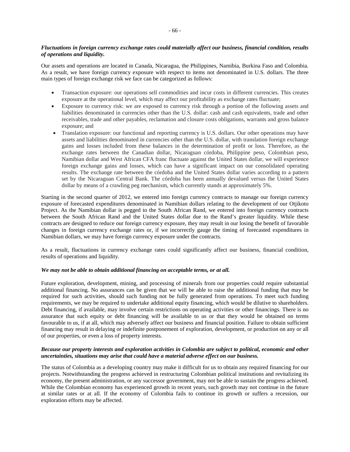## *Fluctuations in foreign currency exchange rates could materially affect our business, financial condition, results of operations and liquidity.*

Our assets and operations are located in Canada, Nicaragua, the Philippines, Namibia, Burkina Faso and Colombia. As a result, we have foreign currency exposure with respect to items not denominated in U.S. dollars. The three main types of foreign exchange risk we face can be categorized as follows:

- Transaction exposure: our operations sell commodities and incur costs in different currencies. This creates exposure at the operational level, which may affect our profitability as exchange rates fluctuate;
- Exposure to currency risk: we are exposed to currency risk through a portion of the following assets and liabilities denominated in currencies other than the U.S. dollar: cash and cash equivalents, trade and other receivables, trade and other payables, reclamation and closure costs obligations, warrants and gross balance exposure; and
- Translation exposure: our functional and reporting currency is U.S. dollars. Our other operations may have assets and liabilities denominated in currencies other than the U.S. dollar, with translation foreign exchange gains and losses included from these balances in the determination of profit or loss. Therefore, as the exchange rates between the Canadian dollar, Nicaraguan córdoba, Philippine peso, Colombian peso, Namibian dollar and West African CFA franc fluctuate against the United States dollar, we will experience foreign exchange gains and losses, which can have a significant impact on our consolidated operating results. The exchange rate between the córdoba and the United States dollar varies according to a pattern set by the Nicaraguan Central Bank. The córdoba has been annually devalued versus the United States dollar by means of a crawling peg mechanism, which currently stands at approximately 5%.

Starting in the second quarter of 2012, we entered into foreign currency contracts to manage our foreign currency exposure of forecasted expenditures denominated in Namibian dollars relating to the development of our Otjikoto Project. As the Namibian dollar is pegged to the South African Rand, we entered into foreign currency contracts between the South African Rand and the United States dollar due to the Rand's greater liquidity. While these contracts are designed to reduce our foreign currency exposure, they may result in our losing the benefit of favorable changes in foreign currency exchange rates or, if we incorrectly gauge the timing of forecasted expenditures in Namibian dollars, we may have foreign currency exposure under the contracts.

As a result, fluctuations in currency exchange rates could significantly affect our business, financial condition, results of operations and liquidity.

## *We may not be able to obtain additional financing on acceptable terms, or at all.*

Future exploration, development, mining, and processing of minerals from our properties could require substantial additional financing. No assurances can be given that we will be able to raise the additional funding that may be required for such activities, should such funding not be fully generated from operations. To meet such funding requirements, we may be required to undertake additional equity financing, which would be dilutive to shareholders. Debt financing, if available, may involve certain restrictions on operating activities or other financings. There is no assurance that such equity or debt financing will be available to us or that they would be obtained on terms favourable to us, if at all, which may adversely affect our business and financial position. Failure to obtain sufficient financing may result in delaying or indefinite postponement of exploration, development, or production on any or all of our properties, or even a loss of property interests.

## *Because our property interests and exploration activities in Colombia are subject to political, economic and other uncertainties, situations may arise that could have a material adverse effect on our business.*

The status of Colombia as a developing country may make it difficult for us to obtain any required financing for our projects. Notwithstanding the progress achieved in restructuring Colombian political institutions and revitalizing its economy, the present administration, or any successor government, may not be able to sustain the progress achieved. While the Colombian economy has experienced growth in recent years, such growth may not continue in the future at similar rates or at all. If the economy of Colombia fails to continue its growth or suffers a recession, our exploration efforts may be affected.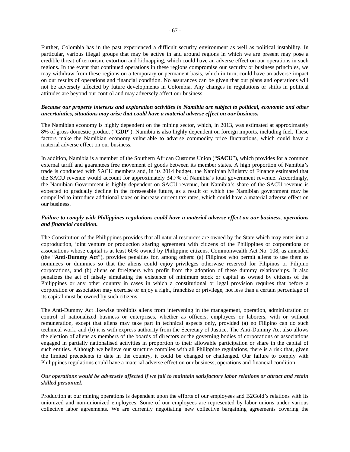Further, Colombia has in the past experienced a difficult security environment as well as political instability. In particular, various illegal groups that may be active in and around regions in which we are present may pose a credible threat of terrorism, extortion and kidnapping, which could have an adverse effect on our operations in such regions. In the event that continued operations in these regions compromise our security or business principles, we may withdraw from these regions on a temporary or permanent basis, which in turn, could have an adverse impact on our results of operations and financial condition. No assurances can be given that our plans and operations will not be adversely affected by future developments in Colombia. Any changes in regulations or shifts in political attitudes are beyond our control and may adversely affect our business.

## *Because our property interests and exploration activities in Namibia are subject to political, economic and other uncertainties, situations may arise that could have a material adverse effect on our business.*

The Namibian economy is highly dependent on the mining sector, which, in 2013, was estimated at approximately 8% of gross domestic product ("**GDP**"). Namibia is also highly dependent on foreign imports, including fuel. These factors make the Namibian economy vulnerable to adverse commodity price fluctuations, which could have a material adverse effect on our business.

In addition, Namibia is a member of the Southern African Customs Union ("**SACU**"), which provides for a common external tariff and guarantees free movement of goods between its member states. A high proportion of Namibia's trade is conducted with SACU members and, in its 2014 budget, the Namibian Ministry of Finance estimated that the SACU revenue would account for approximately 34.7% of Namibia's total government revenue. Accordingly, the Namibian Government is highly dependent on SACU revenue, but Namibia's share of the SACU revenue is expected to gradually decline in the foreseeable future, as a result of which the Namibian government may be compelled to introduce additional taxes or increase current tax rates, which could have a material adverse effect on our business.

## *Failure to comply with Philippines regulations could have a material adverse effect on our business, operations and financial condition.*

The Constitution of the Philippines provides that all natural resources are owned by the State which may enter into a coproduction, joint venture or production sharing agreement with citizens of the Philippines or corporations or associations whose capital is at least 60% owned by Philippine citizens. Commonwealth Act No. 108, as amended (the "**Anti-Dummy Act**"), provides penalties for, among others: (a) Filipinos who permit aliens to use them as nominees or dummies so that the aliens could enjoy privileges otherwise reserved for Filipinos or Filipino corporations, and (b) aliens or foreigners who profit from the adoption of these dummy relationships. It also penalizes the act of falsely simulating the existence of minimum stock or capital as owned by citizens of the Philippines or any other country in cases in which a constitutional or legal provision requires that before a corporation or association may exercise or enjoy a right, franchise or privilege, not less than a certain percentage of its capital must be owned by such citizens.

The Anti-Dummy Act likewise prohibits aliens from intervening in the management, operation, administration or control of nationalized business or enterprises, whether as officers, employees or laborers, with or without remuneration, except that aliens may take part in technical aspects only, provided (a) no Filipino can do such technical work, and (b) it is with express authority from the Secretary of Justice. The Anti-Dummy Act also allows the election of aliens as members of the boards of directors or the governing bodies of corporations or associations engaged in partially nationalised activities in proportion to their allowable participation or share in the capital of such entities. Although we believe our structure complies with all Philippine regulations, there is a risk that, given the limited precedents to date in the country, it could be changed or challenged. Our failure to comply with Philippines regulations could have a material adverse effect on our business, operations and financial condition.

## *Our operations would be adversely affected if we fail to maintain satisfactory labor relations or attract and retain skilled personnel.*

Production at our mining operations is dependent upon the efforts of our employees and B2Gold's relations with its unionized and non-unionized employees. Some of our employees are represented by labor unions under various collective labor agreements. We are currently negotiating new collective bargaining agreements covering the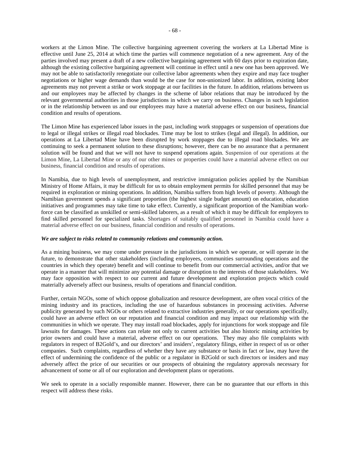workers at the Limon Mine. The collective bargaining agreement covering the workers at La Libertad Mine is effective until June 25, 2014 at which time the parties will commence negotiation of a new agreement. Any of the parties involved may present a draft of a new collective bargaining agreement with 60 days prior to expiration date, although the existing collective bargaining agreement will continue in effect until a new one has been approved. We may not be able to satisfactorily renegotiate our collective labor agreements when they expire and may face tougher negotiations or higher wage demands than would be the case for non-unionized labor. In addition, existing labor agreements may not prevent a strike or work stoppage at our facilities in the future. In addition, relations between us and our employees may be affected by changes in the scheme of labor relations that may be introduced by the relevant governmental authorities in those jurisdictions in which we carry on business. Changes in such legislation or in the relationship between us and our employees may have a material adverse effect on our business, financial condition and results of operations.

The Limon Mine has experienced labor issues in the past, including work stoppages or suspension of operations due to legal or illegal strikes or illegal road blockades. Time may be lost to strikes (legal and illegal). In addition, our operations at La Libertad Mine have been disrupted by work stoppages due to illegal road blockades. We are continuing to seek a permanent solution to these disruptions; however, there can be no assurance that a permanent solution will be found and that we will not have to suspend operations again. Suspension of our operations at the Limon Mine, La Libertad Mine or any of our other mines or properties could have a material adverse effect on our business, financial condition and results of operations.

In Namibia, due to high levels of unemployment, and restrictive immigration policies applied by the Namibian Ministry of Home Affairs, it may be difficult for us to obtain employment permits for skilled personnel that may be required in exploration or mining operations. In addition, Namibia suffers from high levels of poverty. Although the Namibian government spends a significant proportion (the highest single budget amount) on education, education initiatives and programmes may take time to take effect. Currently, a significant proportion of the Namibian workforce can be classified as unskilled or semi-skilled laborers, as a result of which it may be difficult for employers to find skilled personnel for specialized tasks. Shortages of suitably qualified personnel in Namibia could have a material adverse effect on our business, financial condition and results of operations.

## *We are subject to risks related to community relations and community action.*

As a mining business, we may come under pressure in the jurisdictions in which we operate, or will operate in the future, to demonstrate that other stakeholders (including employees, communities surrounding operations and the countries in which they operate) benefit and will continue to benefit from our commercial activities, and/or that we operate in a manner that will minimize any potential damage or disruption to the interests of those stakeholders. We may face opposition with respect to our current and future development and exploration projects which could materially adversely affect our business, results of operations and financial condition.

Further, certain NGOs, some of which oppose globalization and resource development, are often vocal critics of the mining industry and its practices, including the use of hazardous substances in processing activities. Adverse publicity generated by such NGOs or others related to extractive industries generally, or our operations specifically, could have an adverse effect on our reputation and financial condition and may impact our relationship with the communities in which we operate. They may install road blockades, apply for injunctions for work stoppage and file lawsuits for damages. These actions can relate not only to current activities but also historic mining activities by prior owners and could have a material, adverse effect on our operations. They may also file complaints with regulators in respect of B2Gold's, and our directors' and insiders', regulatory filings, either in respect of us or other companies. Such complaints, regardless of whether they have any substance or basis in fact or law, may have the effect of undermining the confidence of the public or a regulator in B2Gold or such directors or insiders and may adversely affect the price of our securities or our prospects of obtaining the regulatory approvals necessary for advancement of some or all of our exploration and development plans or operations.

We seek to operate in a socially responsible manner. However, there can be no guarantee that our efforts in this respect will address these risks.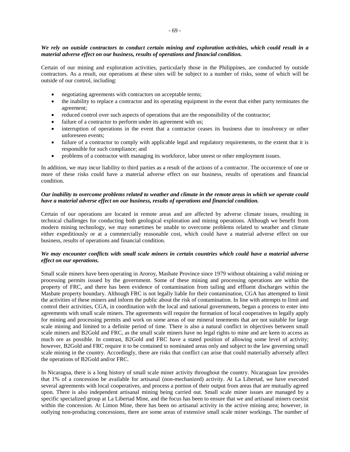## *We rely on outside contractors to conduct certain mining and exploration activities, which could result in a material adverse effect on our business, results of operations and financial condition.*

Certain of our mining and exploration activities, particularly those in the Philippines, are conducted by outside contractors. As a result, our operations at these sites will be subject to a number of risks, some of which will be outside of our control, including:

- negotiating agreements with contractors on acceptable terms;
- the inability to replace a contractor and its operating equipment in the event that either party terminates the agreement;
- reduced control over such aspects of operations that are the responsibility of the contractor;
- failure of a contractor to perform under its agreement with us;
- interruption of operations in the event that a contractor ceases its business due to insolvency or other unforeseen events;
- failure of a contractor to comply with applicable legal and regulatory requirements, to the extent that it is responsible for such compliance; and
- problems of a contractor with managing its workforce, labor unrest or other employment issues.

In addition, we may incur liability to third parties as a result of the actions of a contractor. The occurrence of one or more of these risks could have a material adverse effect on our business, results of operations and financial condition.

## *Our inability to overcome problems related to weather and climate in the remote areas in which we operate could have a material adverse effect on our business, results of operations and financial condition.*

Certain of our operations are located in remote areas and are affected by adverse climate issues, resulting in technical challenges for conducting both geological exploration and mining operations. Although we benefit from modern mining technology, we may sometimes be unable to overcome problems related to weather and climate either expeditiously or at a commercially reasonable cost, which could have a material adverse effect on our business, results of operations and financial condition.

## *We may encounter conflicts with small scale miners in certain countries which could have a material adverse effect on our operations.*

Small scale miners have been operating in Aroroy, Masbate Province since 1979 without obtaining a valid mining or processing permits issued by the government. Some of these mining and processing operations are within the property of FRC, and there has been evidence of contamination from tailing and effluent discharges within the Masbate property boundary. Although FRC is not legally liable for their contamination, CGA has attempted to limit the activities of these miners and inform the public about the risk of contamination. In line with attempts to limit and control their activities, CGA, in coordination with the local and national governments, began a process to enter into agreements with small scale miners. The agreements will require the formation of local cooperatives to legally apply for mining and processing permits and work on some areas of our mineral tenements that are not suitable for large scale mining and limited to a definite period of time. There is also a natural conflict in objectives between small scale miners and B2Gold and FRC, as the small scale miners have no legal rights to mine and are keen to access as much ore as possible. In contrast, B2Gold and FRC have a stated position of allowing some level of activity; however, B2Gold and FRC require it to be contained to nominated areas only and subject to the law governing small scale mining in the country. Accordingly, there are risks that conflict can arise that could materially adversely affect the operations of B2Gold and/or FRC.

In Nicaragua, there is a long history of small scale miner activity throughout the country. Nicaraguan law provides that 1% of a concession be available for artisanal (non-mechanized) activity. At La Libertad, we have executed several agreements with local cooperatives, and process a portion of their output from areas that are mutually agreed upon. There is also independent artisanal mining being carried out. Small scale miner issues are managed by a specific specialized group at La Libertad Mine, and the focus has been to ensure that we and artisanal miners coexist within the concession. At Limon Mine, there has been no artisanal activity in the active mining area; however, in outlying non-producing concessions, there are some areas of extensive small scale miner workings. The number of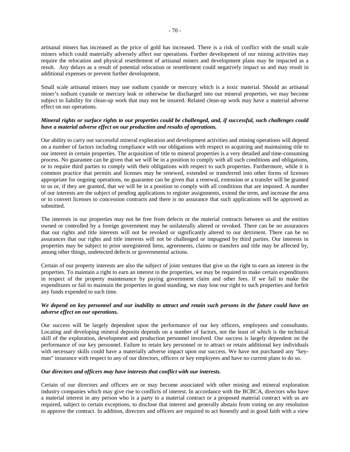artisanal miners has increased as the price of gold has increased. There is a risk of conflict with the small scale miners which could materially adversely affect our operations. Further development of our mining activities may require the relocation and physical resettlement of artisanal miners and development plans may be impacted as a result. Any delays as a result of potential relocation or resettlement could negatively impact us and may result in additional expenses or prevent further development.

Small scale artisanal miners may use sodium cyanide or mercury which is a toxic material. Should an artisanal miner's sodium cyanide or mercury leak or otherwise be discharged into our mineral properties, we may become subject to liability for clean-up work that may not be insured. Related clean-up work may have a material adverse effect on our operations.

## *Mineral rights or surface rights to our properties could be challenged, and, if successful, such challenges could have a material adverse effect on our production and results of operations.*

Our ability to carry out successful mineral exploration and development activities and mining operations will depend on a number of factors including compliance with our obligations with respect to acquiring and maintaining title to our interest in certain properties. The acquisition of title to mineral properties is a very detailed and time-consuming process. No guarantee can be given that we will be in a position to comply with all such conditions and obligations, or to require third parties to comply with their obligations with respect to such properties. Furthermore, while it is common practice that permits and licenses may be renewed, extended or transferred into other forms of licenses appropriate for ongoing operations, no guarantee can be given that a renewal, extension or a transfer will be granted to us or, if they are granted, that we will be in a position to comply with all conditions that are imposed. A number of our interests are the subject of pending applications to register assignments, extend the term, and increase the area or to convert licenses to concession contracts and there is no assurance that such applications will be approved as submitted.

The interests in our properties may not be free from defects or the material contracts between us and the entities owned or controlled by a foreign government may be unilaterally altered or revoked. There can be no assurances that our rights and title interests will not be revoked or significantly altered to our detriment. There can be no assurances that our rights and title interests will not be challenged or impugned by third parties. Our interests in properties may be subject to prior unregistered liens, agreements, claims or transfers and title may be affected by, among other things, undetected defects or governmental actions.

Certain of our property interests are also the subject of joint ventures that give us the right to earn an interest in the properties. To maintain a right to earn an interest in the properties, we may be required to make certain expenditures in respect of the property maintenance by paying government claim and other fees. If we fail to make the expenditures or fail to maintain the properties in good standing, we may lose our right to such properties and forfeit any funds expended to such time.

## *We depend on key personnel and our inability to attract and retain such persons in the future could have an adverse effect on our operations.*

Our success will be largely dependent upon the performance of our key officers, employees and consultants. Locating and developing mineral deposits depends on a number of factors, not the least of which is the technical skill of the exploration, development and production personnel involved. Our success is largely dependent on the performance of our key personnel. Failure to retain key personnel or to attract or retain additional key individuals with necessary skills could have a materially adverse impact upon our success. We have not purchased any "keyman" insurance with respect to any of our directors, officers or key employees and have no current plans to do so.

## *Our directors and officers may have interests that conflict with our interests.*

Certain of our directors and officers are or may become associated with other mining and mineral exploration industry companies which may give rise to conflicts of interest. In accordance with the BCBCA, directors who have a material interest in any person who is a party to a material contract or a proposed material contract with us are required, subject to certain exceptions, to disclose that interest and generally abstain from voting on any resolution to approve the contract. In addition, directors and officers are required to act honestly and in good faith with a view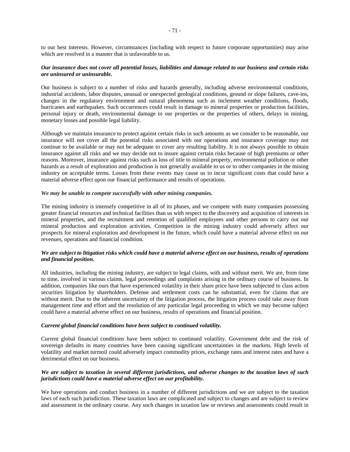to our best interests. However, circumstances (including with respect to future corporate opportunities) may arise which are resolved in a manner that is unfavorable to us.

# *Our insurance does not cover all potential losses, liabilities and damage related to our business and certain risks are uninsured or uninsurable.*

Our business is subject to a number of risks and hazards generally, including adverse environmental conditions, industrial accidents, labor disputes, unusual or unexpected geological conditions, ground or slope failures, cave-ins, changes in the regulatory environment and natural phenomena such as inclement weather conditions, floods, hurricanes and earthquakes. Such occurrences could result in damage to mineral properties or production facilities, personal injury or death, environmental damage to our properties or the properties of others, delays in mining, monetary losses and possible legal liability.

Although we maintain insurance to protect against certain risks in such amounts as we consider to be reasonable, our insurance will not cover all the potential risks associated with our operations and insurance coverage may not continue to be available or may not be adequate to cover any resulting liability. It is not always possible to obtain insurance against all risks and we may decide not to insure against certain risks because of high premiums or other reasons. Moreover, insurance against risks such as loss of title to mineral property, environmental pollution or other hazards as a result of exploration and production is not generally available to us or to other companies in the mining industry on acceptable terms. Losses from these events may cause us to incur significant costs that could have a material adverse effect upon our financial performance and results of operations.

### *We may be unable to compete successfully with other mining companies.*

The mining industry is intensely competitive in all of its phases, and we compete with many companies possessing greater financial resources and technical facilities than us with respect to the discovery and acquisition of interests in mineral properties, and the recruitment and retention of qualified employees and other persons to carry out our mineral production and exploration activities. Competition in the mining industry could adversely affect our prospects for mineral exploration and development in the future, which could have a material adverse effect on our revenues, operations and financial condition.

## *We are subject to litigation risks which could have a material adverse effect on our business, results of operations and financial position.*

All industries, including the mining industry, are subject to legal claims, with and without merit. We are, from time to time, involved in various claims, legal proceedings and complaints arising in the ordinary course of business. In addition, companies like ours that have experienced volatility in their share price have been subjected to class action securities litigation by shareholders. Defense and settlement costs can be substantial, even for claims that are without merit. Due to the inherent uncertainty of the litigation process, the litigation process could take away from management time and effort and the resolution of any particular legal proceeding to which we may become subject could have a material adverse effect on our business, results of operations and financial position.

#### *Current global financial conditions have been subject to continued volatility.*

Current global financial conditions have been subject to continued volatility. Government debt and the risk of sovereign defaults in many countries have been causing significant uncertainties in the markets. High levels of volatility and market turmoil could adversely impact commodity prices, exchange rates and interest rates and have a detrimental effect on our business.

## *We are subject to taxation in several different jurisdictions, and adverse changes to the taxation laws of such jurisdictions could have a material adverse effect on our profitability.*

We have operations and conduct business in a number of different jurisdictions and we are subject to the taxation laws of each such jurisdiction. These taxation laws are complicated and subject to changes and are subject to review and assessment in the ordinary course. Any such changes in taxation law or reviews and assessments could result in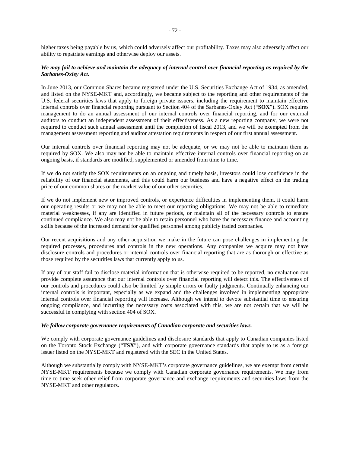higher taxes being payable by us, which could adversely affect our profitability. Taxes may also adversely affect our ability to repatriate earnings and otherwise deploy our assets.

# *We may fail to achieve and maintain the adequacy of internal control over financial reporting as required by the Sarbanes-Oxley Act.*

In June 2013, our Common Shares became registered under the U.S. Securities Exchange Act of 1934, as amended, and listed on the NYSE-MKT and, accordingly, we became subject to the reporting and other requirements of the U.S. federal securities laws that apply to foreign private issuers, including the requirement to maintain effective internal controls over financial reporting pursuant to Section 404 of the Sarbanes-Oxley Act ("**SOX**"). SOX requires management to do an annual assessment of our internal controls over financial reporting, and for our external auditors to conduct an independent assessment of their effectiveness. As a new reporting company, we were not required to conduct such annual assessment until the completion of fiscal 2013, and we will be exempted from the management assessment reporting and auditor attestation requirements in respect of our first annual assessment.

Our internal controls over financial reporting may not be adequate, or we may not be able to maintain them as required by SOX. We also may not be able to maintain effective internal controls over financial reporting on an ongoing basis, if standards are modified, supplemented or amended from time to time.

If we do not satisfy the SOX requirements on an ongoing and timely basis, investors could lose confidence in the reliability of our financial statements, and this could harm our business and have a negative effect on the trading price of our common shares or the market value of our other securities.

If we do not implement new or improved controls, or experience difficulties in implementing them, it could harm our operating results or we may not be able to meet our reporting obligations. We may not be able to remediate material weaknesses, if any are identified in future periods, or maintain all of the necessary controls to ensure continued compliance. We also may not be able to retain personnel who have the necessary finance and accounting skills because of the increased demand for qualified personnel among publicly traded companies.

Our recent acquisitions and any other acquisition we make in the future can pose challenges in implementing the required processes, procedures and controls in the new operations. Any companies we acquire may not have disclosure controls and procedures or internal controls over financial reporting that are as thorough or effective as those required by the securities laws that currently apply to us.

If any of our staff fail to disclose material information that is otherwise required to be reported, no evaluation can provide complete assurance that our internal controls over financial reporting will detect this. The effectiveness of our controls and procedures could also be limited by simple errors or faulty judgments. Continually enhancing our internal controls is important, especially as we expand and the challenges involved in implementing appropriate internal controls over financial reporting will increase. Although we intend to devote substantial time to ensuring ongoing compliance, and incurring the necessary costs associated with this, we are not certain that we will be successful in complying with section 404 of SOX.

#### *We follow corporate governance requirements of Canadian corporate and securities laws.*

We comply with corporate governance guidelines and disclosure standards that apply to Canadian companies listed on the Toronto Stock Exchange ("**TSX**"), and with corporate governance standards that apply to us as a foreign issuer listed on the NYSE-MKT and registered with the SEC in the United States.

Although we substantially comply with NYSE-MKT's corporate governance guidelines, we are exempt from certain NYSE-MKT requirements because we comply with Canadian corporate governance requirements. We may from time to time seek other relief from corporate governance and exchange requirements and securities laws from the NYSE-MKT and other regulators.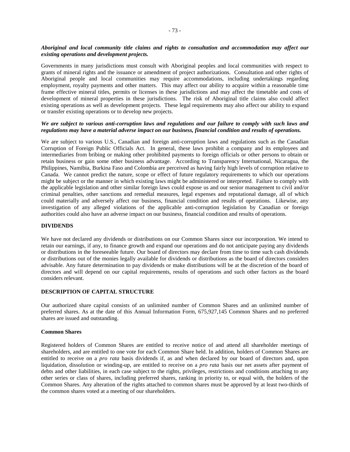Governments in many jurisdictions must consult with Aboriginal peoples and local communities with respect to grants of mineral rights and the issuance or amendment of project authorizations. Consultation and other rights of Aboriginal people and local communities may require accommodations, including undertakings regarding employment, royalty payments and other matters. This may affect our ability to acquire within a reasonable time frame effective mineral titles, permits or licenses in these jurisdictions and may affect the timetable and costs of development of mineral properties in these jurisdictions. The risk of Aboriginal title claims also could affect existing operations as well as development projects. These legal requirements may also affect our ability to expand or transfer existing operations or to develop new projects.

## *We are subject to various anti-corruption laws and regulations and our failure to comply with such laws and regulations may have a material adverse impact on our business, financial condition and results of operations.*

We are subject to various U.S., Canadian and foreign anti-corruption laws and regulations such as the Canadian Corruption of Foreign Public Officials Act. In general, these laws prohibit a company and its employees and intermediaries from bribing or making other prohibited payments to foreign officials or other persons to obtain or retain business or gain some other business advantage. According to Transparency International, Nicaragua, the Philippines, Namibia, Burkina Faso and Colombia are perceived as having fairly high levels of corruption relative to Canada. We cannot predict the nature, scope or effect of future regulatory requirements to which our operations might be subject or the manner in which existing laws might be administered or interpreted. Failure to comply with the applicable legislation and other similar foreign laws could expose us and our senior management to civil and/or criminal penalties, other sanctions and remedial measures, legal expenses and reputational damage, all of which could materially and adversely affect our business, financial condition and results of operations. Likewise, any investigation of any alleged violations of the applicable anti-corruption legislation by Canadian or foreign authorities could also have an adverse impact on our business, financial condition and results of operations.

## **DIVIDENDS**

We have not declared any dividends or distributions on our Common Shares since our incorporation. We intend to retain our earnings, if any, to finance growth and expand our operations and do not anticipate paying any dividends or distributions in the foreseeable future. Our board of directors may declare from time to time such cash dividends or distributions out of the monies legally available for dividends or distributions as the board of directors considers advisable. Any future determination to pay dividends or make distributions will be at the discretion of the board of directors and will depend on our capital requirements, results of operations and such other factors as the board considers relevant.

# **DESCRIPTION OF CAPITAL STRUCTURE**

Our authorized share capital consists of an unlimited number of Common Shares and an unlimited number of preferred shares. As at the date of this Annual Information Form, 675,927,145 Common Shares and no preferred shares are issued and outstanding.

#### **Common Shares**

Registered holders of Common Shares are entitled to receive notice of and attend all shareholder meetings of shareholders, and are entitled to one vote for each Common Share held. In addition, holders of Common Shares are entitled to receive on a *pro rata* basis dividends if, as and when declared by our board of directors and, upon liquidation, dissolution or winding-up, are entitled to receive on a *pro rata* basis our net assets after payment of debts and other liabilities, in each case subject to the rights, privileges, restrictions and conditions attaching to any other series or class of shares, including preferred shares, ranking in priority to, or equal with, the holders of the Common Shares. Any alteration of the rights attached to common shares must be approved by at least two-thirds of the common shares voted at a meeting of our shareholders.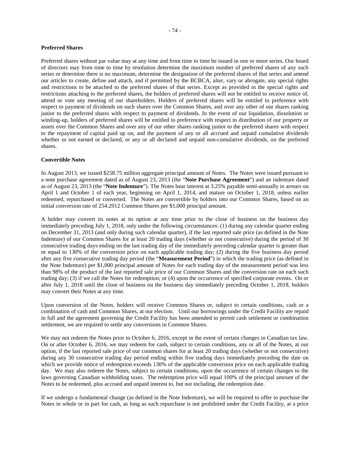#### **Preferred Shares**

Preferred shares without par value may at any time and from time to time be issued in one or more series. Our board of directors may from time to time by resolution determine the maximum number of preferred shares of any such series or determine there is no maximum, determine the designation of the preferred shares of that series and amend our articles to create, define and attach, and if permitted by the BCBCA, alter, vary or abrogate, any special rights and restrictions to be attached to the preferred shares of that series. Except as provided in the special rights and restrictions attaching to the preferred shares, the holders of preferred shares will not be entitled to receive notice of, attend or vote any meeting of our shareholders. Holders of preferred shares will be entitled to preference with respect to payment of dividends on such shares over the Common Shares, and over any other of our shares ranking junior to the preferred shares with respect to payment of dividends. In the event of our liquidation, dissolution or winding-up, holders of preferred shares will be entitled to preference with respect to distribution of our property or assets over the Common Shares and over any of our other shares ranking junior to the preferred shares with respect to the repayment of capital paid up on, and the payment of any or all accrued and unpaid cumulative dividends whether or not earned or declared, or any or all declared and unpaid non-cumulative dividends, on the preferred shares.

### **Convertible Notes**

In August 2013, we issued \$258.75 million aggregate principal amount of Notes. The Notes were issued pursuant to a note purchase agreement dated as of August 23, 2013 (the "**Note Purchase Agreement**") and an indenture dated as of August 23, 2013 (the "**Note Indenture**"). The Notes bear interest at 3.25% payable semi-annually in arrears on April 1 and October 1 of each year, beginning on April 1, 2014, and mature on October 1, 2018, unless earlier redeemed, repurchased or converted. The Notes are convertible by holders into our Common Shares, based on an initial conversion rate of 254.2912 Common Shares per \$1,000 principal amount.

A holder may convert its notes at its option at any time prior to the close of business on the business day immediately preceding July 1, 2018, only under the following circumstances: (1) during any calendar quarter ending on December 31, 2013 (and only during such calendar quarter), if the last reported sale price (as defined in the Note Indenture) of our Common Shares for at least 20 trading days (whether or not consecutive) during the period of 30 consecutive trading days ending on the last trading day of the immediately preceding calendar quarter is greater than or equal to 130% of the conversion price on each applicable trading day; (2) during the five business day period after any five consecutive trading day period (the "**Measurement Period**") in which the trading price (as defined in the Note Indenture) per \$1,000 principal amount of Notes for each trading day of the measurement period was less than 98% of the product of the last reported sale price of our Common Shares and the conversion rate on each such trading day; (3) if we call the Notes for redemption; or (4) upon the occurrence of specified corporate events. On or after July 1, 2018 until the close of business on the business day immediately preceding October 1, 2018, holders may convert their Notes at any time.

Upon conversion of the Notes, holders will receive Common Shares or, subject to certain conditions, cash or a combination of cash and Common Shares, at our election. Until our borrowings under the Credit Facility are repaid in full and the agreement governing the Credit Facility has been amended to permit cash settlement or combination settlement, we are required to settle any conversions in Common Shares.

We may not redeem the Notes prior to October 6, 2016, except in the event of certain changes in Canadian tax law. On or after October 6, 2016, we may redeem for cash, subject to certain conditions, any or all of the Notes, at our option, if the last reported sale price of our common shares for at least 20 trading days (whether or not consecutive) during any 30 consecutive trading day period ending within five trading days immediately preceding the date on which we provide notice of redemption exceeds 130% of the applicable conversion price on each applicable trading day. We may also redeem the Notes, subject to certain conditions, upon the occurrence of certain changes to the laws governing Canadian withholding taxes. The redemption price will equal 100% of the principal amount of the Notes to be redeemed, plus accrued and unpaid interest to, but not including, the redemption date.

If we undergo a fundamental change (as defined in the Note Indenture), we will be required to offer to purchase the Notes in whole or in part for cash, as long as such repurchase is not prohibited under the Credit Facility, at a price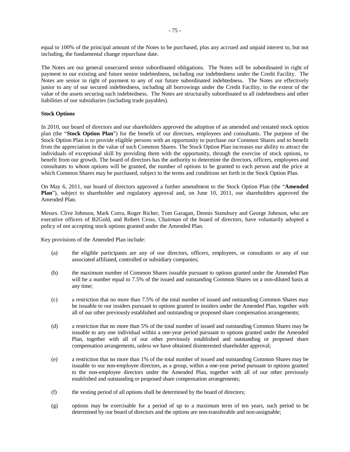equal to 100% of the principal amount of the Notes to be purchased, plus any accrued and unpaid interest to, but not including, the fundamental change repurchase date.

The Notes are our general unsecured senior subordinated obligations. The Notes will be subordinated in right of payment to our existing and future senior indebtedness, including our indebtedness under the Credit Facility. The Notes are senior in right of payment to any of our future subordinated indebtedness. The Notes are effectively junior to any of our secured indebtedness, including all borrowings under the Credit Facility, to the extent of the value of the assets securing such indebtedness. The Notes are structurally subordinated to all indebtedness and other liabilities of our subsidiaries (including trade payables).

### **Stock Options**

In 2010, our board of directors and our shareholders approved the adoption of an amended and restated stock option plan (the "**Stock Option Plan**") for the benefit of our directors, employees and consultants. The purpose of the Stock Option Plan is to provide eligible persons with an opportunity to purchase our Common Shares and to benefit from the appreciation in the value of such Common Shares. The Stock Option Plan increases our ability to attract the individuals of exceptional skill by providing them with the opportunity, through the exercise of stock options, to benefit from our growth. The board of directors has the authority to determine the directors, officers, employees and consultants to whom options will be granted, the number of options to be granted to each person and the price at which Common Shares may be purchased, subject to the terms and conditions set forth in the Stock Option Plan.

On May 6, 2011, our board of directors approved a further amendment to the Stock Option Plan (the "**Amended Plan**"), subject to shareholder and regulatory approval and, on June 10, 2011, our shareholders approved the Amended Plan.

Messrs. Clive Johnson, Mark Corra, Roger Richer, Tom Garagan, Dennis Stansbury and George Johnson, who are executive officers of B2Gold, and Robert Cross, Chairman of the board of directors, have voluntarily adopted a policy of not accepting stock options granted under the Amended Plan.

Key provisions of the Amended Plan include:

- (a) the eligible participants are any of our directors, officers, employees, or consultants or any of our associated affiliated, controlled or subsidiary companies;
- (b) the maximum number of Common Shares issuable pursuant to options granted under the Amended Plan will be a number equal to 7.5% of the issued and outstanding Common Shares on a non-diluted basis at any time;
- (c) a restriction that no more than 7.5% of the total number of issued and outstanding Common Shares may be issuable to our insiders pursuant to options granted to insiders under the Amended Plan, together with all of our other previously established and outstanding or proposed share compensation arrangements;
- (d) a restriction that no more than 5% of the total number of issued and outstanding Common Shares may be issuable to any one individual within a one-year period pursuant to options granted under the Amended Plan, together with all of our other previously established and outstanding or proposed share compensation arrangements, unless we have obtained disinterested shareholder approval;
- (e) a restriction that no more than 1% of the total number of issued and outstanding Common Shares may be issuable to our non-employee directors, as a group, within a one-year period pursuant to options granted to the non-employee directors under the Amended Plan, together with all of our other previously established and outstanding or proposed share compensation arrangements;
- (f) the vesting period of all options shall be determined by the board of directors;
- (g) options may be exercisable for a period of up to a maximum term of ten years, such period to be determined by our board of directors and the options are non-transferable and non-assignable;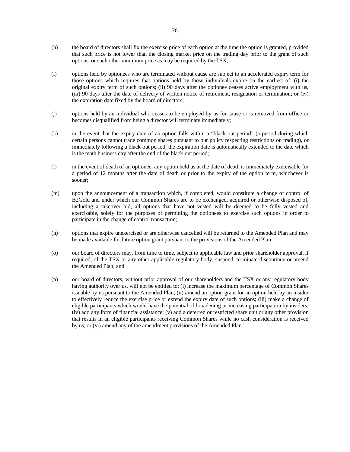- (h) the board of directors shall fix the exercise price of each option at the time the option is granted, provided that such price is not lower than the closing market price on the trading day prior to the grant of such options, or such other minimum price as may be required by the TSX;
- (i) options held by optionees who are terminated without cause are subject to an accelerated expiry term for those options which requires that options held by those individuals expire on the earliest of: (i) the original expiry term of such options; (ii) 90 days after the optionee ceases active employment with us, (iii) 90 days after the date of delivery of written notice of retirement, resignation or termination; or (iv) the expiration date fixed by the board of directors;
- (j) options held by an individual who ceases to be employed by us for cause or is removed from office or becomes disqualified from being a director will terminate immediately;
- (k) in the event that the expiry date of an option falls within a "black-out period" (a period during which certain persons cannot trade common shares pursuant to our policy respecting restrictions on trading), or immediately following a black-out period, the expiration date is automatically extended to the date which is the tenth business day after the end of the black-out period;
- (l) in the event of death of an optionee, any option held as at the date of death is immediately exercisable for a period of 12 months after the date of death or prior to the expiry of the option term, whichever is sooner;
- (m) upon the announcement of a transaction which, if completed, would constitute a change of control of B2Gold and under which our Common Shares are to be exchanged, acquired or otherwise disposed of, including a takeover bid, all options that have not vested will be deemed to be fully vested and exercisable, solely for the purposes of permitting the optionees to exercise such options in order to participate in the change of control transaction;
- (n) options that expire unexercised or are otherwise cancelled will be returned to the Amended Plan and may be made available for future option grant pursuant to the provisions of the Amended Plan;
- (o) our board of directors may, from time to time, subject to applicable law and prior shareholder approval, if required, of the TSX or any other applicable regulatory body, suspend, terminate discontinue or amend the Amended Plan; and
- (p) our board of directors, without prior approval of our shareholders and the TSX or any regulatory body having authority over us, will not be entitled to: (i) increase the maximum percentage of Common Shares issuable by us pursuant to the Amended Plan; (ii) amend an option grant for an option held by an insider to effectively reduce the exercise price or extend the expiry date of such options; (iii) make a change of eligible participants which would have the potential of broadening or increasing participation by insiders; (iv) add any form of financial assistance; (v) add a deferred or restricted share unit or any other provision that results in an eligible participants receiving Common Shares while no cash consideration is received by us; or (vi) amend any of the amendment provisions of the Amended Plan.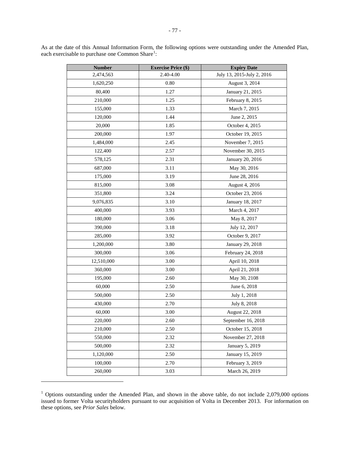| <b>Number</b> | <b>Exercise Price (\$)</b> | <b>Expiry Date</b>         |  |
|---------------|----------------------------|----------------------------|--|
| 2,474,563     | 2.40-4.00                  | July 13, 2015-July 2, 2016 |  |
| 1,620,250     | 0.80                       | August 3, 2014             |  |
| 80,400        | 1.27                       | January 21, 2015           |  |
| 210,000       | 1.25                       | February 8, 2015           |  |
| 155,000       | 1.33                       | March 7, 2015              |  |
| 120,000       | 1.44                       | June 2, 2015               |  |
| 20,000        | 1.85                       | October 4, 2015            |  |
| 200,000       | 1.97                       | October 19, 2015           |  |
| 1,484,000     | 2.45                       | November 7, 2015           |  |
| 122,400       | 2.57                       | November 30, 2015          |  |
| 578,125       | 2.31                       | January 20, 2016           |  |
| 687,000       | 3.11                       | May 30, 2016               |  |
| 175,000       | 3.19                       | June 28, 2016              |  |
| 815,000       | 3.08                       | August 4, 2016             |  |
| 351,800       | 3.24                       | October 23, 2016           |  |
| 9,076,835     | $3.10\,$                   | January 18, 2017           |  |
| 400,000       | 3.93                       | March 4, 2017              |  |
| 180,000       | 3.06                       | May 8, 2017                |  |
| 390,000       | 3.18                       | July 12, 2017              |  |
| 285,000       | 3.92                       | October 9, 2017            |  |
| 1,200,000     | 3.80                       | January 29, 2018           |  |
| 300,000       | 3.06                       | February 24, 2018          |  |
| 12,510,000    | 3.00                       | April 10, 2018             |  |
| 360,000       | 3.00                       | April 21, 2018             |  |
| 195,000       | 2.60                       | May 30, 2108               |  |
| 60,000        | 2.50                       | June 6, 2018               |  |
| 500,000       | 2.50                       | July 1, 2018               |  |
| 430,000       | 2.70                       | July 8, 2018               |  |
| 60,000        | 3.00                       | August 22, 2018            |  |
| 220,000       | 2.60                       | September 16, 2018         |  |
| 210,000       | 2.50                       | October 15, 2018           |  |
| 550,000       | 2.32                       | November 27, 2018          |  |
| 500,000       | 2.32                       | January 5, 2019            |  |
| 1,120,000     | 2.50                       | January 15, 2019           |  |
| 100,000       | 2.70                       | February 3, 2019           |  |
| 260,000       | 3.03                       | March 26, 2019             |  |

As at the date of this Annual Information Form, the following options were outstanding under the Amended Plan, each exercisable to purchase one Common Share<sup>[1](#page-78-0)</sup>:

 $\overline{a}$ 

<span id="page-78-0"></span> $1$  Options outstanding under the Amended Plan, and shown in the above table, do not include 2,079,000 options issued to former Volta securityholders pursuant to our acquisition of Volta in December 2013. For information on these options, see *Prior Sales* below.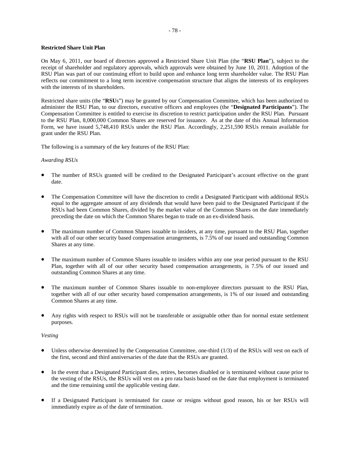#### **Restricted Share Unit Plan**

On May 6, 2011, our board of directors approved a Restricted Share Unit Plan (the "**RSU Plan**"), subject to the receipt of shareholder and regulatory approvals, which approvals were obtained by June 10, 2011. Adoption of the RSU Plan was part of our continuing effort to build upon and enhance long term shareholder value. The RSU Plan reflects our commitment to a long term incentive compensation structure that aligns the interests of its employees with the interests of its shareholders.

Restricted share units (the "**RSU**s") may be granted by our Compensation Committee, which has been authorized to administer the RSU Plan, to our directors, executive officers and employees (the "**Designated Participants**"). The Compensation Committee is entitled to exercise its discretion to restrict participation under the RSU Plan. Pursuant to the RSU Plan, 8,000,000 Common Shares are reserved for issuance. As at the date of this Annual Information Form, we have issued 5,748,410 RSUs under the RSU Plan. Accordingly, 2,251,590 RSUs remain available for grant under the RSU Plan.

The following is a summary of the key features of the RSU Plan:

#### *Awarding RSUs*

- The number of RSUs granted will be credited to the Designated Participant's account effective on the grant date.
- The Compensation Committee will have the discretion to credit a Designated Participant with additional RSUs equal to the aggregate amount of any dividends that would have been paid to the Designated Participant if the RSUs had been Common Shares, divided by the market value of the Common Shares on the date immediately preceding the date on which the Common Shares began to trade on an ex-dividend basis.
- The maximum number of Common Shares issuable to insiders, at any time, pursuant to the RSU Plan, together with all of our other security based compensation arrangements, is 7.5% of our issued and outstanding Common Shares at any time.
- The maximum number of Common Shares issuable to insiders within any one year period pursuant to the RSU Plan, together with all of our other security based compensation arrangements, is 7.5% of our issued and outstanding Common Shares at any time.
- The maximum number of Common Shares issuable to non-employee directors pursuant to the RSU Plan, together with all of our other security based compensation arrangements, is 1% of our issued and outstanding Common Shares at any time.
- Any rights with respect to RSUs will not be transferable or assignable other than for normal estate settlement purposes.

#### *Vesting*

- Unless otherwise determined by the Compensation Committee, one-third (1/3) of the RSUs will vest on each of the first, second and third anniversaries of the date that the RSUs are granted.
- In the event that a Designated Participant dies, retires, becomes disabled or is terminated without cause prior to the vesting of the RSUs, the RSUs will vest on a pro rata basis based on the date that employment is terminated and the time remaining until the applicable vesting date.
- If a Designated Participant is terminated for cause or resigns without good reason, his or her RSUs will immediately expire as of the date of termination.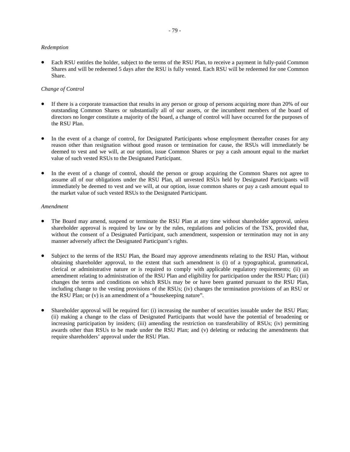## *Redemption*

• Each RSU entitles the holder, subject to the terms of the RSU Plan, to receive a payment in fully-paid Common Shares and will be redeemed 5 days after the RSU is fully vested. Each RSU will be redeemed for one Common Share.

### *Change of Control*

- If there is a corporate transaction that results in any person or group of persons acquiring more than 20% of our outstanding Common Shares or substantially all of our assets, or the incumbent members of the board of directors no longer constitute a majority of the board, a change of control will have occurred for the purposes of the RSU Plan.
- In the event of a change of control, for Designated Participants whose employment thereafter ceases for any reason other than resignation without good reason or termination for cause, the RSUs will immediately be deemed to vest and we will, at our option, issue Common Shares or pay a cash amount equal to the market value of such vested RSUs to the Designated Participant.
- In the event of a change of control, should the person or group acquiring the Common Shares not agree to assume all of our obligations under the RSU Plan, all unvested RSUs held by Designated Participants will immediately be deemed to vest and we will, at our option, issue common shares or pay a cash amount equal to the market value of such vested RSUs to the Designated Participant.

### *Amendment*

- The Board may amend, suspend or terminate the RSU Plan at any time without shareholder approval, unless shareholder approval is required by law or by the rules, regulations and policies of the TSX, provided that, without the consent of a Designated Participant, such amendment, suspension or termination may not in any manner adversely affect the Designated Participant's rights.
- Subject to the terms of the RSU Plan, the Board may approve amendments relating to the RSU Plan, without obtaining shareholder approval, to the extent that such amendment is (i) of a typographical, grammatical, clerical or administrative nature or is required to comply with applicable regulatory requirements; (ii) an amendment relating to administration of the RSU Plan and eligibility for participation under the RSU Plan; (iii) changes the terms and conditions on which RSUs may be or have been granted pursuant to the RSU Plan, including change to the vesting provisions of the RSUs; (iv) changes the termination provisions of an RSU or the RSU Plan; or (v) is an amendment of a "housekeeping nature".
- Shareholder approval will be required for: (i) increasing the number of securities issuable under the RSU Plan; (ii) making a change to the class of Designated Participants that would have the potential of broadening or increasing participation by insiders; (iii) amending the restriction on transferability of RSUs; (iv) permitting awards other than RSUs to be made under the RSU Plan; and (v) deleting or reducing the amendments that require shareholders' approval under the RSU Plan.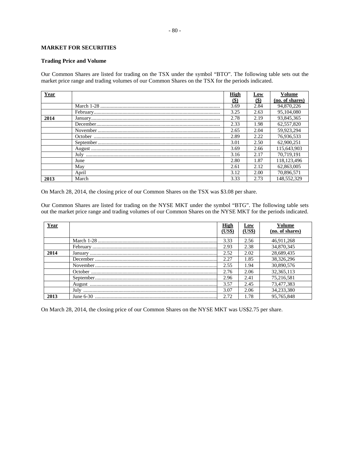# **MARKET FOR SECURITIES**

# **Trading Price and Volume**

Our Common Shares are listed for trading on the TSX under the symbol "BTO". The following table sets out the market price range and trading volumes of our Common Shares on the TSX for the periods indicated.

| Year |       | <u>High</u> | <b>Low</b> | Volume          |
|------|-------|-------------|------------|-----------------|
|      |       | $($ \$)     | $($)$      | (no. of shares) |
|      |       | 3.69        | 2.84       | 94,870,226      |
|      |       | 3.25        | 2.63       | 95,104,080      |
| 2014 |       | 2.78        | 2.19       | 93,845,365      |
|      |       | 2.33        | 1.98       | 62,557,820      |
|      |       | 2.65        | 2.04       | 59,923,294      |
|      |       | 2.89        | 2.22       | 76,936,533      |
|      |       | 3.01        | 2.50       | 62,900,251      |
|      |       | 3.69        | 2.66       | 115,643,903     |
|      |       | 3.16        | 2.17       | 70,719,191      |
|      | June  | 2.80        | 1.87       | 118,123,496     |
|      | May   | 2.61        | 2.12       | 62,863,005      |
|      | April | 3.12        | 2.00       | 70,896,571      |
| 2013 | March | 3.33        | 2.73       | 148,552,329     |

On March 28, 2014, the closing price of our Common Shares on the TSX was \$3.08 per share.

Our Common Shares are listed for trading on the NYSE MKT under the symbol "BTG". The following table sets out the market price range and trading volumes of our Common Shares on the NYSE MKT for the periods indicated.

| <b>Year</b> | <b>High</b><br>(US\$) | Low<br>(US\$) | Volume<br>(no. of shares) |
|-------------|-----------------------|---------------|---------------------------|
|             | 3.33                  | 2.56          | 46,911,268                |
|             | 2.93                  | 2.38          | 34,870,345                |
| 2014        | 2.52                  | 2.02          | 28,689,435                |
|             | 2.27                  | 1.85          | 38,326,296                |
|             | 2.55                  | 1.94          | 30,890,576                |
|             | 2.76                  | 2.06          | 32, 365, 113              |
|             | 2.96                  | 2.41          | 75,216,581                |
|             | 3.57                  | 2.45          | 73,477,383                |
|             | 3.07                  | 2.06          | 34,233,380                |
| 2013        | 2.72                  | 1.78          | 95,765,848                |

On March 28, 2014, the closing price of our Common Shares on the NYSE MKT was US\$2.75 per share.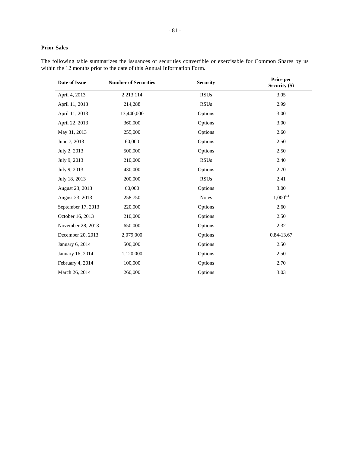# **Prior Sales**

The following table summarizes the issuances of securities convertible or exercisable for Common Shares by us within the 12 months prior to the date of this Annual Information Form.

| Date of Issue      | <b>Number of Securities</b> | <b>Security</b> | Price per<br>Security (\$) |
|--------------------|-----------------------------|-----------------|----------------------------|
| April 4, 2013      | 2,213,114                   | <b>RSUs</b>     | 3.05                       |
| April 11, 2013     | 214,288                     | <b>RSUs</b>     | 2.99                       |
| April 11, 2013     | 13,440,000                  | Options         | 3.00                       |
| April 22, 2013     | 360,000                     | Options         | 3.00                       |
| May 31, 2013       | 255,000                     | Options         | 2.60                       |
| June 7, 2013       | 60,000                      | Options         | 2.50                       |
| July 2, 2013       | 500,000                     | Options         | 2.50                       |
| July 9, 2013       | 210,000                     | <b>RSUs</b>     | 2.40                       |
| July 9, 2013       | 430,000                     | Options         | 2.70                       |
| July 18, 2013      | 200,000                     | <b>RSUs</b>     | 2.41                       |
| August 23, 2013    | 60,000                      | Options         | 3.00                       |
| August 23, 2013    | 258,750                     | <b>Notes</b>    | $1,000^{(1)}$              |
| September 17, 2013 | 220,000                     | Options         | 2.60                       |
| October 16, 2013   | 210,000                     | Options         | 2.50                       |
| November 28, 2013  | 650,000                     | Options         | 2.32                       |
| December 20, 2013  | 2,079,000                   | Options         | 0.84-13.67                 |
| January 6, 2014    | 500,000                     | Options         | 2.50                       |
| January 16, 2014   | 1,120,000                   | Options         | 2.50                       |
| February 4, 2014   | 100,000                     | Options         | 2.70                       |
| March 26, 2014     | 260,000                     | Options         | 3.03                       |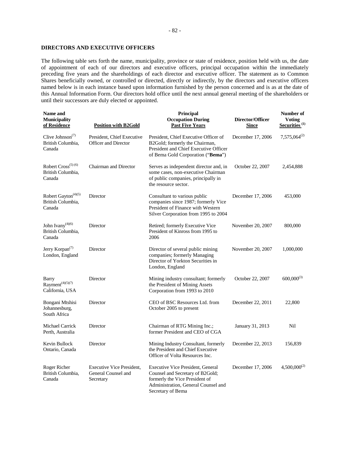# **DIRECTORS AND EXECUTIVE OFFICERS**

The following table sets forth the name, municipality, province or state of residence, position held with us, the date of appointment of each of our directors and executive officers, principal occupation within the immediately preceding five years and the shareholdings of each director and executive officer. The statement as to Common Shares beneficially owned, or controlled or directed, directly or indirectly, by the directors and executive officers named below is in each instance based upon information furnished by the person concerned and is as at the date of this Annual Information Form. Our directors hold office until the next annual general meeting of the shareholders or until their successors are duly elected or appointed.

| Name and<br><b>Municipality</b><br>of Residence<br><b>Position with B2Gold</b> |                                                                                                                                                                                                             | Principal<br><b>Occupation During</b><br><b>Past Five Years</b>                                                                                                            | Director/Officer<br><b>Since</b> | Number of<br><b>Voting</b><br>Securities <sup>(1)</sup> |  |
|--------------------------------------------------------------------------------|-------------------------------------------------------------------------------------------------------------------------------------------------------------------------------------------------------------|----------------------------------------------------------------------------------------------------------------------------------------------------------------------------|----------------------------------|---------------------------------------------------------|--|
| Clive Johnson <sup><math>(7)</math></sup><br>British Columbia,<br>Canada       | President, Chief Executive<br>President, Chief Executive Officer of<br>Officer and Director<br>B2Gold; formerly the Chairman,<br>President and Chief Executive Officer<br>of Bema Gold Corporation ("Bema") |                                                                                                                                                                            | December 17, 2006                | $7,575,064^{(2)}$                                       |  |
| Robert Cross <sup>(5) (6)</sup><br>British Columbia,<br>Canada                 | Chairman and Director                                                                                                                                                                                       | Serves as independent director and, in<br>some cases, non-executive Chairman<br>of public companies, principally in<br>the resource sector.                                | October 22, 2007                 | 2,454,888                                               |  |
| Robert Gayton <sup>(4)(5)</sup><br>British Columbia,<br>Canada                 | Director                                                                                                                                                                                                    | Consultant to various public<br>companies since 1987; formerly Vice<br>President of Finance with Western<br>Silver Corporation from 1995 to 2004                           | December 17, 2006                | 453,000                                                 |  |
| John Ivany <sup>(4)(6)</sup><br>British Columbia,<br>Canada                    | Director                                                                                                                                                                                                    | Retired; formerly Executive Vice<br>President of Kinross from 1995 to<br>2006                                                                                              | November 20, 2007                | 800,000                                                 |  |
| Jerry Korpan <sup>(7)</sup><br>London, England                                 | Director                                                                                                                                                                                                    | Director of several public mining<br>companies; formerly Managing<br>Director of Yorkton Securities in<br>London, England                                                  | November 20, 2007                | 1,000,000                                               |  |
| Barry<br>$Rayment^{(4)(5)(7)}$<br>California, USA                              | Director                                                                                                                                                                                                    | Mining industry consultant; formerly<br>the President of Mining Assets<br>Corporation from 1993 to 2010                                                                    | October 22, 2007                 | $600,000^{(3)}$                                         |  |
| Bongani Mtshisi<br>Johannesburg,<br>South Africa                               | Director                                                                                                                                                                                                    | CEO of BSC Resources Ltd. from<br>October 2005 to present                                                                                                                  | December 22, 2011                | 22,800                                                  |  |
| Michael Carrick<br>Perth, Australia                                            | Director                                                                                                                                                                                                    | Chairman of RTG Mining Inc.;<br>former President and CEO of CGA                                                                                                            | January 31, 2013                 | Nil                                                     |  |
| Kevin Bullock<br>Ontario, Canada                                               | Director                                                                                                                                                                                                    | Mining Industry Consultant, formerly<br>the President and Chief Executive<br>Officer of Volta Resources Inc.                                                               | December 22, 2013                | 156,839                                                 |  |
| Roger Richer<br>British Columbia.<br>Canada                                    | <b>Executive Vice President,</b><br>General Counsel and<br>Secretary                                                                                                                                        | <b>Executive Vice President, General</b><br>Counsel and Secretary of B2Gold;<br>formerly the Vice President of<br>Administration, General Counsel and<br>Secretary of Bema | December 17, 2006                | $4,500,000^{(2)}$                                       |  |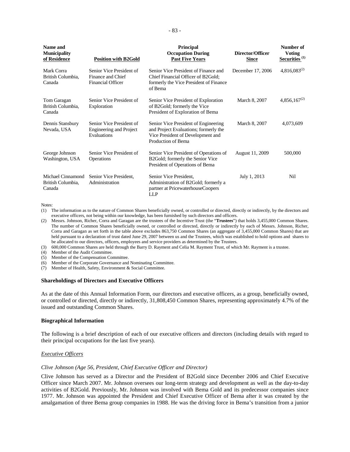| Name and<br><b>Municipality</b><br>of Residence<br><b>Position with B2Gold</b> |                                                                           | <b>Principal</b><br><b>Occupation During</b><br><b>Past Five Years</b>                                                                   | Director/Officer<br><b>Since</b> | Number of<br><b>Voting</b><br>Securities <sup>(1)</sup> |  |
|--------------------------------------------------------------------------------|---------------------------------------------------------------------------|------------------------------------------------------------------------------------------------------------------------------------------|----------------------------------|---------------------------------------------------------|--|
| Mark Corra<br>British Columbia,<br>Canada                                      | Senior Vice President of<br>Finance and Chief<br><b>Financial Officer</b> | Senior Vice President of Finance and<br>Chief Financial Officer of B2Gold;<br>formerly the Vice President of Finance<br>of Bema          | December 17, 2006                | $4,816,083^{(2)}$                                       |  |
| Tom Garagan<br>British Columbia,<br>Canada                                     | Senior Vice President of<br>Exploration                                   | Senior Vice President of Exploration<br>of B2Gold; formerly the Vice<br>President of Exploration of Bema                                 | March 8, 2007                    | $4,856,167^{(2)}$                                       |  |
| Dennis Stansbury<br>Nevada, USA                                                | Senior Vice President of<br><b>Engineering and Project</b><br>Evaluations | Senior Vice President of Engineering<br>and Project Evaluations; formerly the<br>Vice President of Development and<br>Production of Bema | March 8, 2007                    | 4,073,609                                               |  |
| George Johnson<br>Washington, USA                                              | Senior Vice President of<br>Operations                                    | Senior Vice President of Operations of<br>B2Gold; formerly the Senior Vice<br>President of Operations of Bema                            | August 11, 2009                  | 500,000                                                 |  |
| Michael Cinnamond<br>British Columbia,<br>Canada                               | Senior Vice President,<br>Administration                                  | Senior Vice President,<br>Administration of B2Gold; formerly a<br>partner at PricewaterhouseCoopers<br>LLP                               | July 1, 2013                     | Nil                                                     |  |

Notes:

(1) The information as to the nature of Common Shares beneficially owned, or controlled or directed, directly or indirectly, by the directors and executive officers, not being within our knowledge, has been furnished by such directors and officers.

(2) Messrs. Johnson, Richer, Corra and Garagan are the trustees of the Incentive Trust (the "**Trustees**") that holds 3,455,000 Common Shares. The number of Common Shares beneficially owned, or controlled or directed, directly or indirectly by each of Messrs. Johnson, Richer, Corra and Garagan as set forth in the table above excludes 863,750 Common Shares (an aggregate of 3,455,000 Common Shares) that are held pursuant to a declaration of trust dated June 29, 2007 between us and the Trustees, which was established to hold options and shares to be allocated to our directors, officers, employees and service providers as determined by the Trustees.

(3) 600,000 Common Shares are held through the Barry D. Rayment and Celia M. Rayment Trust, of which Mr. Rayment is a trustee.

(4) Member of the Audit Committee.

(5) Member of the Compensation Committee.

(6) Member of the Corporate Governance and Nominating Committee.

(7) Member of Health, Safety, Environment & Social Committee.

#### **Shareholdings of Directors and Executive Officers**

As at the date of this Annual Information Form, our directors and executive officers, as a group, beneficially owned, or controlled or directed, directly or indirectly, 31,808,450 Common Shares, representing approximately 4.7% of the issued and outstanding Common Shares.

#### **Biographical Information**

The following is a brief description of each of our executive officers and directors (including details with regard to their principal occupations for the last five years).

#### *Executive Officers*

#### *Clive Johnson (Age 56, President, Chief Executive Officer and Director)*

Clive Johnson has served as a Director and the President of B2Gold since December 2006 and Chief Executive Officer since March 2007. Mr. Johnson oversees our long-term strategy and development as well as the day-to-day activities of B2Gold. Previously, Mr. Johnson was involved with Bema Gold and its predecessor companies since 1977. Mr. Johnson was appointed the President and Chief Executive Officer of Bema after it was created by the amalgamation of three Bema group companies in 1988. He was the driving force in Bema's transition from a junior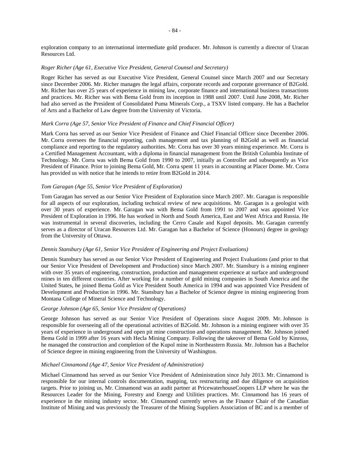# *Roger Richer (Age 61, Executive Vice President, General Counsel and Secretary)*

Resources Ltd.

Roger Richer has served as our Executive Vice President, General Counsel since March 2007 and our Secretary since December 2006. Mr. Richer manages the legal affairs, corporate records and corporate governance of B2Gold. Mr. Richer has over 25 years of experience in mining law, corporate finance and international business transactions and practices. Mr. Richer was with Bema Gold from its inception in 1988 until 2007. Until June 2008, Mr. Richer had also served as the President of Consolidated Puma Minerals Corp., a TSXV listed company. He has a Bachelor of Arts and a Bachelor of Law degree from the University of Victoria.

# *Mark Corra (Age 57, Senior Vice President of Finance and Chief Financial Officer)*

Mark Corra has served as our Senior Vice President of Finance and Chief Financial Officer since December 2006. Mr. Corra oversees the financial reporting, cash management and tax planning of B2Gold as well as financial compliance and reporting to the regulatory authorities. Mr. Corra has over 30 years mining experience. Mr. Corra is a Certified Management Accountant, with a diploma in financial management from the British Columbia Institute of Technology. Mr. Corra was with Bema Gold from 1990 to 2007, initially as Controller and subsequently as Vice President of Finance. Prior to joining Bema Gold, Mr. Corra spent 11 years in accounting at Placer Dome. Mr. Corra has provided us with notice that he intends to retire from B2Gold in 2014.

## *Tom Garagan (Age 55, Senior Vice President of Exploration)*

Tom Garagan has served as our Senior Vice President of Exploration since March 2007. Mr. Garagan is responsible for all aspects of our exploration, including technical review of new acquisitions. Mr. Garagan is a geologist with over 30 years of experience. Mr. Garagan was with Bema Gold from 1991 to 2007 and was appointed Vice President of Exploration in 1996. He has worked in North and South America, East and West Africa and Russia. He was instrumental in several discoveries, including the Cerro Casale and Kupol deposits. Mr. Garagan currently serves as a director of Uracan Resources Ltd. Mr. Garagan has a Bachelor of Science (Honours) degree in geology from the University of Ottawa.

#### *Dennis Stansbury (Age 61, Senior Vice President of Engineering and Project Evaluations)*

Dennis Stansbury has served as our Senior Vice President of Engineering and Project Evaluations (and prior to that our Senior Vice President of Development and Production) since March 2007. Mr. Stansbury is a mining engineer with over 35 years of engineering, construction, production and management experience at surface and underground mines in ten different countries. After working for a number of gold mining companies in South America and the United States, he joined Bema Gold as Vice President South America in 1994 and was appointed Vice President of Development and Production in 1996. Mr. Stansbury has a Bachelor of Science degree in mining engineering from Montana College of Mineral Science and Technology.

#### *George Johnson (Age 65, Senior Vice President of Operations)*

George Johnson has served as our Senior Vice President of Operations since August 2009. Mr. Johnson is responsible for overseeing all of the operational activities of B2Gold. Mr. Johnson is a mining engineer with over 35 years of experience in underground and open pit mine construction and operations management. Mr. Johnson joined Bema Gold in 1999 after 16 years with Hecla Mining Company. Following the takeover of Bema Gold by Kinross, he managed the construction and completion of the Kupol mine in Northeastern Russia. Mr. Johnson has a Bachelor of Science degree in mining engineering from the University of Washington.

# *Michael Cinnamond (Age 47, Senior Vice President of Administration)*

Michael Cinnamond has served as our Senior Vice President of Administration since July 2013. Mr. Cinnamond is responsible for our internal controls documentation, mapping, tax restructuring and due diligence on acquisition targets. Prior to joining us, Mr. Cinnamond was an audit partner at PricewaterhouseCoopers LLP where he was the Resources Leader for the Mining, Forestry and Energy and Utilities practices. Mr. Cinnamond has 16 years of experience in the mining industry sector. Mr. Cinnamond currently serves as the Finance Chair of the Canadian Institute of Mining and was previously the Treasurer of the Mining Suppliers Association of BC and is a member of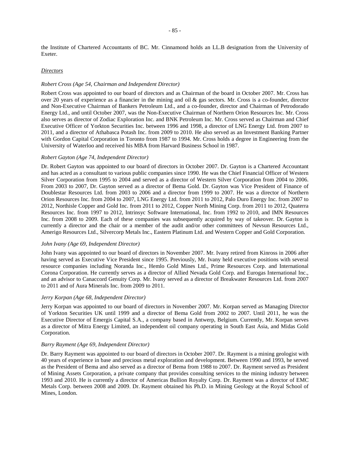the Institute of Chartered Accountants of BC. Mr. Cinnamond holds an LL.B designation from the University of Exeter.

#### *Directors*

#### *Robert Cross (Age 54, Chairman and Independent Director)*

Robert Cross was appointed to our board of directors and as Chairman of the board in October 2007. Mr. Cross has over 20 years of experience as a financier in the mining and oil & gas sectors. Mr. Cross is a co-founder, director and Non-Executive Chairman of Bankers Petroleum Ltd., and a co-founder, director and Chairman of Petrodorado Energy Ltd., and until October 2007, was the Non-Executive Chairman of Northern Orion Resources Inc. Mr. Cross also serves as director of Zodiac Exploration Inc. and BNK Petroleum Inc. Mr. Cross served as Chairman and Chief Executive Officer of Yorkton Securities Inc. between 1996 and 1998, a director of LNG Energy Ltd. from 2007 to 2011, and a director of Athabasca Potash Inc. from 2009 to 2010. He also served as an Investment Banking Partner with Gordon Capital Corporation in Toronto from 1987 to 1994. Mr. Cross holds a degree in Engineering from the University of Waterloo and received his MBA from Harvard Business School in 1987.

## *Robert Gayton (Age 74, Independent Director)*

Dr. Robert Gayton was appointed to our board of directors in October 2007. Dr. Gayton is a Chartered Accountant and has acted as a consultant to various public companies since 1990. He was the Chief Financial Officer of Western Silver Corporation from 1995 to 2004 and served as a director of Western Silver Corporation from 2004 to 2006. From 2003 to 2007, Dr. Gayton served as a director of Bema Gold. Dr. Gayton was Vice President of Finance of Doublestar Resources Ltd. from 2003 to 2006 and a director from 1999 to 2007. He was a director of Northern Orion Resources Inc. from 2004 to 2007, LNG Energy Ltd. from 2011 to 2012, Palo Duro Energy Inc. from 2007 to 2012, Northisle Copper and Gold Inc. from 2011 to 2012, Copper North Mining Corp. from 2011 to 2012, Quaterra Resources Inc. from 1997 to 2012, Intrinsyc Software International, Inc. from 1992 to 2010, and IMN Resources Inc. from 2008 to 2009. Each of these companies was subsequently acquired by way of takeover. Dr. Gayton is currently a director and the chair or a member of the audit and/or other committees of Nevsun Resources Ltd., Amerigo Resources Ltd., Silvercorp Metals Inc., Eastern Platinum Ltd. and Western Copper and Gold Corporation.

#### *John Ivany (Age 69, Independent Director)*

John Ivany was appointed to our board of directors in November 2007. Mr. Ivany retired from Kinross in 2006 after having served as Executive Vice President since 1995. Previously, Mr. Ivany held executive positions with several resource companies including Noranda Inc., Hemlo Gold Mines Ltd., Prime Resources Corp. and International Corona Corporation. He currently serves as a director of Allied Nevada Gold Corp. and Eurogas International Inc., and an advisor to Canaccord Genuity Corp. Mr. Ivany served as a director of Breakwater Resources Ltd. from 2007 to 2011 and of Aura Minerals Inc. from 2009 to 2011.

#### *Jerry Korpan (Age 68, Independent Director)*

Jerry Korpan was appointed to our board of directors in November 2007. Mr. Korpan served as Managing Director of Yorkton Securities UK until 1999 and a director of Bema Gold from 2002 to 2007. Until 2011, he was the Executive Director of Emergis Capital S.A., a company based in Antwerp, Belgium. Currently, Mr. Korpan serves as a director of Mitra Energy Limited, an independent oil company operating in South East Asia, and Midas Gold Corporation.

#### *Barry Rayment (Age 69, Independent Director)*

Dr. Barry Rayment was appointed to our board of directors in October 2007. Dr. Rayment is a mining geologist with 40 years of experience in base and precious metal exploration and development. Between 1990 and 1993, he served as the President of Bema and also served as a director of Bema from 1988 to 2007. Dr. Rayment served as President of Mining Assets Corporation, a private company that provides consulting services to the mining industry between 1993 and 2010. He is currently a director of Americas Bullion Royalty Corp. Dr. Rayment was a director of EMC Metals Corp. between 2008 and 2009. Dr. Rayment obtained his Ph.D. in Mining Geology at the Royal School of Mines, London.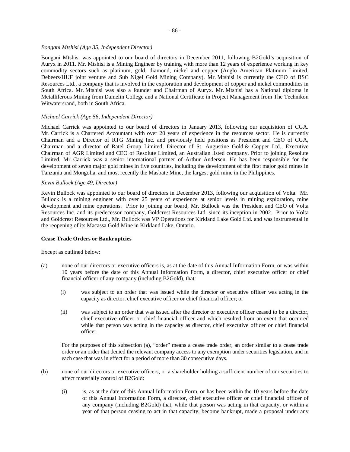# *Bongani Mtshisi (Age 35, Independent Director)*

Bongani Mtshisi was appointed to our board of directors in December 2011, following B2Gold's acquisition of Auryx in 2011. Mr. Mtshisi is a Mining Engineer by training with more than 12 years of experience working in key commodity sectors such as platinum, gold, diamond, nickel and copper (Anglo American Platinum Limited, Debeers/HUF joint venture and Sub Nigel Gold Mining Company). Mr. Mtshisi is currently the CEO of BSC Resources Ltd., a company that is involved in the exploration and development of copper and nickel commodities in South Africa. Mr. Mtshisi was also a founder and Chairman of Auryx. Mr. Mtshisi has a National diploma in Metalliferous Mining from Damelin College and a National Certificate in Project Management from The Technikon Witwatersrand, both in South Africa.

## *Michael Carrick (Age 56, Independent Director)*

Michael Carrick was appointed to our board of directors in January 2013, following our acquisition of CGA. Mr. Carrick is a Chartered Accountant with over 20 years of experience in the resources sector. He is currently Chairman and a Director of RTG Mining Inc. and previously held positions as President and CEO of CGA, Chairman and a director of Ratel Group Limited, Director of St. Augustine Gold & Copper Ltd., Executive Chairman of AGR Limited and CEO of Resolute Limited, an Australian listed company. Prior to joining Resolute Limited, Mr. Carrick was a senior international partner of Arthur Andersen. He has been responsible for the development of seven major gold mines in five countries, including the development of the first major gold mines in Tanzania and Mongolia, and most recently the Masbate Mine, the largest gold mine in the Philippines.

#### *Kevin Bullock (Age 49, Director)*

Kevin Bullock was appointed to our board of directors in December 2013, following our acquisition of Volta. Mr. Bullock is a mining engineer with over 25 years of experience at senior levels in mining exploration, mine development and mine operations. Prior to joining our board, Mr. Bullock was the President and CEO of Volta Resources Inc. and its predecessor company, Goldcrest Resources Ltd. since its inception in 2002. Prior to Volta and Goldcrest Resources Ltd., Mr. Bullock was VP Operations for Kirkland Lake Gold Ltd. and was instrumental in the reopening of its Macassa Gold Mine in Kirkland Lake, Ontario.

### **Cease Trade Orders or Bankruptcies**

Except as outlined below:

- (a) none of our directors or executive officers is, as at the date of this Annual Information Form, or was within 10 years before the date of this Annual Information Form, a director, chief executive officer or chief financial officer of any company (including B2Gold), that:
	- (i) was subject to an order that was issued while the director or executive officer was acting in the capacity as director, chief executive officer or chief financial officer; or
	- (ii) was subject to an order that was issued after the director or executive officer ceased to be a director, chief executive officer or chief financial officer and which resulted from an event that occurred while that person was acting in the capacity as director, chief executive officer or chief financial officer.

For the purposes of this subsection (a), "order" means a cease trade order, an order similar to a cease trade order or an order that denied the relevant company access to any exemption under securities legislation, and in each case that was in effect for a period of more than 30 consecutive days.

- (b) none of our directors or executive officers, or a shareholder holding a sufficient number of our securities to affect materially control of B2Gold:
	- (i) is, as at the date of this Annual Information Form, or has been within the 10 years before the date of this Annual Information Form, a director, chief executive officer or chief financial officer of any company (including B2Gold) that, while that person was acting in that capacity, or within a year of that person ceasing to act in that capacity, become bankrupt, made a proposal under any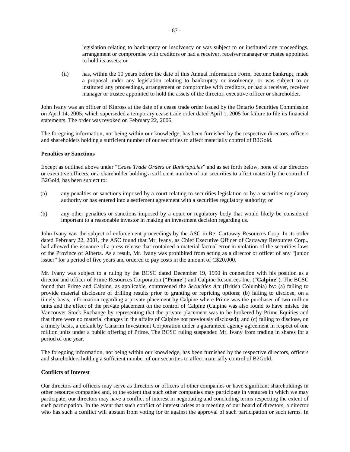legislation relating to bankruptcy or insolvency or was subject to or instituted any proceedings, arrangement or compromise with creditors or had a receiver, receiver manager or trustee appointed to hold its assets; or

(ii) has, within the 10 years before the date of this Annual Information Form, become bankrupt, made a proposal under any legislation relating to bankruptcy or insolvency, or was subject to or instituted any proceedings, arrangement or compromise with creditors, or had a receiver, receiver manager or trustee appointed to hold the assets of the director, executive officer or shareholder.

John Ivany was an officer of Kinross at the date of a cease trade order issued by the Ontario Securities Commission on April 14, 2005, which superseded a temporary cease trade order dated April 1, 2005 for failure to file its financial statements. The order was revoked on February 22, 2006.

The foregoing information, not being within our knowledge, has been furnished by the respective directors, officers and shareholders holding a sufficient number of our securities to affect materially control of B2Gold.

### **Penalties or Sanctions**

Except as outlined above under "*Cease Trade Orders or Bankruptcies*" and as set forth below, none of our directors or executive officers, or a shareholder holding a sufficient number of our securities to affect materially the control of B2Gold, has been subject to:

- (a) any penalties or sanctions imposed by a court relating to securities legislation or by a securities regulatory authority or has entered into a settlement agreement with a securities regulatory authority; or
- (b) any other penalties or sanctions imposed by a court or regulatory body that would likely be considered important to a reasonable investor in making an investment decision regarding us.

John Ivany was the subject of enforcement proceedings by the ASC in Re: Cartaway Resources Corp. In its order dated February 22, 2001, the ASC found that Mr. Ivany, as Chief Executive Officer of Cartaway Resources Corp., had allowed the issuance of a press release that contained a material factual error in violation of the securities laws of the Province of Alberta. As a result, Mr. Ivany was prohibited from acting as a director or officer of any "junior issuer" for a period of five years and ordered to pay costs in the amount of C\$20,000.

Mr. Ivany was subject to a ruling by the BCSC dated December 19, 1990 in connection with his position as a director and officer of Prime Resources Corporation ("**Prime**") and Calpine Resources Inc. ("**Calpine**"). The BCSC found that Prime and Calpine, as applicable, contravened the *Securities Act* (British Columbia) by: (a) failing to provide material disclosure of drilling results prior to granting or repricing options; (b) failing to disclose, on a timely basis, information regarding a private placement by Calpine where Prime was the purchaser of two million units and the effect of the private placement on the control of Calpine (Calpine was also found to have misled the Vancouver Stock Exchange by representing that the private placement was to be brokered by Prime Equities and that there were no material changes in the affairs of Calpine not previously disclosed); and (c) failing to disclose, on a timely basis, a default by Canarim Investment Corporation under a guaranteed agency agreement in respect of one million units under a public offering of Prime. The BCSC ruling suspended Mr. Ivany from trading in shares for a period of one year.

The foregoing information, not being within our knowledge, has been furnished by the respective directors, officers and shareholders holding a sufficient number of our securities to affect materially control of B2Gold.

#### **Conflicts of Interest**

Our directors and officers may serve as directors or officers of other companies or have significant shareholdings in other resource companies and, to the extent that such other companies may participate in ventures in which we may participate, our directors may have a conflict of interest in negotiating and concluding terms respecting the extent of such participation. In the event that such conflict of interest arises at a meeting of our board of directors, a director who has such a conflict will abstain from voting for or against the approval of such participation or such terms. In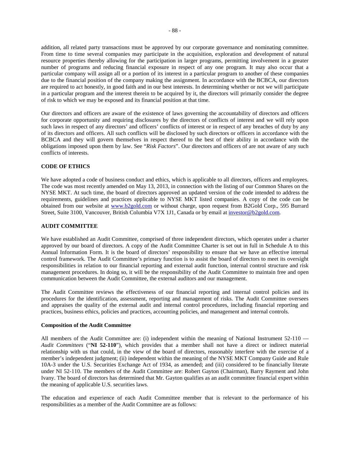addition, all related party transactions must be approved by our corporate governance and nominating committee. From time to time several companies may participate in the acquisition, exploration and development of natural resource properties thereby allowing for the participation in larger programs, permitting involvement in a greater number of programs and reducing financial exposure in respect of any one program. It may also occur that a particular company will assign all or a portion of its interest in a particular program to another of these companies due to the financial position of the company making the assignment. In accordance with the BCBCA, our directors are required to act honestly, in good faith and in our best interests. In determining whether or not we will participate in a particular program and the interest therein to be acquired by it, the directors will primarily consider the degree of risk to which we may be exposed and its financial position at that time.

Our directors and officers are aware of the existence of laws governing the accountability of directors and officers for corporate opportunity and requiring disclosures by the directors of conflicts of interest and we will rely upon such laws in respect of any directors' and officers' conflicts of interest or in respect of any breaches of duty by any of its directors and officers. All such conflicts will be disclosed by such directors or officers in accordance with the BCBCA and they will govern themselves in respect thereof to the best of their ability in accordance with the obligations imposed upon them by law. See "*Risk Factors*". Our directors and officers of are not aware of any such conflicts of interests.

# **CODE OF ETHICS**

We have adopted a code of business conduct and ethics, which is applicable to all directors, officers and employees. The code was most recently amended on May 13, 2013, in connection with the listing of our Common Shares on the NYSE MKT. At such time, the board of directors approved an updated version of the code intended to address the requirements, guidelines and practices applicable to NYSE MKT listed companies. A copy of the code can be obtained from our website at [www.b2gold.com](http://www.b2gold.com/) or without charge, upon request from B2Gold Corp., 595 Burrard Street, Suite 3100, Vancouver, British Columbia V7X 1J1, Canada or by email at [investor@b2gold.com.](mailto:investor@b2gold.com)

## **AUDIT COMMITTEE**

We have established an Audit Committee, comprised of three independent directors, which operates under a charter approved by our board of directors. A copy of the Audit Committee Charter is set out in full in Schedule A to this Annual Information Form. It is the board of directors' responsibility to ensure that we have an effective internal control framework. The Audit Committee's primary function is to assist the board of directors to meet its oversight responsibilities in relation to our financial reporting and external audit function, internal control structure and risk management procedures. In doing so, it will be the responsibility of the Audit Committee to maintain free and open communication between the Audit Committee, the external auditors and our management.

The Audit Committee reviews the effectiveness of our financial reporting and internal control policies and its procedures for the identification, assessment, reporting and management of risks. The Audit Committee oversees and appraises the quality of the external audit and internal control procedures, including financial reporting and practices, business ethics, policies and practices, accounting policies, and management and internal controls.

#### **Composition of the Audit Committee**

All members of the Audit Committee are: (i) independent within the meaning of National Instrument 52-110 — *Audit Committees* ("**NI 52-110**"), which provides that a member shall not have a direct or indirect material relationship with us that could, in the view of the board of directors, reasonably interfere with the exercise of a member's independent judgment; (ii) independent within the meaning of the NYSE MKT Company Guide and Rule 10A-3 under the U.S. Securities Exchange Act of 1934, as amended; and (iii) considered to be financially literate under NI 52-110. The members of the Audit Committee are: Robert Gayton (Chairman), Barry Rayment and John Ivany. The board of directors has determined that Mr. Gayton qualifies as an audit committee financial expert within the meaning of applicable U.S. securities laws.

The education and experience of each Audit Committee member that is relevant to the performance of his responsibilities as a member of the Audit Committee are as follows: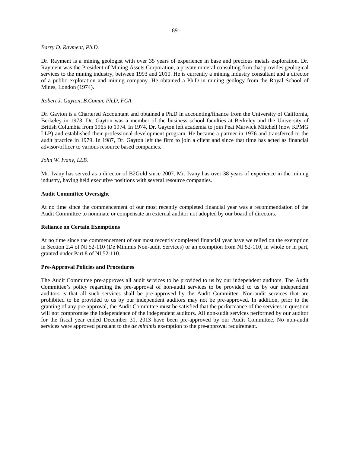#### *Barry D. Rayment, Ph.D.*

Dr. Rayment is a mining geologist with over 35 years of experience in base and precious metals exploration. Dr. Rayment was the President of Mining Assets Corporation, a private mineral consulting firm that provides geological services to the mining industry, between 1993 and 2010. He is currently a mining industry consultant and a director of a public exploration and mining company. He obtained a Ph.D in mining geology from the Royal School of Mines, London (1974).

## *Robert J. Gayton, B.Comm. Ph.D, FCA*

Dr. Gayton is a Chartered Accountant and obtained a Ph.D in accounting/finance from the University of California, Berkeley in 1973. Dr. Gayton was a member of the business school faculties at Berkeley and the University of British Columbia from 1965 to 1974. In 1974, Dr. Gayton left academia to join Peat Marwick Mitchell (now KPMG LLP) and established their professional development program. He became a partner in 1976 and transferred to the audit practice in 1979. In 1987, Dr. Gayton left the firm to join a client and since that time has acted as financial advisor/officer to various resource based companies.

#### *John W. Ivany, LLB.*

Mr. Ivany has served as a director of B2Gold since 2007. Mr. Ivany has over 38 years of experience in the mining industry, having held executive positions with several resource companies.

#### **Audit Committee Oversight**

At no time since the commencement of our most recently completed financial year was a recommendation of the Audit Committee to nominate or compensate an external auditor not adopted by our board of directors.

## **Reliance on Certain Exemptions**

At no time since the commencement of our most recently completed financial year have we relied on the exemption in Section 2.4 of NI 52-110 (De Minimis Non-audit Services) or an exemption from NI 52-110, in whole or in part, granted under Part 8 of NI 52-110.

### **Pre-Approval Policies and Procedures**

The Audit Committee pre-approves all audit services to be provided to us by our independent auditors. The Audit Committee's policy regarding the pre-approval of non-audit services to be provided to us by our independent auditors is that all such services shall be pre-approved by the Audit Committee. Non-audit services that are prohibited to be provided to us by our independent auditors may not be pre-approved. In addition, prior to the granting of any pre-approval, the Audit Committee must be satisfied that the performance of the services in question will not compromise the independence of the independent auditors. All non-audit services performed by our auditor for the fiscal year ended December 31, 2013 have been pre-approved by our Audit Committee. No non-audit services were approved pursuant to the *de minimis* exemption to the pre-approval requirement.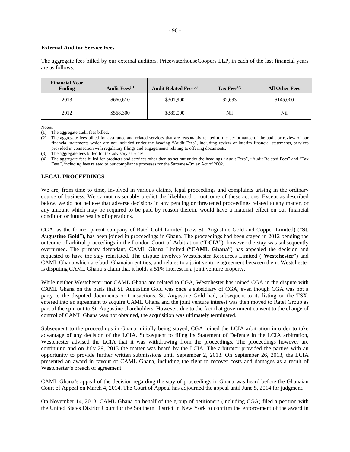#### **External Auditor Service Fees**

The aggregate fees billed by our external auditors, PricewaterhouseCoopers LLP, in each of the last financial years are as follows:

| <b>Financial Year</b><br>Ending | Audit $Fees^{(1)}$ | <b>Audit Related Fees</b> <sup>(2)</sup> | Tax Fees $^{(3)}$ | <b>All Other Fees</b> |
|---------------------------------|--------------------|------------------------------------------|-------------------|-----------------------|
| 2013                            | \$660,610          | \$301,900                                | \$2,693           | \$145,000             |
| 2012                            | \$568,300          | \$389,000                                | Nil               | Nil                   |

Notes:

(1) The aggregate audit fees billed.

(2) The aggregate fees billed for assurance and related services that are reasonably related to the performance of the audit or review of our financial statements which are not included under the heading "Audit Fees", including review of interim financial statements, services provided in connection with regulatory filings and engagements relating to offering documents.

(3) The aggregate fees billed for tax advisory services.

(4) The aggregate fees billed for products and services other than as set out under the headings "Audit Fees", "Audit Related Fees" and "Tax Fees", including fees related to our compliance processes for the Sarbanes-Oxley Act of 2002.

#### **LEGAL PROCEEDINGS**

We are, from time to time, involved in various claims, legal proceedings and complaints arising in the ordinary course of business. We cannot reasonably predict the likelihood or outcome of these actions. Except as described below, we do not believe that adverse decisions in any pending or threatened proceedings related to any matter, or any amount which may be required to be paid by reason therein, would have a material effect on our financial condition or future results of operations.

CGA, as the former parent company of Ratel Gold Limited (now St. Augustine Gold and Copper Limited) ("**St. Augustine Gold**"), has been joined in proceedings in Ghana. The proceedings had been stayed in 2012 pending the outcome of arbitral proceedings in the London Court of Arbitration ("**LCIA**"), however the stay was subsequently overturned. The primary defendant, CAML Ghana Limited ("**CAML Ghana**") has appealed the decision and requested to have the stay reinstated. The dispute involves Westchester Resources Limited ("**Westchester**") and CAML Ghana which are both Ghanaian entities, and relates to a joint venture agreement between them. Westchester is disputing CAML Ghana's claim that it holds a 51% interest in a joint venture property.

While neither Westchester nor CAML Ghana are related to CGA, Westchester has joined CGA in the dispute with CAML Ghana on the basis that St. Augustine Gold was once a subsidiary of CGA, even though CGA was not a party to the disputed documents or transactions. St. Augustine Gold had, subsequent to its listing on the TSX, entered into an agreement to acquire CAML Ghana and the joint venture interest was then moved to Ratel Group as part of the spin out to St. Augustine shareholders. However, due to the fact that government consent to the change of control of CAML Ghana was not obtained, the acquisition was ultimately terminated.

Subsequent to the proceedings in Ghana initially being stayed, CGA joined the LCIA arbitration in order to take advantage of any decision of the LCIA. Subsequent to filing its Statement of Defence in the LCIA arbitration, Westchester advised the LCIA that it was withdrawing from the proceedings. The proceedings however are continuing and on July 29, 2013 the matter was heard by the LCIA. The arbitrator provided the parties with an opportunity to provide further written submissions until September 2, 2013. On September 26, 2013, the LCIA presented an award in favour of CAML Ghana, including the right to recover costs and damages as a result of Westchester's breach of agreement.

CAML Ghana's appeal of the decision regarding the stay of proceedings in Ghana was heard before the Ghanaian Court of Appeal on March 4, 2014. The Court of Appeal has adjourned the appeal until June 5, 2014 for judgment.

On November 14, 2013, CAML Ghana on behalf of the group of petitioners (including CGA) filed a petition with the United States District Court for the Southern District in New York to confirm the enforcement of the award in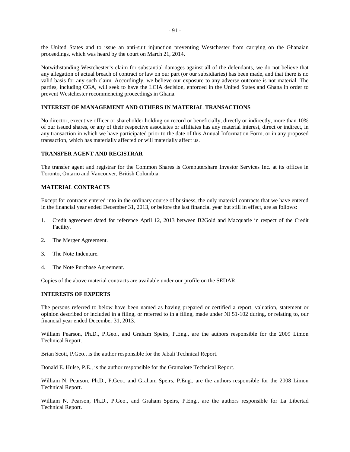the United States and to issue an anti-suit injunction preventing Westchester from carrying on the Ghanaian proceedings, which was heard by the court on March 21, 2014.

Notwithstanding Westchester's claim for substantial damages against all of the defendants, we do not believe that any allegation of actual breach of contract or law on our part (or our subsidiaries) has been made, and that there is no valid basis for any such claim. Accordingly, we believe our exposure to any adverse outcome is not material. The parties, including CGA, will seek to have the LCIA decision, enforced in the United States and Ghana in order to prevent Westchester recommencing proceedings in Ghana.

#### **INTEREST OF MANAGEMENT AND OTHERS IN MATERIAL TRANSACTIONS**

No director, executive officer or shareholder holding on record or beneficially, directly or indirectly, more than 10% of our issued shares, or any of their respective associates or affiliates has any material interest, direct or indirect, in any transaction in which we have participated prior to the date of this Annual Information Form, or in any proposed transaction, which has materially affected or will materially affect us.

### **TRANSFER AGENT AND REGISTRAR**

The transfer agent and registrar for the Common Shares is Computershare Investor Services Inc. at its offices in Toronto, Ontario and Vancouver, British Columbia.

## **MATERIAL CONTRACTS**

Except for contracts entered into in the ordinary course of business, the only material contracts that we have entered in the financial year ended December 31, 2013, or before the last financial year but still in effect, are as follows:

- 1. Credit agreement dated for reference April 12, 2013 between B2Gold and Macquarie in respect of the Credit Facility.
- 2. The Merger Agreement.
- 3. The Note Indenture.
- 4. The Note Purchase Agreement.

Copies of the above material contracts are available under our profile on the SEDAR.

#### **INTERESTS OF EXPERTS**

The persons referred to below have been named as having prepared or certified a report, valuation, statement or opinion described or included in a filing, or referred to in a filing, made under NI 51-102 during, or relating to, our financial year ended December 31, 2013.

William Pearson, Ph.D., P.Geo., and Graham Speirs, P.Eng., are the authors responsible for the 2009 Limon Technical Report.

Brian Scott, P.Geo., is the author responsible for the Jabali Technical Report.

Donald E. Hulse, P.E., is the author responsible for the Gramalote Technical Report.

William N. Pearson, Ph.D., P.Geo., and Graham Speirs, P.Eng., are the authors responsible for the 2008 Limon Technical Report.

William N. Pearson, Ph.D., P.Geo., and Graham Speirs, P.Eng., are the authors responsible for La Libertad Technical Report.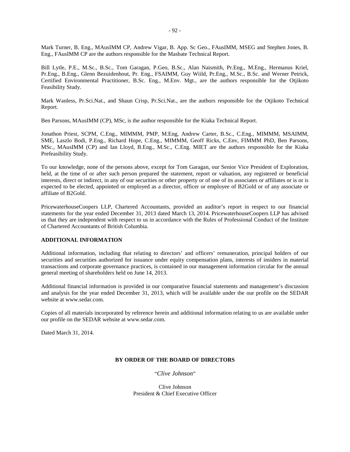Mark Turner, B. Eng., MAusIMM CP, Andrew Vigar, B. App. Sc Geo., FAusIMM, MSEG and Stephen Jones, B. Eng., FAusIMM CP are the authors responsible for the Masbate Technical Report.

Bill Lytle, P.E., M.Sc., B.Sc., Tom Garagan, P.Geo, B.Sc., Alan Naismith, Pr.Eng., M.Eng., Hermanus Kriel, Pr.Eng., B.Eng., Glenn Bezuidenhout, Pr. Eng., FSAIMM, Guy Wiild, Pr.Eng., M.Sc., B.Sc. and Werner Petrick, Certified Environmental Practitioner, B.Sc. Eng., M.Env. Mgt., are the authors responsible for the Otjikoto Feasibility Study.

Mark Wanless, Pr.Sci.Nat., and Shaun Crisp, Pr.Sci.Nat., are the authors responsible for the Otjikoto Technical Report.

Ben Parsons, MAusIMM (CP), MSc, is the author responsible for the Kiaka Technical Report.

Jonathon Priest, SCPM, C.Eng., MIMMM, PMP, M.Eng, Andrew Carter, B.Sc., C.Eng., MIMMM, MSAIMM, SME, Laszlo Bodi, P.Eng., Richard Hope, C.Eng., MIMMM, Geoff Ricks, C.Env, FIMMM PhD, Ben Parsons, MSc., MAusIMM (CP) and Ian Lloyd, B.Eng., M.Sc., C.Eng. MIET are the authors responsible for the Kiaka Prefeasibility Study.

To our knowledge, none of the persons above, except for Tom Garagan, our Senior Vice President of Exploration, held, at the time of or after such person prepared the statement, report or valuation, any registered or beneficial interests, direct or indirect, in any of our securities or other property or of one of its associates or affiliates or is or is expected to be elected, appointed or employed as a director, officer or employee of B2Gold or of any associate or affiliate of B2Gold.

PricewaterhouseCoopers LLP, Chartered Accountants, provided an auditor's report in respect to our financial statements for the year ended December 31, 2013 dated March 13, 2014. PricewaterhouseCoopers LLP has advised us that they are independent with respect to us in accordance with the Rules of Professional Conduct of the Institute of Chartered Accountants of British Columbia.

## **ADDITIONAL INFORMATION**

Additional information, including that relating to directors' and officers' remuneration, principal holders of our securities and securities authorized for issuance under equity compensation plans, interests of insiders in material transactions and corporate governance practices, is contained in our management information circular for the annual general meeting of shareholders held on June 14, 2013.

Additional financial information is provided in our comparative financial statements and management's discussion and analysis for the year ended December 31, 2013, which will be available under the our profile on the SEDAR website at www.sedar.com.

Copies of all materials incorporated by reference herein and additional information relating to us are available under our profile on the SEDAR website at www.sedar.com.

Dated March 31, 2014.

#### **BY ORDER OF THE BOARD OF DIRECTORS**

"*Clive Johnson*"

Clive Johnson President & Chief Executive Officer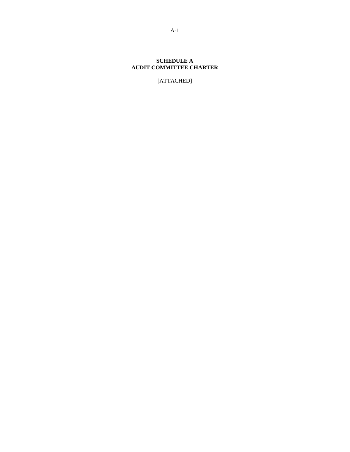# **SCHEDULE A AUDIT COMMITTEE CHARTER**

[ATTACHED]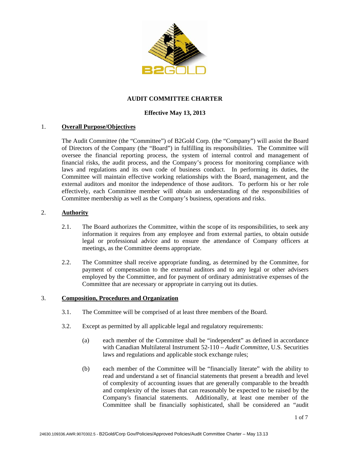

# **AUDIT COMMITTEE CHARTER**

# **Effective May 13, 2013**

# 1. **Overall Purpose/Objectives**

The Audit Committee (the "Committee") of B2Gold Corp. (the "Company") will assist the Board of Directors of the Company (the "Board") in fulfilling its responsibilities. The Committee will oversee the financial reporting process, the system of internal control and management of financial risks, the audit process, and the Company's process for monitoring compliance with laws and regulations and its own code of business conduct. In performing its duties, the Committee will maintain effective working relationships with the Board, management, and the external auditors and monitor the independence of those auditors. To perform his or her role effectively, each Committee member will obtain an understanding of the responsibilities of Committee membership as well as the Company's business, operations and risks.

# 2. **Authority**

- 2.1. The Board authorizes the Committee, within the scope of its responsibilities, to seek any information it requires from any employee and from external parties, to obtain outside legal or professional advice and to ensure the attendance of Company officers at meetings, as the Committee deems appropriate.
- 2.2. The Committee shall receive appropriate funding, as determined by the Committee, for payment of compensation to the external auditors and to any legal or other advisers employed by the Committee, and for payment of ordinary administrative expenses of the Committee that are necessary or appropriate in carrying out its duties.

# 3. **Composition, Procedures and Organization**

- 3.1. The Committee will be comprised of at least three members of the Board.
- 3.2. Except as permitted by all applicable legal and regulatory requirements:
	- (a) each member of the Committee shall be "independent" as defined in accordance with Canadian Multilateral Instrument 52-110 – *Audit Committee,* U.S. Securities laws and regulations and applicable stock exchange rules;
	- (b) each member of the Committee will be "financially literate" with the ability to read and understand a set of financial statements that present a breadth and level of complexity of accounting issues that are generally comparable to the breadth and complexity of the issues that can reasonably be expected to be raised by the Company's financial statements. Additionally, at least one member of the Committee shall be financially sophisticated, shall be considered an "audit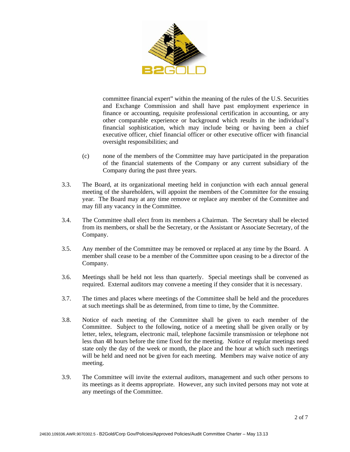

committee financial expert" within the meaning of the rules of the U.S. Securities and Exchange Commission and shall have past employment experience in finance or accounting, requisite professional certification in accounting, or any other comparable experience or background which results in the individual's financial sophistication, which may include being or having been a chief executive officer, chief financial officer or other executive officer with financial oversight responsibilities; and

- (c) none of the members of the Committee may have participated in the preparation of the financial statements of the Company or any current subsidiary of the Company during the past three years.
- 3.3. The Board, at its organizational meeting held in conjunction with each annual general meeting of the shareholders, will appoint the members of the Committee for the ensuing year. The Board may at any time remove or replace any member of the Committee and may fill any vacancy in the Committee.
- 3.4. The Committee shall elect from its members a Chairman. The Secretary shall be elected from its members, or shall be the Secretary, or the Assistant or Associate Secretary, of the Company.
- 3.5. Any member of the Committee may be removed or replaced at any time by the Board. A member shall cease to be a member of the Committee upon ceasing to be a director of the Company.
- 3.6. Meetings shall be held not less than quarterly. Special meetings shall be convened as required. External auditors may convene a meeting if they consider that it is necessary.
- 3.7. The times and places where meetings of the Committee shall be held and the procedures at such meetings shall be as determined, from time to time, by the Committee.
- 3.8. Notice of each meeting of the Committee shall be given to each member of the Committee. Subject to the following, notice of a meeting shall be given orally or by letter, telex, telegram, electronic mail, telephone facsimile transmission or telephone not less than 48 hours before the time fixed for the meeting. Notice of regular meetings need state only the day of the week or month, the place and the hour at which such meetings will be held and need not be given for each meeting. Members may waive notice of any meeting.
- 3.9. The Committee will invite the external auditors, management and such other persons to its meetings as it deems appropriate. However, any such invited persons may not vote at any meetings of the Committee.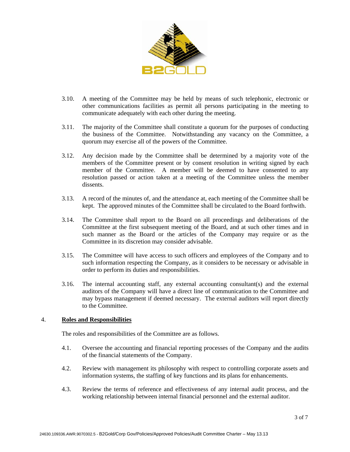

- 3.10. A meeting of the Committee may be held by means of such telephonic, electronic or other communications facilities as permit all persons participating in the meeting to communicate adequately with each other during the meeting.
- 3.11. The majority of the Committee shall constitute a quorum for the purposes of conducting the business of the Committee. Notwithstanding any vacancy on the Committee, a quorum may exercise all of the powers of the Committee.
- 3.12. Any decision made by the Committee shall be determined by a majority vote of the members of the Committee present or by consent resolution in writing signed by each member of the Committee. A member will be deemed to have consented to any resolution passed or action taken at a meeting of the Committee unless the member dissents.
- 3.13. A record of the minutes of, and the attendance at, each meeting of the Committee shall be kept. The approved minutes of the Committee shall be circulated to the Board forthwith.
- 3.14. The Committee shall report to the Board on all proceedings and deliberations of the Committee at the first subsequent meeting of the Board, and at such other times and in such manner as the Board or the articles of the Company may require or as the Committee in its discretion may consider advisable.
- 3.15. The Committee will have access to such officers and employees of the Company and to such information respecting the Company, as it considers to be necessary or advisable in order to perform its duties and responsibilities.
- 3.16. The internal accounting staff, any external accounting consultant(s) and the external auditors of the Company will have a direct line of communication to the Committee and may bypass management if deemed necessary. The external auditors will report directly to the Committee.

# 4. **Roles and Responsibilities**

The roles and responsibilities of the Committee are as follows.

- 4.1. Oversee the accounting and financial reporting processes of the Company and the audits of the financial statements of the Company.
- 4.2. Review with management its philosophy with respect to controlling corporate assets and information systems, the staffing of key functions and its plans for enhancements.
- 4.3. Review the terms of reference and effectiveness of any internal audit process, and the working relationship between internal financial personnel and the external auditor.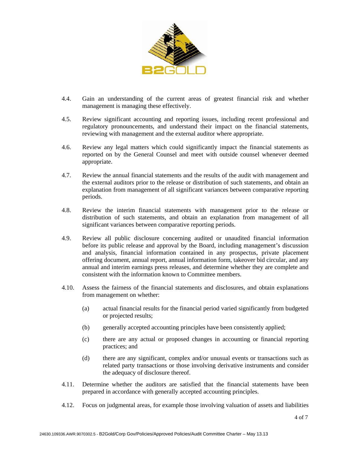

- 4.4. Gain an understanding of the current areas of greatest financial risk and whether management is managing these effectively.
- 4.5. Review significant accounting and reporting issues, including recent professional and regulatory pronouncements, and understand their impact on the financial statements, reviewing with management and the external auditor where appropriate.
- 4.6. Review any legal matters which could significantly impact the financial statements as reported on by the General Counsel and meet with outside counsel whenever deemed appropriate.
- 4.7. Review the annual financial statements and the results of the audit with management and the external auditors prior to the release or distribution of such statements, and obtain an explanation from management of all significant variances between comparative reporting periods.
- 4.8. Review the interim financial statements with management prior to the release or distribution of such statements, and obtain an explanation from management of all significant variances between comparative reporting periods.
- 4.9. Review all public disclosure concerning audited or unaudited financial information before its public release and approval by the Board, including management's discussion and analysis, financial information contained in any prospectus, private placement offering document, annual report, annual information form, takeover bid circular, and any annual and interim earnings press releases, and determine whether they are complete and consistent with the information known to Committee members.
- 4.10. Assess the fairness of the financial statements and disclosures, and obtain explanations from management on whether:
	- (a) actual financial results for the financial period varied significantly from budgeted or projected results;
	- (b) generally accepted accounting principles have been consistently applied;
	- (c) there are any actual or proposed changes in accounting or financial reporting practices; and
	- (d) there are any significant, complex and/or unusual events or transactions such as related party transactions or those involving derivative instruments and consider the adequacy of disclosure thereof.
- 4.11. Determine whether the auditors are satisfied that the financial statements have been prepared in accordance with generally accepted accounting principles.
- 4.12. Focus on judgmental areas, for example those involving valuation of assets and liabilities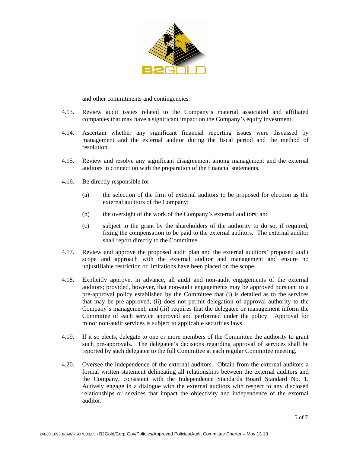

and other commitments and contingencies.

- 4.13. Review audit issues related to the Company's material associated and affiliated companies that may have a significant impact on the Company's equity investment.
- 4.14. Ascertain whether any significant financial reporting issues were discussed by management and the external auditor during the fiscal period and the method of resolution.
- 4.15. Review and resolve any significant disagreement among management and the external auditors in connection with the preparation of the financial statements.
- 4.16. Be directly responsible for:
	- (a) the selection of the firm of external auditors to be proposed for election as the external auditors of the Company;
	- (b) the oversight of the work of the Company's external auditors; and
	- (c) subject to the grant by the shareholders of the authority to do so, if required, fixing the compensation to be paid to the external auditors. The external auditor shall report directly to the Committee.
- 4.17. Review and approve the proposed audit plan and the external auditors' proposed audit scope and approach with the external auditor and management and ensure no unjustifiable restriction or limitations have been placed on the scope.
- 4.18. Explicitly approve, in advance, all audit and non-audit engagements of the external auditors; provided, however, that non-audit engagements may be approved pursuant to a pre-approval policy established by the Committee that (i) is detailed as to the services that may be pre-approved, (ii) does not permit delegation of approval authority to the Company's management, and (iii) requires that the delegatee or management inform the Committee of each service approved and performed under the policy. Approval for minor non-audit services is subject to applicable securities laws.
- 4.19. If it so elects, delegate to one or more members of the Committee the authority to grant such pre-approvals. The delegatee's decisions regarding approval of services shall be reported by such delegatee to the full Committee at each regular Committee meeting.
- 4.20. Oversee the independence of the external auditors. Obtain from the external auditors a formal written statement delineating all relationships between the external auditors and the Company, consistent with the Independence Standards Board Standard No. 1. Actively engage in a dialogue with the external auditors with respect to any disclosed relationships or services that impact the objectivity and independence of the external auditor.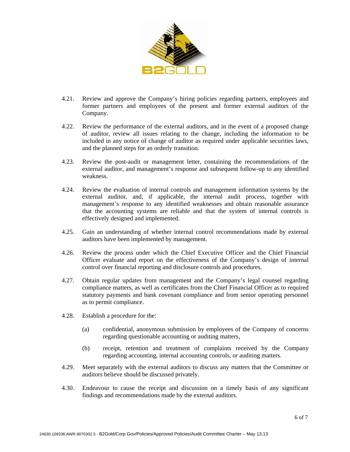

- 4.21. Review and approve the Company's hiring policies regarding partners, employees and former partners and employees of the present and former external auditors of the Company.
- 4.22. Review the performance of the external auditors, and in the event of a proposed change of auditor, review all issues relating to the change, including the information to be included in any notice of change of auditor as required under applicable securities laws, and the planned steps for an orderly transition.
- 4.23. Review the post-audit or management letter, containing the recommendations of the external auditor, and management's response and subsequent follow-up to any identified weakness.
- 4.24. Review the evaluation of internal controls and management information systems by the external auditor, and, if applicable, the internal audit process, together with management's response to any identified weaknesses and obtain reasonable assurance that the accounting systems are reliable and that the system of internal controls is effectively designed and implemented.
- 4.25. Gain an understanding of whether internal control recommendations made by external auditors have been implemented by management.
- 4.26. Review the process under which the Chief Executive Officer and the Chief Financial Officer evaluate and report on the effectiveness of the Company's design of internal control over financial reporting and disclosure controls and procedures.
- 4.27. Obtain regular updates from management and the Company's legal counsel regarding compliance matters, as well as certificates from the Chief Financial Officer as to required statutory payments and bank covenant compliance and from senior operating personnel as to permit compliance.
- 4.28. Establish a procedure for the:
	- (a) confidential, anonymous submission by employees of the Company of concerns regarding questionable accounting or auditing matters,
	- (b) receipt, retention and treatment of complaints received by the Company regarding accounting, internal accounting controls, or auditing matters.
- 4.29. Meet separately with the external auditors to discuss any matters that the Committee or auditors believe should be discussed privately.
- 4.30. Endeavour to cause the receipt and discussion on a timely basis of any significant findings and recommendations made by the external auditors.